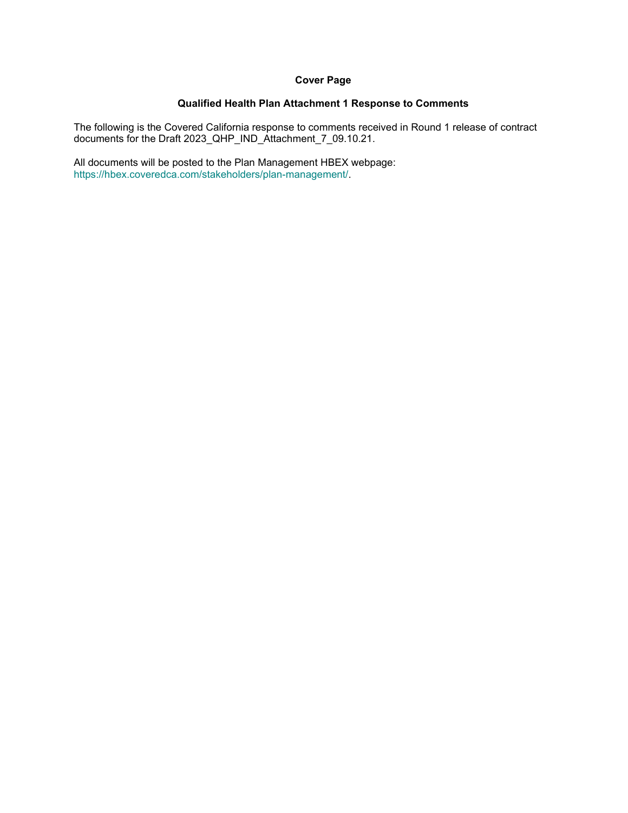#### **Cover Page**

#### **Qualified Health Plan Attachment 1 Response to Comments**

The following is the Covered California response to comments received in Round 1 release of contract documents for the Draft 2023\_QHP\_IND\_Attachment\_7\_09.10.21.

All documents will be posted to the Plan Management HBEX webpage: https://hbex.coveredca.com/stakeholders/plan-management/.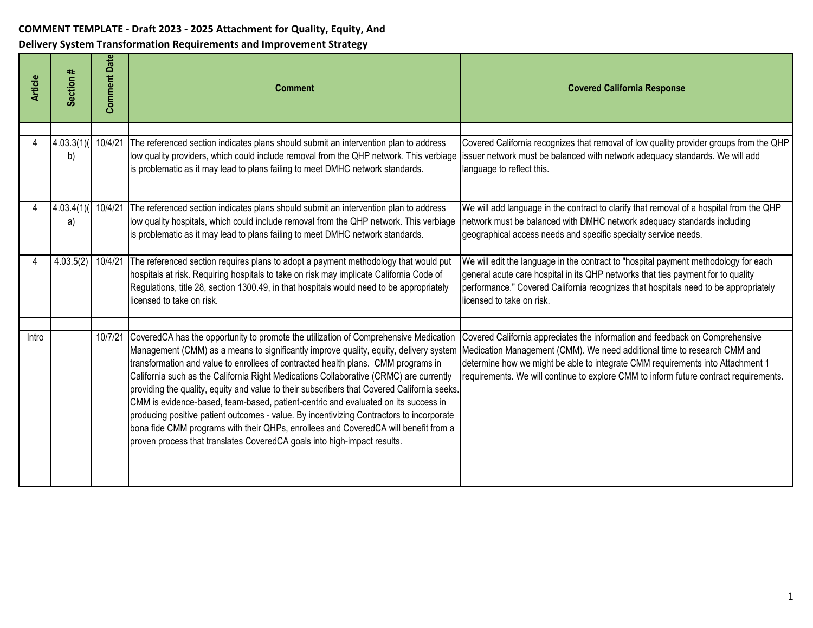| <b>Article</b> | Section #                | <b>Comment Date</b> | <b>Comment</b>                                                                                                                                                                                                                                                                                                                                                                                                                                                                                                                                                                                                                                                                                                                                                                                                   | <b>Covered California Response</b>                                                                                                                                                                                                                                                                                                  |
|----------------|--------------------------|---------------------|------------------------------------------------------------------------------------------------------------------------------------------------------------------------------------------------------------------------------------------------------------------------------------------------------------------------------------------------------------------------------------------------------------------------------------------------------------------------------------------------------------------------------------------------------------------------------------------------------------------------------------------------------------------------------------------------------------------------------------------------------------------------------------------------------------------|-------------------------------------------------------------------------------------------------------------------------------------------------------------------------------------------------------------------------------------------------------------------------------------------------------------------------------------|
|                | 4.03.3(1)( 10/4/21<br>b) |                     | The referenced section indicates plans should submit an intervention plan to address<br>low quality providers, which could include removal from the QHP network. This verbiage<br>is problematic as it may lead to plans failing to meet DMHC network standards.                                                                                                                                                                                                                                                                                                                                                                                                                                                                                                                                                 | Covered California recognizes that removal of low quality provider groups from the QHP<br>issuer network must be balanced with network adequacy standards. We will add<br>language to reflect this.                                                                                                                                 |
|                | 4.03.4(1)<br>a)          | 10/4/21             | The referenced section indicates plans should submit an intervention plan to address<br>low quality hospitals, which could include removal from the QHP network. This verbiage<br>is problematic as it may lead to plans failing to meet DMHC network standards.                                                                                                                                                                                                                                                                                                                                                                                                                                                                                                                                                 | We will add language in the contract to clarify that removal of a hospital from the QHP<br>network must be balanced with DMHC network adequacy standards including<br>geographical access needs and specific specialty service needs.                                                                                               |
|                | 4.03.5(2)                | 10/4/21             | The referenced section requires plans to adopt a payment methodology that would put<br>hospitals at risk. Requiring hospitals to take on risk may implicate California Code of<br>Regulations, title 28, section 1300.49, in that hospitals would need to be appropriately<br>licensed to take on risk.                                                                                                                                                                                                                                                                                                                                                                                                                                                                                                          | We will edit the language in the contract to "hospital payment methodology for each<br>general acute care hospital in its QHP networks that ties payment for to quality<br>performance." Covered California recognizes that hospitals need to be appropriately<br>licensed to take on risk.                                         |
| Intro          |                          | 10/7/21             | CoveredCA has the opportunity to promote the utilization of Comprehensive Medication<br>Management (CMM) as a means to significantly improve quality, equity, delivery system<br>transformation and value to enrollees of contracted health plans. CMM programs in<br>California such as the California Right Medications Collaborative (CRMC) are currently<br>providing the quality, equity and value to their subscribers that Covered California seeks.<br>CMM is evidence-based, team-based, patient-centric and evaluated on its success in<br>producing positive patient outcomes - value. By incentivizing Contractors to incorporate<br>bona fide CMM programs with their QHPs, enrollees and CoveredCA will benefit from a<br>proven process that translates CoveredCA goals into high-impact results. | Covered California appreciates the information and feedback on Comprehensive<br>Medication Management (CMM). We need additional time to research CMM and<br>determine how we might be able to integrate CMM requirements into Attachment 1<br>requirements. We will continue to explore CMM to inform future contract requirements. |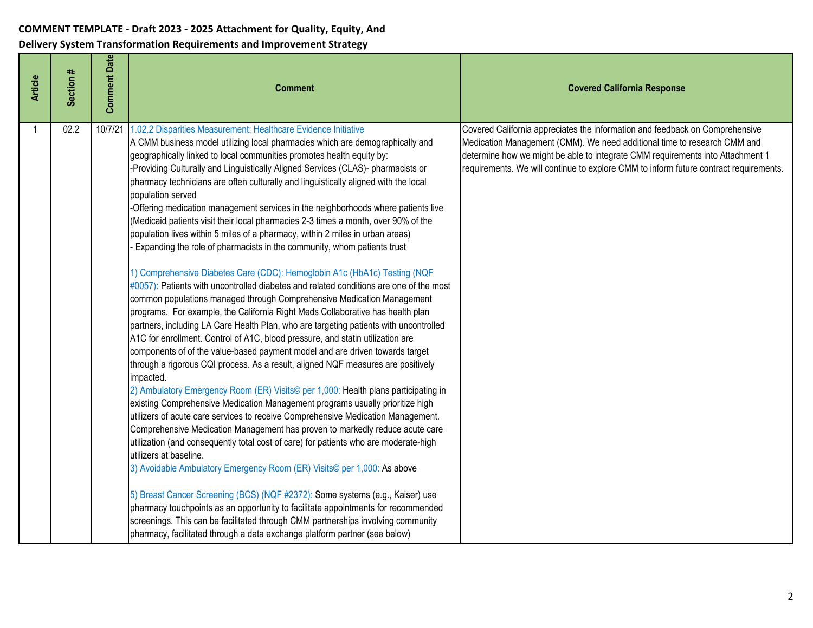| <b>Article</b> | Section # | <b>Comment Date</b> | <b>Comment</b>                                                                                                                                                                                                                                                                                                                                                                                                                                                                                                                                                                                                                                                                                                                                                                                                                                                                                                                                                                                                                                                                                                                                                                                                                                                                                                                                                                                                                                                                                                                                                                                                                                                                                                                                                                                                                                                                                                                                                                                                                                                                                                                                                                                                                                                                                                                                 | <b>Covered California Response</b>                                                                                                                                                                                                                                                                                                  |
|----------------|-----------|---------------------|------------------------------------------------------------------------------------------------------------------------------------------------------------------------------------------------------------------------------------------------------------------------------------------------------------------------------------------------------------------------------------------------------------------------------------------------------------------------------------------------------------------------------------------------------------------------------------------------------------------------------------------------------------------------------------------------------------------------------------------------------------------------------------------------------------------------------------------------------------------------------------------------------------------------------------------------------------------------------------------------------------------------------------------------------------------------------------------------------------------------------------------------------------------------------------------------------------------------------------------------------------------------------------------------------------------------------------------------------------------------------------------------------------------------------------------------------------------------------------------------------------------------------------------------------------------------------------------------------------------------------------------------------------------------------------------------------------------------------------------------------------------------------------------------------------------------------------------------------------------------------------------------------------------------------------------------------------------------------------------------------------------------------------------------------------------------------------------------------------------------------------------------------------------------------------------------------------------------------------------------------------------------------------------------------------------------------------------------|-------------------------------------------------------------------------------------------------------------------------------------------------------------------------------------------------------------------------------------------------------------------------------------------------------------------------------------|
|                | 02.2      | 10/7/21             | 1.02.2 Disparities Measurement: Healthcare Evidence Initiative<br>A CMM business model utilizing local pharmacies which are demographically and<br>geographically linked to local communities promotes health equity by:<br>-Providing Culturally and Linguistically Aligned Services (CLAS)- pharmacists or<br>pharmacy technicians are often culturally and linguistically aligned with the local<br>population served<br>-Offering medication management services in the neighborhoods where patients live<br>(Medicaid patients visit their local pharmacies 2-3 times a month, over 90% of the<br>population lives within 5 miles of a pharmacy, within 2 miles in urban areas)<br>Expanding the role of pharmacists in the community, whom patients trust<br>1) Comprehensive Diabetes Care (CDC): Hemoglobin A1c (HbA1c) Testing (NQF<br>#0057): Patients with uncontrolled diabetes and related conditions are one of the most<br>common populations managed through Comprehensive Medication Management<br>programs. For example, the California Right Meds Collaborative has health plan<br>partners, including LA Care Health Plan, who are targeting patients with uncontrolled<br>A1C for enrollment. Control of A1C, blood pressure, and statin utilization are<br>components of of the value-based payment model and are driven towards target<br>through a rigorous CQI process. As a result, aligned NQF measures are positively<br>impacted.<br>2) Ambulatory Emergency Room (ER) Visits© per 1,000: Health plans participating in<br>existing Comprehensive Medication Management programs usually prioritize high<br>utilizers of acute care services to receive Comprehensive Medication Management.<br>Comprehensive Medication Management has proven to markedly reduce acute care<br>utilization (and consequently total cost of care) for patients who are moderate-high<br>utilizers at baseline.<br>3) Avoidable Ambulatory Emergency Room (ER) Visits© per 1,000: As above<br>5) Breast Cancer Screening (BCS) (NQF #2372): Some systems (e.g., Kaiser) use<br>pharmacy touchpoints as an opportunity to facilitate appointments for recommended<br>screenings. This can be facilitated through CMM partnerships involving community<br>pharmacy, facilitated through a data exchange platform partner (see below) | Covered California appreciates the information and feedback on Comprehensive<br>Medication Management (CMM). We need additional time to research CMM and<br>determine how we might be able to integrate CMM requirements into Attachment 1<br>requirements. We will continue to explore CMM to inform future contract requirements. |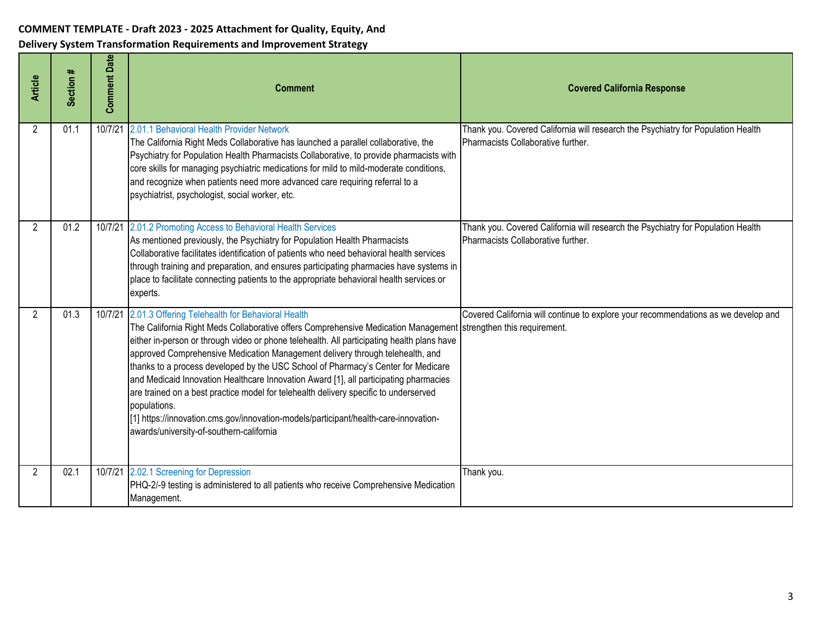| <b>Article</b> | Section # | <b>Comment Date</b> | <b>Comment</b>                                                                                                                                                                                                                                                                                                                                                                                                                                                                                                                                                                                                                                                                                                                                                                       | <b>Covered California Response</b>                                                                                     |
|----------------|-----------|---------------------|--------------------------------------------------------------------------------------------------------------------------------------------------------------------------------------------------------------------------------------------------------------------------------------------------------------------------------------------------------------------------------------------------------------------------------------------------------------------------------------------------------------------------------------------------------------------------------------------------------------------------------------------------------------------------------------------------------------------------------------------------------------------------------------|------------------------------------------------------------------------------------------------------------------------|
| $\overline{2}$ | 01.1      |                     | 10/7/21 2.01.1 Behavioral Health Provider Network<br>The California Right Meds Collaborative has launched a parallel collaborative, the<br>Psychiatry for Population Health Pharmacists Collaborative, to provide pharmacists with<br>core skills for managing psychiatric medications for mild to mild-moderate conditions,<br>and recognize when patients need more advanced care requiring referral to a<br>psychiatrist, psychologist, social worker, etc.                                                                                                                                                                                                                                                                                                                       | Thank you. Covered California will research the Psychiatry for Population Health<br>Pharmacists Collaborative further. |
| $\overline{2}$ | 01.2      |                     | 10/7/21 2.01.2 Promoting Access to Behavioral Health Services<br>As mentioned previously, the Psychiatry for Population Health Pharmacists<br>Collaborative facilitates identification of patients who need behavioral health services<br>through training and preparation, and ensures participating pharmacies have systems in<br>place to facilitate connecting patients to the appropriate behavioral health services or<br>experts.                                                                                                                                                                                                                                                                                                                                             | Thank you. Covered California will research the Psychiatry for Population Health<br>Pharmacists Collaborative further. |
| 2              | 01.3      |                     | 10/7/21 2.01.3 Offering Telehealth for Behavioral Health<br>The California Right Meds Collaborative offers Comprehensive Medication Management strengthen this requirement.<br>either in-person or through video or phone telehealth. All participating health plans have<br>approved Comprehensive Medication Management delivery through telehealth, and<br>thanks to a process developed by the USC School of Pharmacy's Center for Medicare<br>and Medicaid Innovation Healthcare Innovation Award [1], all participating pharmacies<br>are trained on a best practice model for telehealth delivery specific to underserved<br>populations.<br>[1] https://innovation.cms.gov/innovation-models/participant/health-care-innovation-<br>awards/university-of-southern-california | Covered California will continue to explore your recommendations as we develop and                                     |
| 2              | 02.1      |                     | 10/7/21 2.02.1 Screening for Depression<br>PHQ-2/-9 testing is administered to all patients who receive Comprehensive Medication<br>Management.                                                                                                                                                                                                                                                                                                                                                                                                                                                                                                                                                                                                                                      | Thank you.                                                                                                             |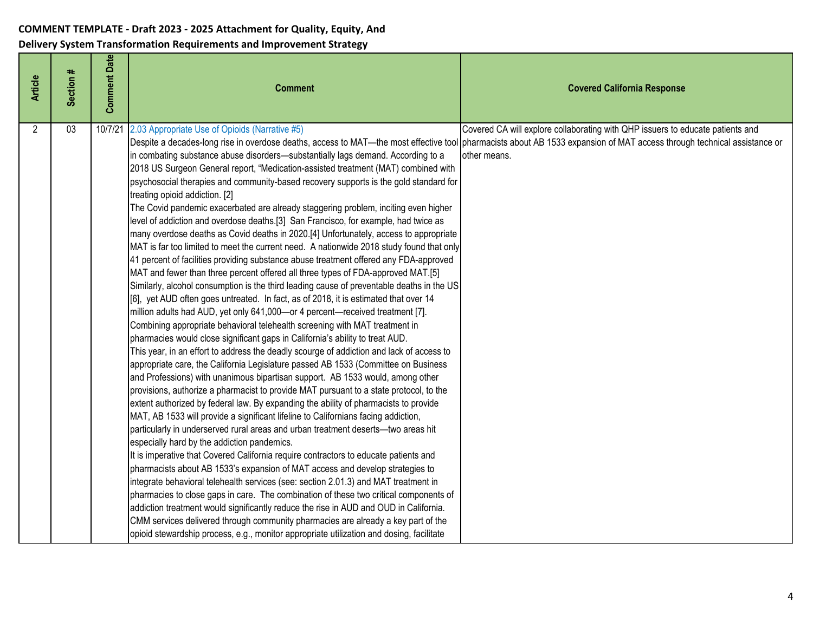| <b>Article</b> | Section # | <b>Comment Date</b> | <b>Comment</b>                                                                                                                                                                                                                                                                                                                                                                                                                                                                                                                                                                                                                                                                                                                                                                                                                                                                                                                                                                                                                                                                                                                                                                                                                                                                                                                                                                                                                                                                                                                                                                                                                                                                                                                                                                                                                                                                                                                                                                                                                                                                                                                                                                                                                                                                                                                                                                                                                                                                                                                                                                                                                                                                                                                                                                                                                          | <b>Covered California Response</b>                                                             |
|----------------|-----------|---------------------|-----------------------------------------------------------------------------------------------------------------------------------------------------------------------------------------------------------------------------------------------------------------------------------------------------------------------------------------------------------------------------------------------------------------------------------------------------------------------------------------------------------------------------------------------------------------------------------------------------------------------------------------------------------------------------------------------------------------------------------------------------------------------------------------------------------------------------------------------------------------------------------------------------------------------------------------------------------------------------------------------------------------------------------------------------------------------------------------------------------------------------------------------------------------------------------------------------------------------------------------------------------------------------------------------------------------------------------------------------------------------------------------------------------------------------------------------------------------------------------------------------------------------------------------------------------------------------------------------------------------------------------------------------------------------------------------------------------------------------------------------------------------------------------------------------------------------------------------------------------------------------------------------------------------------------------------------------------------------------------------------------------------------------------------------------------------------------------------------------------------------------------------------------------------------------------------------------------------------------------------------------------------------------------------------------------------------------------------------------------------------------------------------------------------------------------------------------------------------------------------------------------------------------------------------------------------------------------------------------------------------------------------------------------------------------------------------------------------------------------------------------------------------------------------------------------------------------------------|------------------------------------------------------------------------------------------------|
| $\overline{2}$ | 03        | 10/7/21             | 2.03 Appropriate Use of Opioids (Narrative #5)<br>Despite a decades-long rise in overdose deaths, access to MAT—the most effective tool pharmacists about AB 1533 expansion of MAT access through technical assistance or<br>in combating substance abuse disorders-substantially lags demand. According to a<br>2018 US Surgeon General report, "Medication-assisted treatment (MAT) combined with<br>psychosocial therapies and community-based recovery supports is the gold standard for<br>treating opioid addiction. [2]<br>The Covid pandemic exacerbated are already staggering problem, inciting even higher<br>level of addiction and overdose deaths.[3] San Francisco, for example, had twice as<br>many overdose deaths as Covid deaths in 2020.[4] Unfortunately, access to appropriate<br>MAT is far too limited to meet the current need. A nationwide 2018 study found that only<br>41 percent of facilities providing substance abuse treatment offered any FDA-approved<br>MAT and fewer than three percent offered all three types of FDA-approved MAT.[5]<br>Similarly, alcohol consumption is the third leading cause of preventable deaths in the US<br>[6], yet AUD often goes untreated. In fact, as of 2018, it is estimated that over 14<br>million adults had AUD, yet only 641,000-or 4 percent-received treatment [7].<br>Combining appropriate behavioral telehealth screening with MAT treatment in<br>pharmacies would close significant gaps in California's ability to treat AUD.<br>This year, in an effort to address the deadly scourge of addiction and lack of access to<br>appropriate care, the California Legislature passed AB 1533 (Committee on Business<br>and Professions) with unanimous bipartisan support. AB 1533 would, among other<br>provisions, authorize a pharmacist to provide MAT pursuant to a state protocol, to the<br>extent authorized by federal law. By expanding the ability of pharmacists to provide<br>MAT, AB 1533 will provide a significant lifeline to Californians facing addiction,<br>particularly in underserved rural areas and urban treatment deserts-two areas hit<br>especially hard by the addiction pandemics.<br>It is imperative that Covered California require contractors to educate patients and<br>pharmacists about AB 1533's expansion of MAT access and develop strategies to<br>integrate behavioral telehealth services (see: section 2.01.3) and MAT treatment in<br>pharmacies to close gaps in care. The combination of these two critical components of<br>addiction treatment would significantly reduce the rise in AUD and OUD in California.<br>CMM services delivered through community pharmacies are already a key part of the<br>opioid stewardship process, e.g., monitor appropriate utilization and dosing, facilitate | Covered CA will explore collaborating with QHP issuers to educate patients and<br>other means. |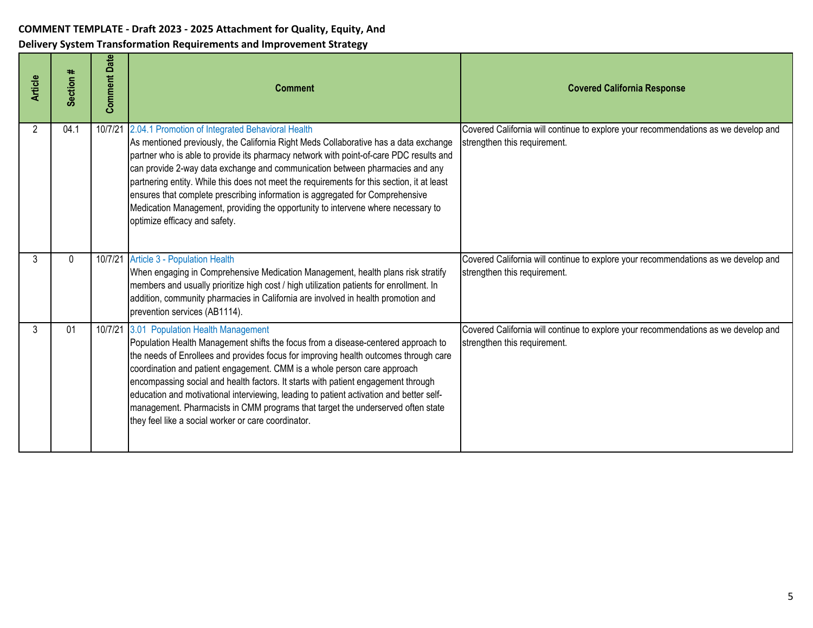| <b>Article</b> | Section #    | <b>Comment Date</b> | <b>Comment</b>                                                                                                                                                                                                                                                                                                                                                                                                                                                                                                                                                                                                         | <b>Covered California Response</b>                                                                                 |
|----------------|--------------|---------------------|------------------------------------------------------------------------------------------------------------------------------------------------------------------------------------------------------------------------------------------------------------------------------------------------------------------------------------------------------------------------------------------------------------------------------------------------------------------------------------------------------------------------------------------------------------------------------------------------------------------------|--------------------------------------------------------------------------------------------------------------------|
| 2              | 04.1         | 10/7/21             | 2.04.1 Promotion of Integrated Behavioral Health<br>As mentioned previously, the California Right Meds Collaborative has a data exchange<br>partner who is able to provide its pharmacy network with point-of-care PDC results and<br>can provide 2-way data exchange and communication between pharmacies and any<br>partnering entity. While this does not meet the requirements for this section, it at least<br>ensures that complete prescribing information is aggregated for Comprehensive<br>Medication Management, providing the opportunity to intervene where necessary to<br>optimize efficacy and safety. | Covered California will continue to explore your recommendations as we develop and<br>strengthen this requirement. |
| 3              | $\mathbf{0}$ |                     | 10/7/21 Article 3 - Population Health<br>When engaging in Comprehensive Medication Management, health plans risk stratify<br>members and usually prioritize high cost / high utilization patients for enrollment. In<br>addition, community pharmacies in California are involved in health promotion and<br>prevention services (AB1114).                                                                                                                                                                                                                                                                             | Covered California will continue to explore your recommendations as we develop and<br>strengthen this requirement. |
| 3              | 01           | 10/7/21             | 3.01 Population Health Management<br>Population Health Management shifts the focus from a disease-centered approach to<br>the needs of Enrollees and provides focus for improving health outcomes through care<br>coordination and patient engagement. CMM is a whole person care approach<br>encompassing social and health factors. It starts with patient engagement through<br>education and motivational interviewing, leading to patient activation and better self-<br>management. Pharmacists in CMM programs that target the underserved often state<br>they feel like a social worker or care coordinator.   | Covered California will continue to explore your recommendations as we develop and<br>strengthen this requirement. |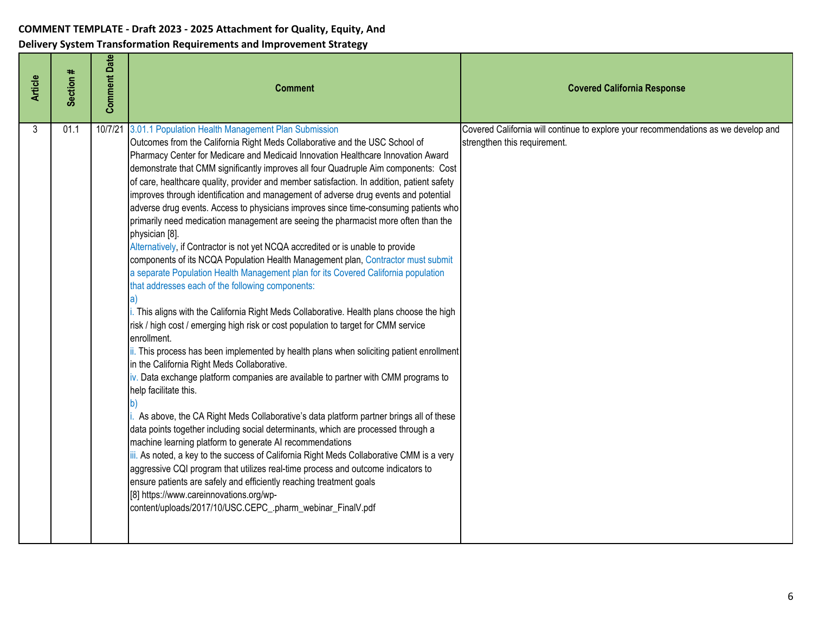| <b>Article</b> | Section # | <b>Comment Date</b> | <b>Comment</b>                                                                                                                                                                                                                                                                                                                                                                                                                                                                                                                                                                                                                                                                                                                                                                                                                                                                                                                                                                                                                                                                                                                                                                                                                                                                                                                                                                                                                                                                                                                                                                                                                                                                                                                                                                                                                                                                                                                                                                                                                                                                         | <b>Covered California Response</b>                                                                                 |
|----------------|-----------|---------------------|----------------------------------------------------------------------------------------------------------------------------------------------------------------------------------------------------------------------------------------------------------------------------------------------------------------------------------------------------------------------------------------------------------------------------------------------------------------------------------------------------------------------------------------------------------------------------------------------------------------------------------------------------------------------------------------------------------------------------------------------------------------------------------------------------------------------------------------------------------------------------------------------------------------------------------------------------------------------------------------------------------------------------------------------------------------------------------------------------------------------------------------------------------------------------------------------------------------------------------------------------------------------------------------------------------------------------------------------------------------------------------------------------------------------------------------------------------------------------------------------------------------------------------------------------------------------------------------------------------------------------------------------------------------------------------------------------------------------------------------------------------------------------------------------------------------------------------------------------------------------------------------------------------------------------------------------------------------------------------------------------------------------------------------------------------------------------------------|--------------------------------------------------------------------------------------------------------------------|
| 3              | 01.1      | 10/7/21             | 3.01.1 Population Health Management Plan Submission<br>Outcomes from the California Right Meds Collaborative and the USC School of<br>Pharmacy Center for Medicare and Medicaid Innovation Healthcare Innovation Award<br>demonstrate that CMM significantly improves all four Quadruple Aim components: Cost<br>of care, healthcare quality, provider and member satisfaction. In addition, patient safety<br>improves through identification and management of adverse drug events and potential<br>adverse drug events. Access to physicians improves since time-consuming patients who<br>primarily need medication management are seeing the pharmacist more often than the<br>physician [8].<br>Alternatively, if Contractor is not yet NCQA accredited or is unable to provide<br>components of its NCQA Population Health Management plan, Contractor must submit<br>a separate Population Health Management plan for its Covered California population<br>that addresses each of the following components:<br>This aligns with the California Right Meds Collaborative. Health plans choose the high<br>risk / high cost / emerging high risk or cost population to target for CMM service<br>enrollment.<br>ii. This process has been implemented by health plans when soliciting patient enrollment<br>in the California Right Meds Collaborative.<br>iv. Data exchange platform companies are available to partner with CMM programs to<br>help facilitate this.<br>As above, the CA Right Meds Collaborative's data platform partner brings all of these<br>data points together including social determinants, which are processed through a<br>machine learning platform to generate AI recommendations<br>iii. As noted, a key to the success of California Right Meds Collaborative CMM is a very<br>aggressive CQI program that utilizes real-time process and outcome indicators to<br>ensure patients are safely and efficiently reaching treatment goals<br>[8] https://www.careinnovations.org/wp-<br>content/uploads/2017/10/USC.CEPC_.pharm_webinar_FinalV.pdf | Covered California will continue to explore your recommendations as we develop and<br>strengthen this requirement. |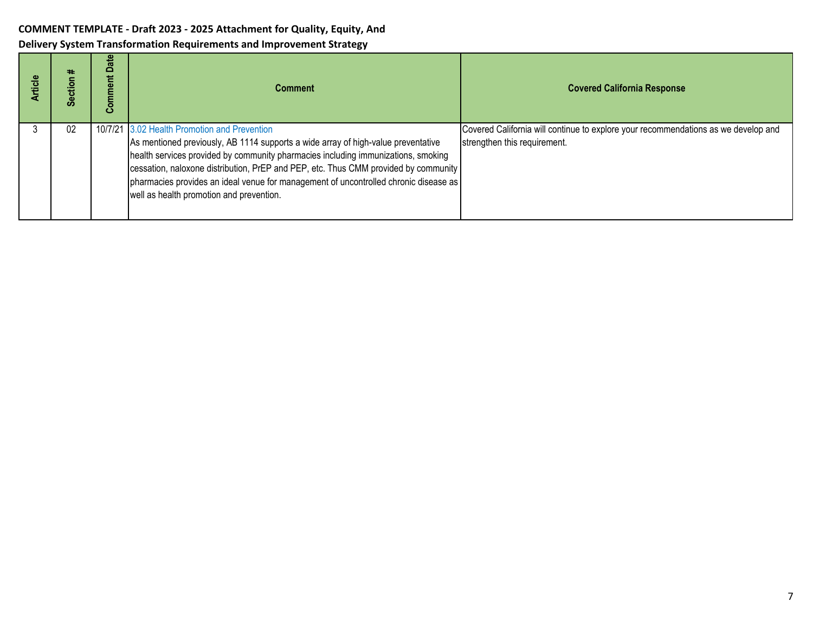| rticle | ₩<br>ဖိ | ate<br>≏<br>omment<br>ت | <b>Comment</b>                                                                                                                                                                                                                                                                                                                                                                                                                                    | <b>Covered California Response</b>                                                                                 |
|--------|---------|-------------------------|---------------------------------------------------------------------------------------------------------------------------------------------------------------------------------------------------------------------------------------------------------------------------------------------------------------------------------------------------------------------------------------------------------------------------------------------------|--------------------------------------------------------------------------------------------------------------------|
|        | 02      |                         | 10/7/21 3.02 Health Promotion and Prevention<br>As mentioned previously, AB 1114 supports a wide array of high-value preventative<br>health services provided by community pharmacies including immunizations, smoking<br>cessation, naloxone distribution, PrEP and PEP, etc. Thus CMM provided by community<br>pharmacies provides an ideal venue for management of uncontrolled chronic disease as<br>well as health promotion and prevention. | Covered California will continue to explore your recommendations as we develop and<br>strengthen this requirement. |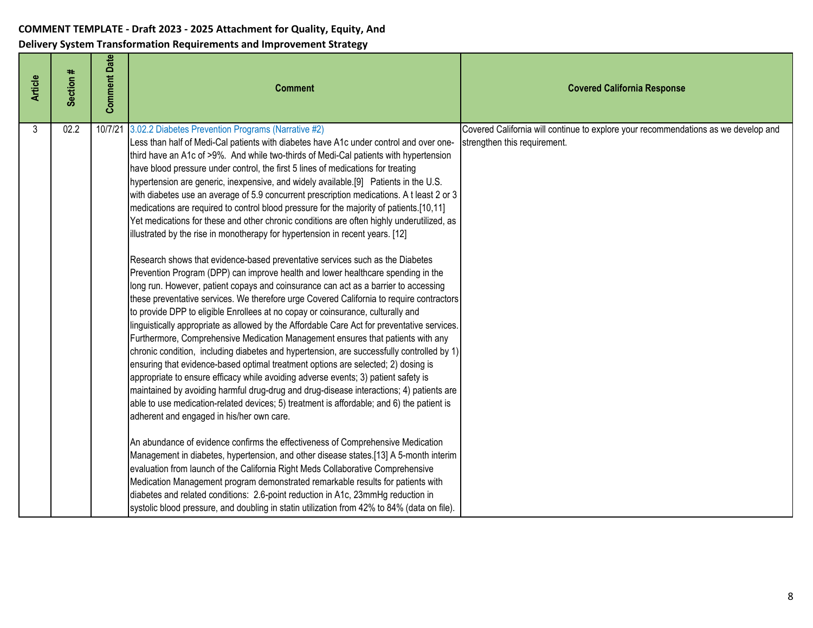| <b>Article</b> | Section # | <b>Comment Date</b> | <b>Comment</b>                                                                                                                                                                                                                                                                                                                                                                                                                                                                                                                                                                                                                                                                                                                                                                                                                                                                                                                                                                                                                                                                                                                                                                                                                                                                                                                                                                                                                                                                                                                                                                                                                                                                                                                                                                                                                                                                                                                                                                                                                                                                                                                                                                                                                                                                                                                                                                                                                                                                 | <b>Covered California Response</b>                                                                                 |
|----------------|-----------|---------------------|--------------------------------------------------------------------------------------------------------------------------------------------------------------------------------------------------------------------------------------------------------------------------------------------------------------------------------------------------------------------------------------------------------------------------------------------------------------------------------------------------------------------------------------------------------------------------------------------------------------------------------------------------------------------------------------------------------------------------------------------------------------------------------------------------------------------------------------------------------------------------------------------------------------------------------------------------------------------------------------------------------------------------------------------------------------------------------------------------------------------------------------------------------------------------------------------------------------------------------------------------------------------------------------------------------------------------------------------------------------------------------------------------------------------------------------------------------------------------------------------------------------------------------------------------------------------------------------------------------------------------------------------------------------------------------------------------------------------------------------------------------------------------------------------------------------------------------------------------------------------------------------------------------------------------------------------------------------------------------------------------------------------------------------------------------------------------------------------------------------------------------------------------------------------------------------------------------------------------------------------------------------------------------------------------------------------------------------------------------------------------------------------------------------------------------------------------------------------------------|--------------------------------------------------------------------------------------------------------------------|
| 3              | 02.2      |                     | 10/7/21 3.02.2 Diabetes Prevention Programs (Narrative #2)<br>Less than half of Medi-Cal patients with diabetes have A1c under control and over one-<br>third have an A1c of >9%. And while two-thirds of Medi-Cal patients with hypertension<br>have blood pressure under control, the first 5 lines of medications for treating<br>hypertension are generic, inexpensive, and widely available.[9] Patients in the U.S.<br>with diabetes use an average of 5.9 concurrent prescription medications. A t least 2 or 3<br>medications are required to control blood pressure for the majority of patients.[10,11]<br>Yet medications for these and other chronic conditions are often highly underutilized, as<br>illustrated by the rise in monotherapy for hypertension in recent years. [12]<br>Research shows that evidence-based preventative services such as the Diabetes<br>Prevention Program (DPP) can improve health and lower healthcare spending in the<br>long run. However, patient copays and coinsurance can act as a barrier to accessing<br>these preventative services. We therefore urge Covered California to require contractors<br>to provide DPP to eligible Enrollees at no copay or coinsurance, culturally and<br>linguistically appropriate as allowed by the Affordable Care Act for preventative services.<br>Furthermore, Comprehensive Medication Management ensures that patients with any<br>chronic condition, including diabetes and hypertension, are successfully controlled by 1)<br>ensuring that evidence-based optimal treatment options are selected; 2) dosing is<br>appropriate to ensure efficacy while avoiding adverse events; 3) patient safety is<br>maintained by avoiding harmful drug-drug and drug-disease interactions; 4) patients are<br>able to use medication-related devices; 5) treatment is affordable; and 6) the patient is<br>adherent and engaged in his/her own care.<br>An abundance of evidence confirms the effectiveness of Comprehensive Medication<br>Management in diabetes, hypertension, and other disease states.[13] A 5-month interim<br>evaluation from launch of the California Right Meds Collaborative Comprehensive<br>Medication Management program demonstrated remarkable results for patients with<br>diabetes and related conditions: 2.6-point reduction in A1c, 23mmHg reduction in<br>systolic blood pressure, and doubling in statin utilization from 42% to 84% (data on file). | Covered California will continue to explore your recommendations as we develop and<br>strengthen this requirement. |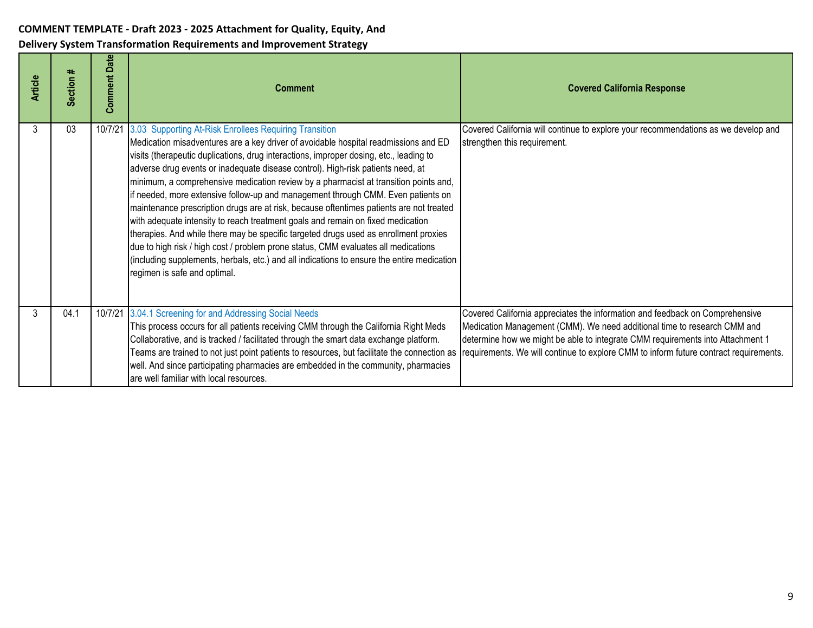| <b>Article</b> | ∗<br><b>Section</b> | <b>Comment Date</b> | <b>Comment</b>                                                                                                                                                                                                                                                                                                                                                                                                                                                                                                                                                                                                                                                                                                                                                                                                                                                                                                                                                                                   | <b>Covered California Response</b>                                                                                                                                                                                                                                                                                                  |
|----------------|---------------------|---------------------|--------------------------------------------------------------------------------------------------------------------------------------------------------------------------------------------------------------------------------------------------------------------------------------------------------------------------------------------------------------------------------------------------------------------------------------------------------------------------------------------------------------------------------------------------------------------------------------------------------------------------------------------------------------------------------------------------------------------------------------------------------------------------------------------------------------------------------------------------------------------------------------------------------------------------------------------------------------------------------------------------|-------------------------------------------------------------------------------------------------------------------------------------------------------------------------------------------------------------------------------------------------------------------------------------------------------------------------------------|
| 3              | 03                  | 10/7/21             | 3.03 Supporting At-Risk Enrollees Requiring Transition<br>Medication misadventures are a key driver of avoidable hospital readmissions and ED<br>visits (therapeutic duplications, drug interactions, improper dosing, etc., leading to<br>adverse drug events or inadequate disease control). High-risk patients need, at<br>minimum, a comprehensive medication review by a pharmacist at transition points and,<br>if needed, more extensive follow-up and management through CMM. Even patients on<br>maintenance prescription drugs are at risk, because oftentimes patients are not treated<br>with adequate intensity to reach treatment goals and remain on fixed medication<br>therapies. And while there may be specific targeted drugs used as enrollment proxies<br>due to high risk / high cost / problem prone status, CMM evaluates all medications<br>(including supplements, herbals, etc.) and all indications to ensure the entire medication<br>regimen is safe and optimal. | Covered California will continue to explore your recommendations as we develop and<br>strengthen this requirement.                                                                                                                                                                                                                  |
| 3              | 04.1                |                     | 10/7/21 3.04.1 Screening for and Addressing Social Needs<br>This process occurs for all patients receiving CMM through the California Right Meds<br>Collaborative, and is tracked / facilitated through the smart data exchange platform.<br>Teams are trained to not just point patients to resources, but facilitate the connection as<br>well. And since participating pharmacies are embedded in the community, pharmacies<br>are well familiar with local resources.                                                                                                                                                                                                                                                                                                                                                                                                                                                                                                                        | Covered California appreciates the information and feedback on Comprehensive<br>Medication Management (CMM). We need additional time to research CMM and<br>determine how we might be able to integrate CMM requirements into Attachment 1<br>requirements. We will continue to explore CMM to inform future contract requirements. |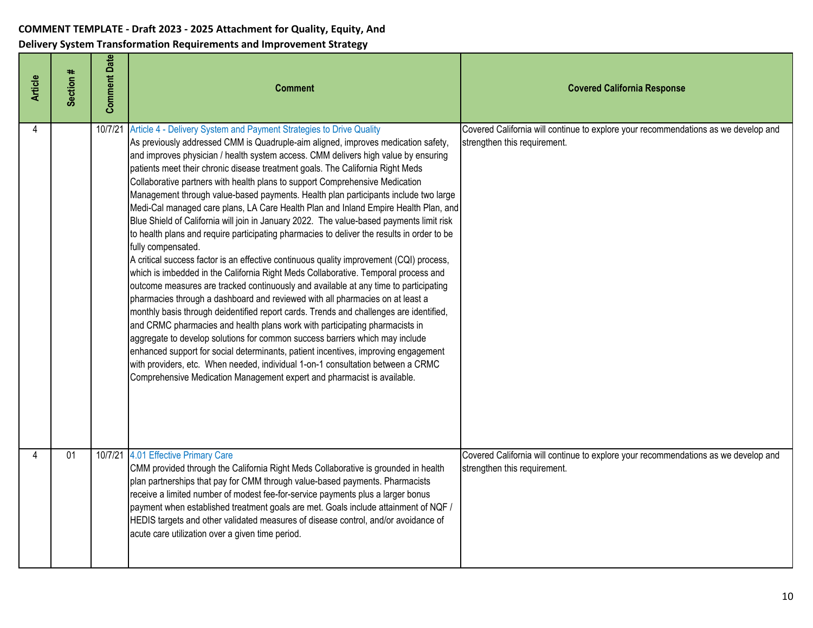| <b>Article</b> | Section # | <b>Comment Date</b> | <b>Comment</b>                                                                                                                                                                                                                                                                                                                                                                                                                                                                                                                                                                                                                                                                                                                                                                                                                                                                                                                                                                                                                                                                                                                                                                                                                                                                                                                                                                                                                                                                                                                                                                                                                                                                        | <b>Covered California Response</b>                                                                                 |
|----------------|-----------|---------------------|---------------------------------------------------------------------------------------------------------------------------------------------------------------------------------------------------------------------------------------------------------------------------------------------------------------------------------------------------------------------------------------------------------------------------------------------------------------------------------------------------------------------------------------------------------------------------------------------------------------------------------------------------------------------------------------------------------------------------------------------------------------------------------------------------------------------------------------------------------------------------------------------------------------------------------------------------------------------------------------------------------------------------------------------------------------------------------------------------------------------------------------------------------------------------------------------------------------------------------------------------------------------------------------------------------------------------------------------------------------------------------------------------------------------------------------------------------------------------------------------------------------------------------------------------------------------------------------------------------------------------------------------------------------------------------------|--------------------------------------------------------------------------------------------------------------------|
| 4              |           | 10/7/21             | Article 4 - Delivery System and Payment Strategies to Drive Quality<br>As previously addressed CMM is Quadruple-aim aligned, improves medication safety,<br>and improves physician / health system access. CMM delivers high value by ensuring<br>patients meet their chronic disease treatment goals. The California Right Meds<br>Collaborative partners with health plans to support Comprehensive Medication<br>Management through value-based payments. Health plan participants include two large<br>Medi-Cal managed care plans, LA Care Health Plan and Inland Empire Health Plan, and<br>Blue Shield of California will join in January 2022. The value-based payments limit risk<br>to health plans and require participating pharmacies to deliver the results in order to be<br>fully compensated.<br>A critical success factor is an effective continuous quality improvement (CQI) process,<br>which is imbedded in the California Right Meds Collaborative. Temporal process and<br>outcome measures are tracked continuously and available at any time to participating<br>pharmacies through a dashboard and reviewed with all pharmacies on at least a<br>monthly basis through deidentified report cards. Trends and challenges are identified,<br>and CRMC pharmacies and health plans work with participating pharmacists in<br>aggregate to develop solutions for common success barriers which may include<br>enhanced support for social determinants, patient incentives, improving engagement<br>with providers, etc. When needed, individual 1-on-1 consultation between a CRMC<br>Comprehensive Medication Management expert and pharmacist is available. | Covered California will continue to explore your recommendations as we develop and<br>strengthen this requirement. |
| Δ              | 01        |                     | 10/7/21 4.01 Effective Primary Care<br>CMM provided through the California Right Meds Collaborative is grounded in health<br>plan partnerships that pay for CMM through value-based payments. Pharmacists<br>receive a limited number of modest fee-for-service payments plus a larger bonus<br>payment when established treatment goals are met. Goals include attainment of NQF /<br>HEDIS targets and other validated measures of disease control, and/or avoidance of<br>acute care utilization over a given time period.                                                                                                                                                                                                                                                                                                                                                                                                                                                                                                                                                                                                                                                                                                                                                                                                                                                                                                                                                                                                                                                                                                                                                         | Covered California will continue to explore your recommendations as we develop and<br>strengthen this requirement. |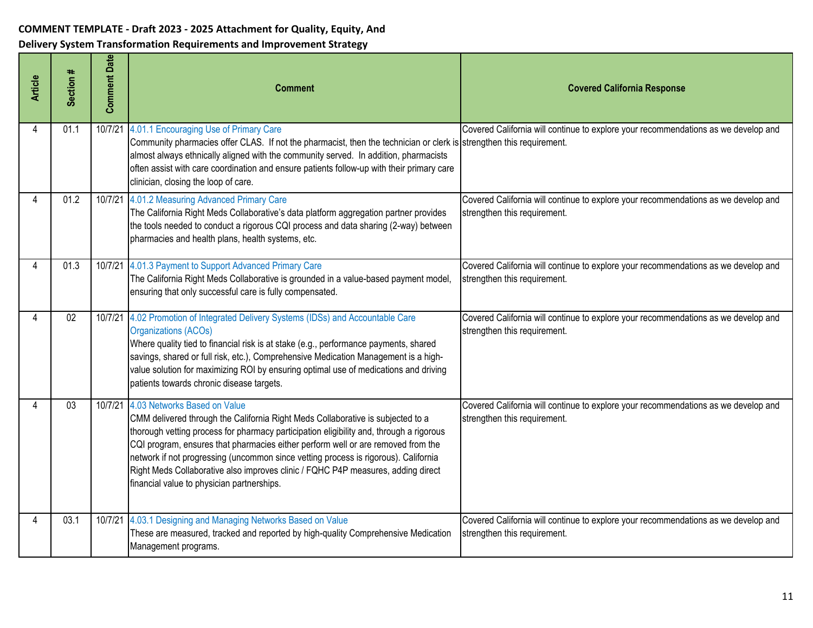| <b>Article</b> | Section # | <b>Comment Date</b> | <b>Comment</b>                                                                                                                                                                                                                                                                                                                                                                                                                                                                                                                  | <b>Covered California Response</b>                                                                                 |
|----------------|-----------|---------------------|---------------------------------------------------------------------------------------------------------------------------------------------------------------------------------------------------------------------------------------------------------------------------------------------------------------------------------------------------------------------------------------------------------------------------------------------------------------------------------------------------------------------------------|--------------------------------------------------------------------------------------------------------------------|
| 4              | 01.1      | 10/7/21             | 4.01.1 Encouraging Use of Primary Care<br>Community pharmacies offer CLAS. If not the pharmacist, then the technician or clerk is strengthen this requirement.<br>almost always ethnically aligned with the community served. In addition, pharmacists<br>often assist with care coordination and ensure patients follow-up with their primary care<br>clinician, closing the loop of care.                                                                                                                                     | Covered California will continue to explore your recommendations as we develop and                                 |
|                | 01.2      | 10/7/21             | 4.01.2 Measuring Advanced Primary Care<br>The California Right Meds Collaborative's data platform aggregation partner provides<br>the tools needed to conduct a rigorous CQI process and data sharing (2-way) between<br>pharmacies and health plans, health systems, etc.                                                                                                                                                                                                                                                      | Covered California will continue to explore your recommendations as we develop and<br>strengthen this requirement. |
|                | 01.3      |                     | 10/7/21 4.01.3 Payment to Support Advanced Primary Care<br>The California Right Meds Collaborative is grounded in a value-based payment model,<br>ensuring that only successful care is fully compensated.                                                                                                                                                                                                                                                                                                                      | Covered California will continue to explore your recommendations as we develop and<br>strengthen this requirement. |
|                | 02        |                     | 10/7/21 4.02 Promotion of Integrated Delivery Systems (IDSs) and Accountable Care<br><b>Organizations (ACOs)</b><br>Where quality tied to financial risk is at stake (e.g., performance payments, shared<br>savings, shared or full risk, etc.), Comprehensive Medication Management is a high-<br>value solution for maximizing ROI by ensuring optimal use of medications and driving<br>patients towards chronic disease targets.                                                                                            | Covered California will continue to explore your recommendations as we develop and<br>strengthen this requirement. |
|                | 03        |                     | 10/7/21 4.03 Networks Based on Value<br>CMM delivered through the California Right Meds Collaborative is subjected to a<br>thorough vetting process for pharmacy participation eligibility and, through a rigorous<br>CQI program, ensures that pharmacies either perform well or are removed from the<br>network if not progressing (uncommon since vetting process is rigorous). California<br>Right Meds Collaborative also improves clinic / FQHC P4P measures, adding direct<br>financial value to physician partnerships. | Covered California will continue to explore your recommendations as we develop and<br>strengthen this requirement. |
| Δ              | 03.1      |                     | 10/7/21 4.03.1 Designing and Managing Networks Based on Value<br>These are measured, tracked and reported by high-quality Comprehensive Medication<br>Management programs.                                                                                                                                                                                                                                                                                                                                                      | Covered California will continue to explore your recommendations as we develop and<br>strengthen this requirement. |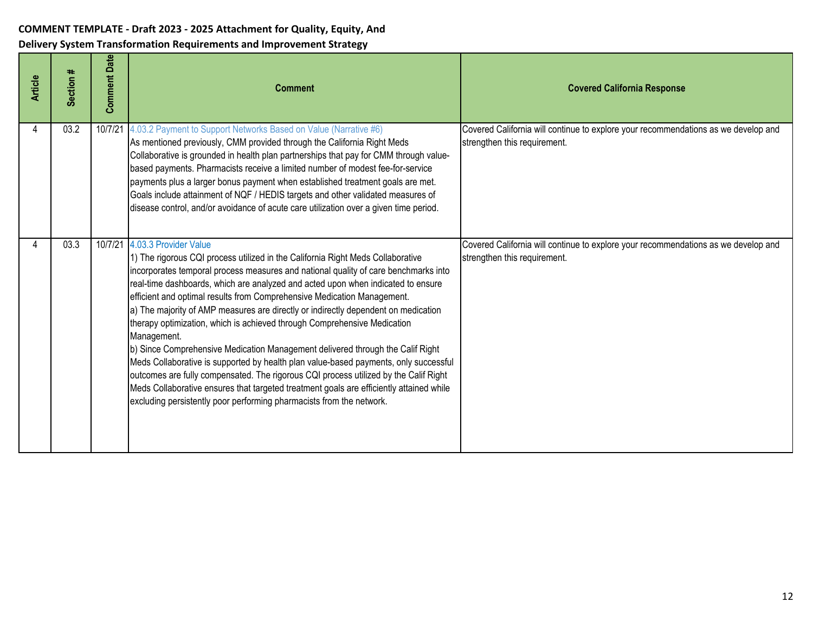| <b>Article</b> | Section # | <b>Comment Date</b> | <b>Comment</b>                                                                                                                                                                                                                                                                                                                                                                                                                                                                                                                                                                                                                                                                                                                                                                                                                                                                                                                                                                       | <b>Covered California Response</b>                                                                                 |
|----------------|-----------|---------------------|--------------------------------------------------------------------------------------------------------------------------------------------------------------------------------------------------------------------------------------------------------------------------------------------------------------------------------------------------------------------------------------------------------------------------------------------------------------------------------------------------------------------------------------------------------------------------------------------------------------------------------------------------------------------------------------------------------------------------------------------------------------------------------------------------------------------------------------------------------------------------------------------------------------------------------------------------------------------------------------|--------------------------------------------------------------------------------------------------------------------|
|                | 03.2      | 10/7/21             | 4.03.2 Payment to Support Networks Based on Value (Narrative #6)<br>As mentioned previously, CMM provided through the California Right Meds<br>Collaborative is grounded in health plan partnerships that pay for CMM through value-<br>based payments. Pharmacists receive a limited number of modest fee-for-service<br>payments plus a larger bonus payment when established treatment goals are met.<br>Goals include attainment of NQF / HEDIS targets and other validated measures of<br>disease control, and/or avoidance of acute care utilization over a given time period.                                                                                                                                                                                                                                                                                                                                                                                                 | Covered California will continue to explore your recommendations as we develop and<br>strengthen this requirement. |
|                | 03.3      | 10/7/21             | 4.03.3 Provider Value<br>1) The rigorous CQI process utilized in the California Right Meds Collaborative<br>incorporates temporal process measures and national quality of care benchmarks into<br>real-time dashboards, which are analyzed and acted upon when indicated to ensure<br>efficient and optimal results from Comprehensive Medication Management.<br>a) The majority of AMP measures are directly or indirectly dependent on medication<br>therapy optimization, which is achieved through Comprehensive Medication<br>Management.<br>b) Since Comprehensive Medication Management delivered through the Calif Right<br>Meds Collaborative is supported by health plan value-based payments, only successful<br>outcomes are fully compensated. The rigorous CQI process utilized by the Calif Right<br>Meds Collaborative ensures that targeted treatment goals are efficiently attained while<br>excluding persistently poor performing pharmacists from the network. | Covered California will continue to explore your recommendations as we develop and<br>strengthen this requirement. |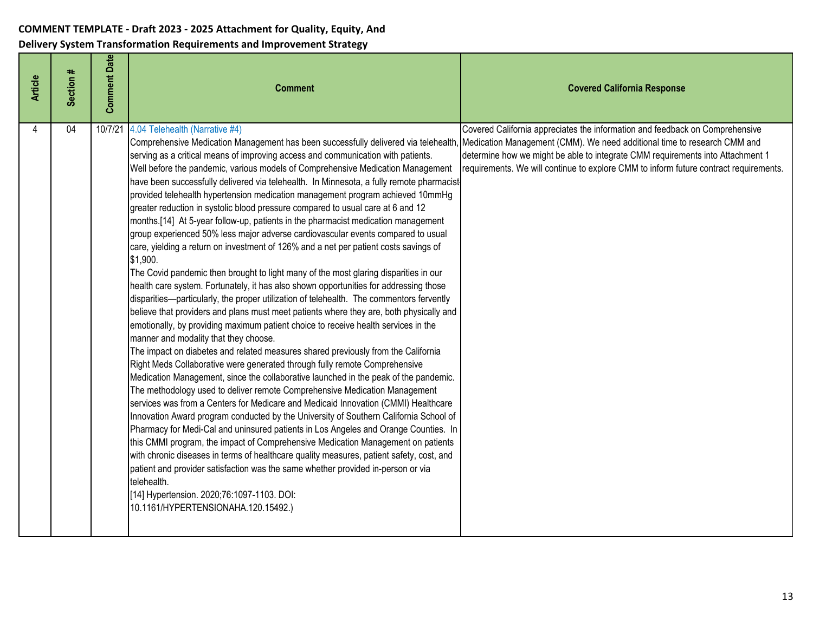| <b>Article</b> | Section # | <b>Comment Date</b> | <b>Comment</b>                                                                                                                                                                                                                                                                                                                                                                                                                                                                                                                                                                                                                                                                                                                                                                                                                                                                                                                                                                                                                                                                                                                                                                                                                                                                                                                                                                                                                                                                                                                                                                                                                                                                                                                                                                                                                                                                                                                                                                                                                                                                                                                                                                                                                                                                                                                                                                                                    | <b>Covered California Response</b>                                                                                                                                                                                                                      |
|----------------|-----------|---------------------|-------------------------------------------------------------------------------------------------------------------------------------------------------------------------------------------------------------------------------------------------------------------------------------------------------------------------------------------------------------------------------------------------------------------------------------------------------------------------------------------------------------------------------------------------------------------------------------------------------------------------------------------------------------------------------------------------------------------------------------------------------------------------------------------------------------------------------------------------------------------------------------------------------------------------------------------------------------------------------------------------------------------------------------------------------------------------------------------------------------------------------------------------------------------------------------------------------------------------------------------------------------------------------------------------------------------------------------------------------------------------------------------------------------------------------------------------------------------------------------------------------------------------------------------------------------------------------------------------------------------------------------------------------------------------------------------------------------------------------------------------------------------------------------------------------------------------------------------------------------------------------------------------------------------------------------------------------------------------------------------------------------------------------------------------------------------------------------------------------------------------------------------------------------------------------------------------------------------------------------------------------------------------------------------------------------------------------------------------------------------------------------------------------------------|---------------------------------------------------------------------------------------------------------------------------------------------------------------------------------------------------------------------------------------------------------|
| 4              | 04        | 10/7/21             | 4.04 Telehealth (Narrative #4)<br>Comprehensive Medication Management has been successfully delivered via telehealth, Medication Management (CMM). We need additional time to research CMM and<br>serving as a critical means of improving access and communication with patients.<br>Well before the pandemic, various models of Comprehensive Medication Management<br>have been successfully delivered via telehealth. In Minnesota, a fully remote pharmacist<br>provided telehealth hypertension medication management program achieved 10mmHg<br>greater reduction in systolic blood pressure compared to usual care at 6 and 12<br>months.[14] At 5-year follow-up, patients in the pharmacist medication management<br>group experienced 50% less major adverse cardiovascular events compared to usual<br>care, yielding a return on investment of 126% and a net per patient costs savings of<br>\$1,900.<br>The Covid pandemic then brought to light many of the most glaring disparities in our<br>health care system. Fortunately, it has also shown opportunities for addressing those<br>disparities-particularly, the proper utilization of telehealth. The commentors fervently<br>believe that providers and plans must meet patients where they are, both physically and<br>emotionally, by providing maximum patient choice to receive health services in the<br>manner and modality that they choose.<br>The impact on diabetes and related measures shared previously from the California<br>Right Meds Collaborative were generated through fully remote Comprehensive<br>Medication Management, since the collaborative launched in the peak of the pandemic.<br>The methodology used to deliver remote Comprehensive Medication Management<br>services was from a Centers for Medicare and Medicaid Innovation (CMMI) Healthcare<br>Innovation Award program conducted by the University of Southern California School of<br>Pharmacy for Medi-Cal and uninsured patients in Los Angeles and Orange Counties. In<br>this CMMI program, the impact of Comprehensive Medication Management on patients<br>with chronic diseases in terms of healthcare quality measures, patient safety, cost, and<br>patient and provider satisfaction was the same whether provided in-person or via<br>telehealth.<br>[14] Hypertension. 2020;76:1097-1103. DOI:<br>10.1161/HYPERTENSIONAHA.120.15492.) | Covered California appreciates the information and feedback on Comprehensive<br>determine how we might be able to integrate CMM requirements into Attachment 1<br>requirements. We will continue to explore CMM to inform future contract requirements. |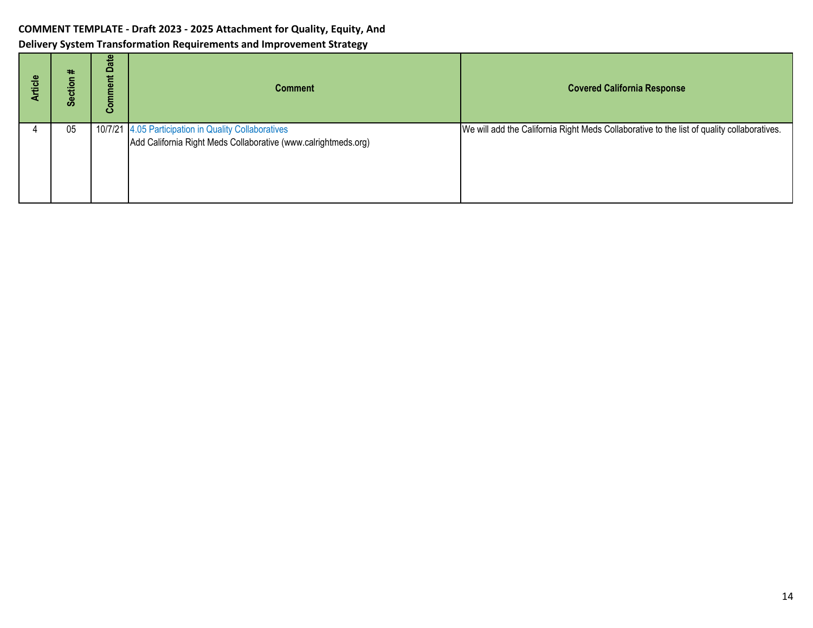| rticle | #<br>ဖိ | Date<br>ment<br>Com | <b>Comment</b>                                                                                                         | <b>Covered California Response</b>                                                         |
|--------|---------|---------------------|------------------------------------------------------------------------------------------------------------------------|--------------------------------------------------------------------------------------------|
|        | 05      |                     | 10/7/21 4.05 Participation in Quality Collaboratives<br>Add California Right Meds Collaborative (www.calrightmeds.org) | We will add the California Right Meds Collaborative to the list of quality collaboratives. |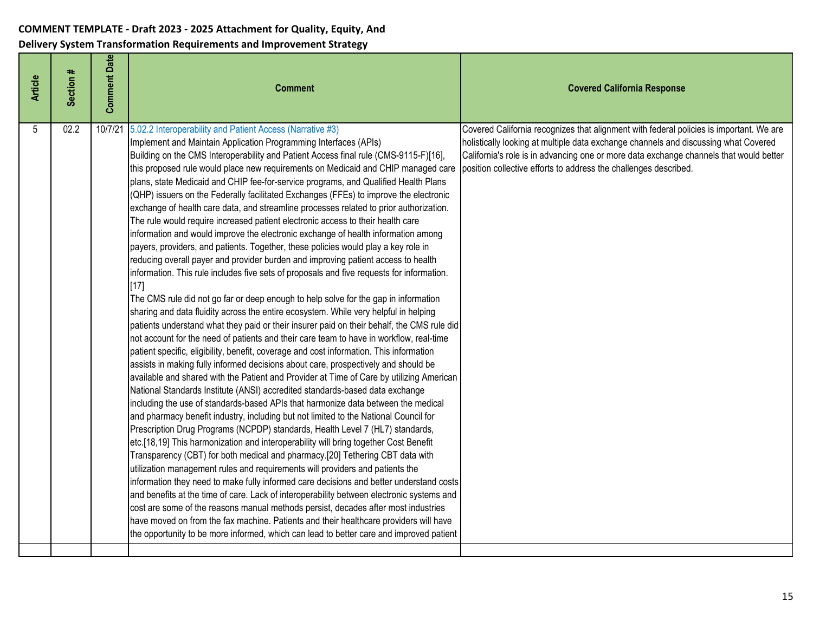| Section #<br><b>Article</b> | <b>Comment Date</b> | <b>Comment</b>                                                                                                                                                                                                                                                                                                                                                                                                                                                                                                                                                                                                                                                                                                                                                                                                                                                                                                                                                                                                                                                                                                                                                                                                                                                                                                                                                                                                                                                                                                                                                                                                                                                                                                                                                                                                                                                                                                                                                                                                                                                                                                                                                                                                                                                                                                                                                                                                                                                                                                                                                                                                                                                                                                                                                              | <b>Covered California Response</b>                                                                                                                                                                                                                                                                                                           |
|-----------------------------|---------------------|-----------------------------------------------------------------------------------------------------------------------------------------------------------------------------------------------------------------------------------------------------------------------------------------------------------------------------------------------------------------------------------------------------------------------------------------------------------------------------------------------------------------------------------------------------------------------------------------------------------------------------------------------------------------------------------------------------------------------------------------------------------------------------------------------------------------------------------------------------------------------------------------------------------------------------------------------------------------------------------------------------------------------------------------------------------------------------------------------------------------------------------------------------------------------------------------------------------------------------------------------------------------------------------------------------------------------------------------------------------------------------------------------------------------------------------------------------------------------------------------------------------------------------------------------------------------------------------------------------------------------------------------------------------------------------------------------------------------------------------------------------------------------------------------------------------------------------------------------------------------------------------------------------------------------------------------------------------------------------------------------------------------------------------------------------------------------------------------------------------------------------------------------------------------------------------------------------------------------------------------------------------------------------------------------------------------------------------------------------------------------------------------------------------------------------------------------------------------------------------------------------------------------------------------------------------------------------------------------------------------------------------------------------------------------------------------------------------------------------------------------------------------------------|----------------------------------------------------------------------------------------------------------------------------------------------------------------------------------------------------------------------------------------------------------------------------------------------------------------------------------------------|
| 02.2<br>5                   | 10/7/21             | 5.02.2 Interoperability and Patient Access (Narrative #3)<br>Implement and Maintain Application Programming Interfaces (APIs)<br>Building on the CMS Interoperability and Patient Access final rule (CMS-9115-F)[16],<br>this proposed rule would place new requirements on Medicaid and CHIP managed care<br>plans, state Medicaid and CHIP fee-for-service programs, and Qualified Health Plans<br>(QHP) issuers on the Federally facilitated Exchanges (FFEs) to improve the electronic<br>exchange of health care data, and streamline processes related to prior authorization.<br>The rule would require increased patient electronic access to their health care<br>information and would improve the electronic exchange of health information among<br>payers, providers, and patients. Together, these policies would play a key role in<br>reducing overall payer and provider burden and improving patient access to health<br>information. This rule includes five sets of proposals and five requests for information.<br>[17]<br>The CMS rule did not go far or deep enough to help solve for the gap in information<br>sharing and data fluidity across the entire ecosystem. While very helpful in helping<br>patients understand what they paid or their insurer paid on their behalf, the CMS rule did<br>not account for the need of patients and their care team to have in workflow, real-time<br>patient specific, eligibility, benefit, coverage and cost information. This information<br>assists in making fully informed decisions about care, prospectively and should be<br>available and shared with the Patient and Provider at Time of Care by utilizing American<br>National Standards Institute (ANSI) accredited standards-based data exchange<br>including the use of standards-based APIs that harmonize data between the medical<br>and pharmacy benefit industry, including but not limited to the National Council for<br>Prescription Drug Programs (NCPDP) standards, Health Level 7 (HL7) standards,<br>etc.[18,19] This harmonization and interoperability will bring together Cost Benefit<br>Transparency (CBT) for both medical and pharmacy.[20] Tethering CBT data with<br>utilization management rules and requirements will providers and patients the<br>information they need to make fully informed care decisions and better understand costs<br>and benefits at the time of care. Lack of interoperability between electronic systems and<br>cost are some of the reasons manual methods persist, decades after most industries<br>have moved on from the fax machine. Patients and their healthcare providers will have<br>the opportunity to be more informed, which can lead to better care and improved patient | Covered California recognizes that alignment with federal policies is important. We are<br>holistically looking at multiple data exchange channels and discussing what Covered<br>California's role is in advancing one or more data exchange channels that would better<br>position collective efforts to address the challenges described. |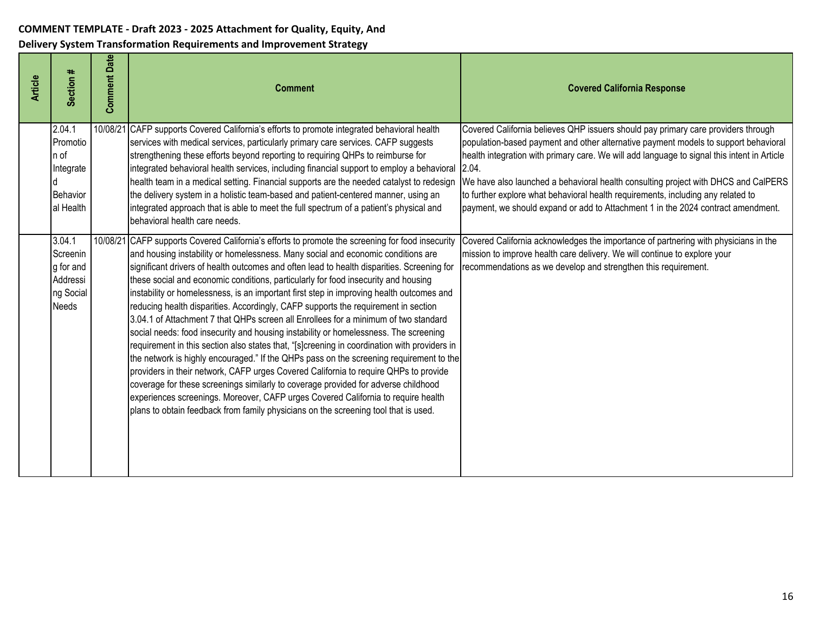| <b>Article</b> | Section #                                                         | <b>Comment Date</b> | <b>Comment</b>                                                                                                                                                                                                                                                                                                                                                                                                                                                                                                                                                                                                                                                                                                                                                                                                                                                                                                                                                                                                                                                                                                                                                                                                                                                                                 | <b>Covered California Response</b>                                                                                                                                                                                                                                                                                                                                                                                                                                                                                                             |
|----------------|-------------------------------------------------------------------|---------------------|------------------------------------------------------------------------------------------------------------------------------------------------------------------------------------------------------------------------------------------------------------------------------------------------------------------------------------------------------------------------------------------------------------------------------------------------------------------------------------------------------------------------------------------------------------------------------------------------------------------------------------------------------------------------------------------------------------------------------------------------------------------------------------------------------------------------------------------------------------------------------------------------------------------------------------------------------------------------------------------------------------------------------------------------------------------------------------------------------------------------------------------------------------------------------------------------------------------------------------------------------------------------------------------------|------------------------------------------------------------------------------------------------------------------------------------------------------------------------------------------------------------------------------------------------------------------------------------------------------------------------------------------------------------------------------------------------------------------------------------------------------------------------------------------------------------------------------------------------|
|                | 2.04.1<br>Promotio<br>n of<br>Integrate<br>Behavior<br>al Health  |                     | 10/08/21 CAFP supports Covered California's efforts to promote integrated behavioral health<br>services with medical services, particularly primary care services. CAFP suggests<br>strengthening these efforts beyond reporting to requiring QHPs to reimburse for<br>integrated behavioral health services, including financial support to employ a behavioral<br>health team in a medical setting. Financial supports are the needed catalyst to redesign<br>the delivery system in a holistic team-based and patient-centered manner, using an<br>integrated approach that is able to meet the full spectrum of a patient's physical and<br>behavioral health care needs.                                                                                                                                                                                                                                                                                                                                                                                                                                                                                                                                                                                                                  | Covered California believes QHP issuers should pay primary care providers through<br>population-based payment and other alternative payment models to support behavioral<br>health integration with primary care. We will add language to signal this intent in Article<br>2.04.<br>We have also launched a behavioral health consulting project with DHCS and CalPERS<br>to further explore what behavioral health requirements, including any related to<br>payment, we should expand or add to Attachment 1 in the 2024 contract amendment. |
|                | 3.04.1<br>Screenin<br>g for and<br>Addressi<br>ng Social<br>Needs |                     | 10/08/21 CAFP supports Covered California's efforts to promote the screening for food insecurity<br>and housing instability or homelessness. Many social and economic conditions are<br>significant drivers of health outcomes and often lead to health disparities. Screening for<br>these social and economic conditions, particularly for food insecurity and housing<br>instability or homelessness, is an important first step in improving health outcomes and<br>reducing health disparities. Accordingly, CAFP supports the requirement in section<br>3.04.1 of Attachment 7 that QHPs screen all Enrollees for a minimum of two standard<br>social needs: food insecurity and housing instability or homelessness. The screening<br>requirement in this section also states that, "[s]creening in coordination with providers in<br>the network is highly encouraged." If the QHPs pass on the screening requirement to the<br>providers in their network, CAFP urges Covered California to require QHPs to provide<br>coverage for these screenings similarly to coverage provided for adverse childhood<br>experiences screenings. Moreover, CAFP urges Covered California to require health<br>plans to obtain feedback from family physicians on the screening tool that is used. | Covered California acknowledges the importance of partnering with physicians in the<br>mission to improve health care delivery. We will continue to explore your<br>recommendations as we develop and strengthen this requirement.                                                                                                                                                                                                                                                                                                             |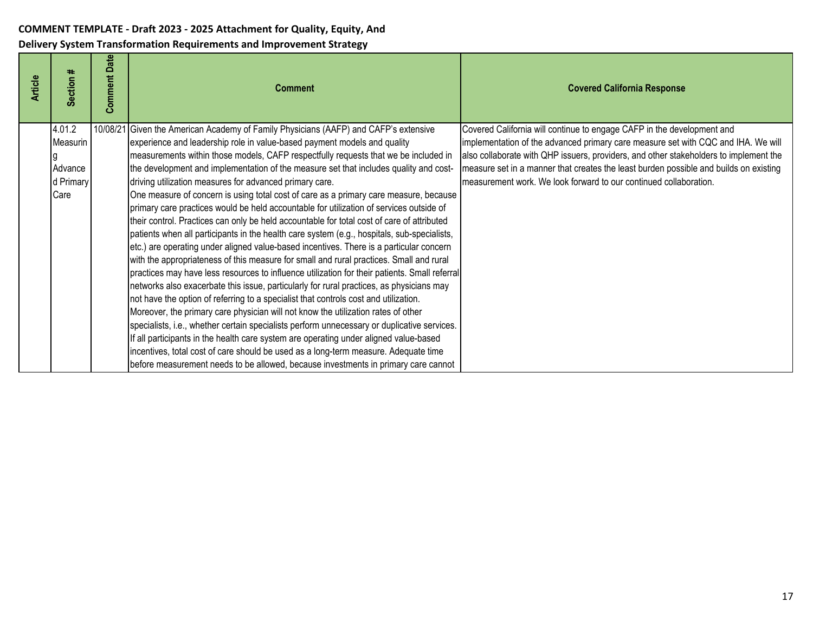| <b>Article</b> | ≠<br><b>Section</b> | <b>Comment Date</b> | <b>Comment</b>                                                                                | <b>Covered California Response</b>                                                    |
|----------------|---------------------|---------------------|-----------------------------------------------------------------------------------------------|---------------------------------------------------------------------------------------|
|                | 4.01.2              |                     | 10/08/21 Given the American Academy of Family Physicians (AAFP) and CAFP's extensive          | Covered California will continue to engage CAFP in the development and                |
|                | Measurin            |                     | experience and leadership role in value-based payment models and quality                      | implementation of the advanced primary care measure set with CQC and IHA. We will     |
|                |                     |                     | measurements within those models, CAFP respectfully requests that we be included in           | also collaborate with QHP issuers, providers, and other stakeholders to implement the |
|                | Advance             |                     | the development and implementation of the measure set that includes quality and cost-         | measure set in a manner that creates the least burden possible and builds on existing |
|                | d Primary           |                     | driving utilization measures for advanced primary care.                                       | measurement work. We look forward to our continued collaboration.                     |
|                | Care                |                     | One measure of concern is using total cost of care as a primary care measure, because         |                                                                                       |
|                |                     |                     | primary care practices would be held accountable for utilization of services outside of       |                                                                                       |
|                |                     |                     | their control. Practices can only be held accountable for total cost of care of attributed    |                                                                                       |
|                |                     |                     | patients when all participants in the health care system (e.g., hospitals, sub-specialists,   |                                                                                       |
|                |                     |                     | etc.) are operating under aligned value-based incentives. There is a particular concern       |                                                                                       |
|                |                     |                     | with the appropriateness of this measure for small and rural practices. Small and rural       |                                                                                       |
|                |                     |                     | practices may have less resources to influence utilization for their patients. Small referral |                                                                                       |
|                |                     |                     | networks also exacerbate this issue, particularly for rural practices, as physicians may      |                                                                                       |
|                |                     |                     | not have the option of referring to a specialist that controls cost and utilization.          |                                                                                       |
|                |                     |                     | Moreover, the primary care physician will not know the utilization rates of other             |                                                                                       |
|                |                     |                     | specialists, i.e., whether certain specialists perform unnecessary or duplicative services.   |                                                                                       |
|                |                     |                     | If all participants in the health care system are operating under aligned value-based         |                                                                                       |
|                |                     |                     | incentives, total cost of care should be used as a long-term measure. Adequate time           |                                                                                       |
|                |                     |                     | before measurement needs to be allowed, because investments in primary care cannot            |                                                                                       |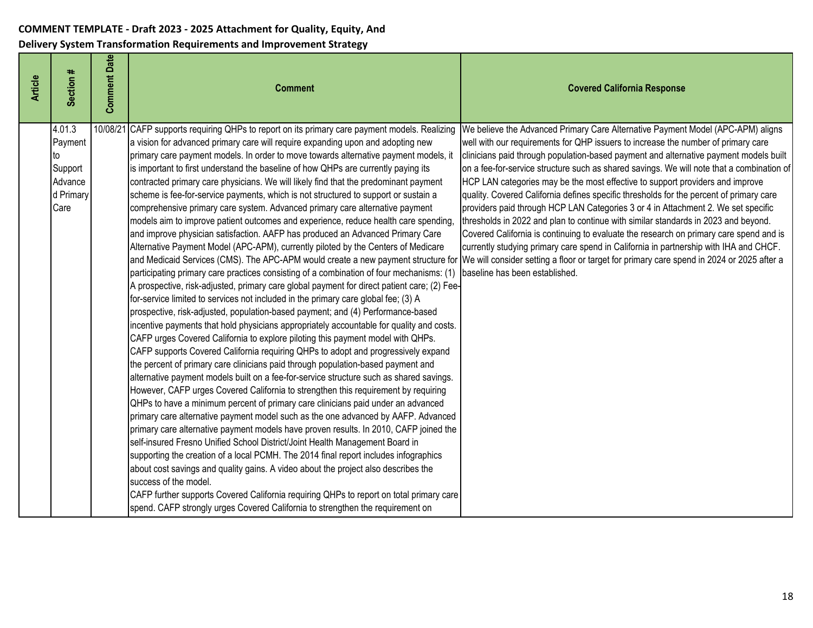| <b>Article</b> | Section #                                                          | <b>Comment Date</b> | <b>Comment</b>                                                                                                                                                                                                                                                                                                                                                                                                                                                                                                                                                                                                                                                                                                                                                                                                                                                                                                                                                                                                                                                                                                                                                                                                                                                                                                                                                                                                                                                                                                                                                                                                                                                                                                                                                                                                                                                                                                                                                                                                                                                                                                                                                                                                                                                                                                                                                                                                                                                                                                                                                                                                                                                                                                       | <b>Covered California Response</b>                                                                                                                                                                                                                                                                                                                                                                                                                                                                                                                                                                                                                                                                                                                                                                                                                                                                                                     |
|----------------|--------------------------------------------------------------------|---------------------|----------------------------------------------------------------------------------------------------------------------------------------------------------------------------------------------------------------------------------------------------------------------------------------------------------------------------------------------------------------------------------------------------------------------------------------------------------------------------------------------------------------------------------------------------------------------------------------------------------------------------------------------------------------------------------------------------------------------------------------------------------------------------------------------------------------------------------------------------------------------------------------------------------------------------------------------------------------------------------------------------------------------------------------------------------------------------------------------------------------------------------------------------------------------------------------------------------------------------------------------------------------------------------------------------------------------------------------------------------------------------------------------------------------------------------------------------------------------------------------------------------------------------------------------------------------------------------------------------------------------------------------------------------------------------------------------------------------------------------------------------------------------------------------------------------------------------------------------------------------------------------------------------------------------------------------------------------------------------------------------------------------------------------------------------------------------------------------------------------------------------------------------------------------------------------------------------------------------------------------------------------------------------------------------------------------------------------------------------------------------------------------------------------------------------------------------------------------------------------------------------------------------------------------------------------------------------------------------------------------------------------------------------------------------------------------------------------------------|----------------------------------------------------------------------------------------------------------------------------------------------------------------------------------------------------------------------------------------------------------------------------------------------------------------------------------------------------------------------------------------------------------------------------------------------------------------------------------------------------------------------------------------------------------------------------------------------------------------------------------------------------------------------------------------------------------------------------------------------------------------------------------------------------------------------------------------------------------------------------------------------------------------------------------------|
|                | 4.01.3<br>Payment<br>to<br>Support<br>Advance<br>d Primary<br>Care | 10/08/21            | CAFP supports requiring QHPs to report on its primary care payment models. Realizing<br>a vision for advanced primary care will require expanding upon and adopting new<br>primary care payment models. In order to move towards alternative payment models, it<br>is important to first understand the baseline of how QHPs are currently paying its<br>contracted primary care physicians. We will likely find that the predominant payment<br>scheme is fee-for-service payments, which is not structured to support or sustain a<br>comprehensive primary care system. Advanced primary care alternative payment<br>models aim to improve patient outcomes and experience, reduce health care spending,<br>and improve physician satisfaction. AAFP has produced an Advanced Primary Care<br>Alternative Payment Model (APC-APM), currently piloted by the Centers of Medicare<br>and Medicaid Services (CMS). The APC-APM would create a new payment structure for We will consider setting a floor or target for primary care spend in 2024 or 2025 after a<br>participating primary care practices consisting of a combination of four mechanisms: (1)<br>A prospective, risk-adjusted, primary care global payment for direct patient care; (2) Fee-<br>for-service limited to services not included in the primary care global fee; (3) A<br>prospective, risk-adjusted, population-based payment; and (4) Performance-based<br>incentive payments that hold physicians appropriately accountable for quality and costs.<br>CAFP urges Covered California to explore piloting this payment model with QHPs.<br>CAFP supports Covered California requiring QHPs to adopt and progressively expand<br>the percent of primary care clinicians paid through population-based payment and<br>alternative payment models built on a fee-for-service structure such as shared savings.<br>However, CAFP urges Covered California to strengthen this requirement by requiring<br>QHPs to have a minimum percent of primary care clinicians paid under an advanced<br>primary care alternative payment model such as the one advanced by AAFP. Advanced<br>primary care alternative payment models have proven results. In 2010, CAFP joined the<br>self-insured Fresno Unified School District/Joint Health Management Board in<br>supporting the creation of a local PCMH. The 2014 final report includes infographics<br>about cost savings and quality gains. A video about the project also describes the<br>success of the model.<br>CAFP further supports Covered California requiring QHPs to report on total primary care<br>spend. CAFP strongly urges Covered California to strengthen the requirement on | We believe the Advanced Primary Care Alternative Payment Model (APC-APM) aligns<br>well with our requirements for QHP issuers to increase the number of primary care<br>clinicians paid through population-based payment and alternative payment models built<br>on a fee-for-service structure such as shared savings. We will note that a combination of<br>HCP LAN categories may be the most effective to support providers and improve<br>quality. Covered California defines specific thresholds for the percent of primary care<br>providers paid through HCP LAN Categories 3 or 4 in Attachment 2. We set specific<br>thresholds in 2022 and plan to continue with similar standards in 2023 and beyond.<br>Covered California is continuing to evaluate the research on primary care spend and is<br>currently studying primary care spend in California in partnership with IHA and CHCF.<br>baseline has been established. |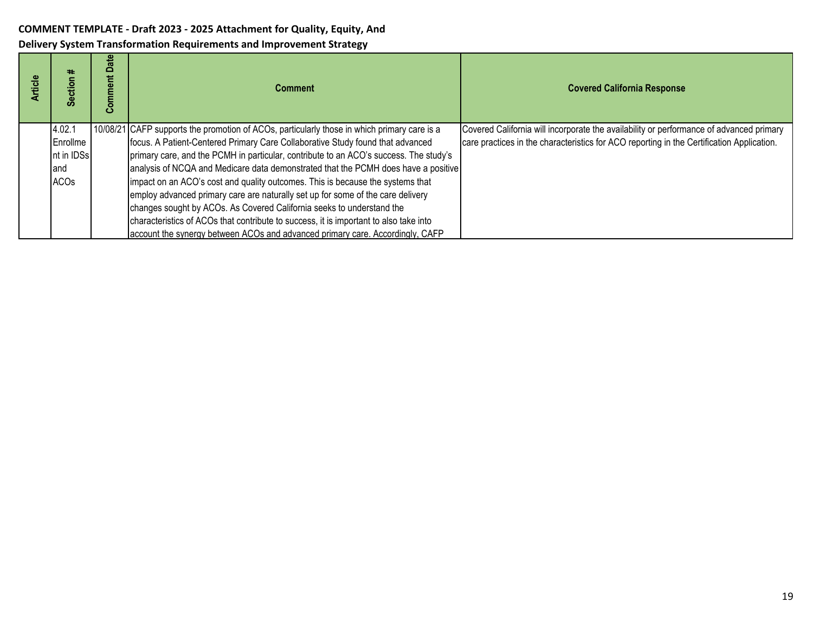| ticle | 22<br>ဖိ    | ate<br>≏<br>Comment | <b>Comment</b>                                                                              | <b>Covered California Response</b>                                                        |
|-------|-------------|---------------------|---------------------------------------------------------------------------------------------|-------------------------------------------------------------------------------------------|
|       | 4.02.1      |                     | 10/08/21 CAFP supports the promotion of ACOs, particularly those in which primary care is a | Covered California will incorporate the availability or performance of advanced primary   |
|       | Enrollme    |                     | focus. A Patient-Centered Primary Care Collaborative Study found that advanced              | care practices in the characteristics for ACO reporting in the Certification Application. |
|       | nt in IDSs  |                     | primary care, and the PCMH in particular, contribute to an ACO's success. The study's       |                                                                                           |
|       | and         |                     | analysis of NCQA and Medicare data demonstrated that the PCMH does have a positive          |                                                                                           |
|       | <b>ACOs</b> |                     | impact on an ACO's cost and quality outcomes. This is because the systems that              |                                                                                           |
|       |             |                     | employ advanced primary care are naturally set up for some of the care delivery             |                                                                                           |
|       |             |                     | changes sought by ACOs. As Covered California seeks to understand the                       |                                                                                           |
|       |             |                     | characteristics of ACOs that contribute to success, it is important to also take into       |                                                                                           |
|       |             |                     | account the synergy between ACOs and advanced primary care. Accordingly, CAFP               |                                                                                           |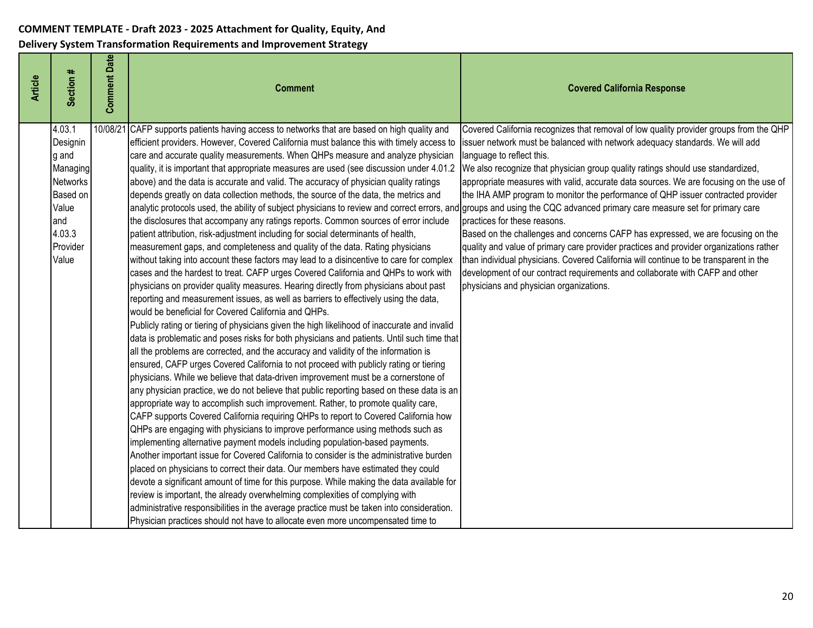| Section #<br><b>Article</b>                                                                                           | <b>Comment Date</b> | <b>Comment</b>                                                                                                                                                                                                                                                                                                                                                                                                                                                                                                                                                                                                                                                                                                                                                                                                                                                                                                                                                                                                                                                                                                                                                                                                                                                                                                                                                                                                                                                                                                                                                                                                                                                                                                                                                                                                                                                                                                                                                                                                                                                                                                                                                                                                                                                                                                                                                                                                                                                                                                                                                                                                                                                                                                                                                                                                                                                               | <b>Covered California Response</b>                                                                                                                                                                                                                                                                                                                                                                                                                                                                                                                                                                                                                                                                                                                                                                                                                                                                   |
|-----------------------------------------------------------------------------------------------------------------------|---------------------|------------------------------------------------------------------------------------------------------------------------------------------------------------------------------------------------------------------------------------------------------------------------------------------------------------------------------------------------------------------------------------------------------------------------------------------------------------------------------------------------------------------------------------------------------------------------------------------------------------------------------------------------------------------------------------------------------------------------------------------------------------------------------------------------------------------------------------------------------------------------------------------------------------------------------------------------------------------------------------------------------------------------------------------------------------------------------------------------------------------------------------------------------------------------------------------------------------------------------------------------------------------------------------------------------------------------------------------------------------------------------------------------------------------------------------------------------------------------------------------------------------------------------------------------------------------------------------------------------------------------------------------------------------------------------------------------------------------------------------------------------------------------------------------------------------------------------------------------------------------------------------------------------------------------------------------------------------------------------------------------------------------------------------------------------------------------------------------------------------------------------------------------------------------------------------------------------------------------------------------------------------------------------------------------------------------------------------------------------------------------------------------------------------------------------------------------------------------------------------------------------------------------------------------------------------------------------------------------------------------------------------------------------------------------------------------------------------------------------------------------------------------------------------------------------------------------------------------------------------------------------|------------------------------------------------------------------------------------------------------------------------------------------------------------------------------------------------------------------------------------------------------------------------------------------------------------------------------------------------------------------------------------------------------------------------------------------------------------------------------------------------------------------------------------------------------------------------------------------------------------------------------------------------------------------------------------------------------------------------------------------------------------------------------------------------------------------------------------------------------------------------------------------------------|
| 4.03.1<br>Designin<br>g and<br>Managing<br><b>Networks</b><br>Based on<br>Value<br>and<br>4.03.3<br>Provider<br>Value | 10/08/2             | CAFP supports patients having access to networks that are based on high quality and<br>efficient providers. However, Covered California must balance this with timely access to<br>care and accurate quality measurements. When QHPs measure and analyze physician<br>quality, it is important that appropriate measures are used (see discussion under 4.01.2<br>above) and the data is accurate and valid. The accuracy of physician quality ratings<br>depends greatly on data collection methods, the source of the data, the metrics and<br>analytic protocols used, the ability of subject physicians to review and correct errors, and groups and using the CQC advanced primary care measure set for primary care<br>the disclosures that accompany any ratings reports. Common sources of error include<br>patient attribution, risk-adjustment including for social determinants of health,<br>measurement gaps, and completeness and quality of the data. Rating physicians<br>without taking into account these factors may lead to a disincentive to care for complex<br>cases and the hardest to treat. CAFP urges Covered California and QHPs to work with<br>physicians on provider quality measures. Hearing directly from physicians about past<br>reporting and measurement issues, as well as barriers to effectively using the data,<br>would be beneficial for Covered California and QHPs.<br>Publicly rating or tiering of physicians given the high likelihood of inaccurate and invalid<br>data is problematic and poses risks for both physicians and patients. Until such time that<br>all the problems are corrected, and the accuracy and validity of the information is<br>ensured, CAFP urges Covered California to not proceed with publicly rating or tiering<br>physicians. While we believe that data-driven improvement must be a cornerstone of<br>any physician practice, we do not believe that public reporting based on these data is an<br>appropriate way to accomplish such improvement. Rather, to promote quality care,<br>CAFP supports Covered California requiring QHPs to report to Covered California how<br>QHPs are engaging with physicians to improve performance using methods such as<br>implementing alternative payment models including population-based payments.<br>Another important issue for Covered California to consider is the administrative burden<br>placed on physicians to correct their data. Our members have estimated they could<br>devote a significant amount of time for this purpose. While making the data available for<br>review is important, the already overwhelming complexities of complying with<br>administrative responsibilities in the average practice must be taken into consideration.<br>Physician practices should not have to allocate even more uncompensated time to | Covered California recognizes that removal of low quality provider groups from the QHP<br>issuer network must be balanced with network adequacy standards. We will add<br>language to reflect this.<br>We also recognize that physician group quality ratings should use standardized,<br>appropriate measures with valid, accurate data sources. We are focusing on the use of<br>the IHA AMP program to monitor the performance of QHP issuer contracted provider<br>practices for these reasons.<br>Based on the challenges and concerns CAFP has expressed, we are focusing on the<br>quality and value of primary care provider practices and provider organizations rather<br>than individual physicians. Covered California will continue to be transparent in the<br>development of our contract requirements and collaborate with CAFP and other<br>physicians and physician organizations. |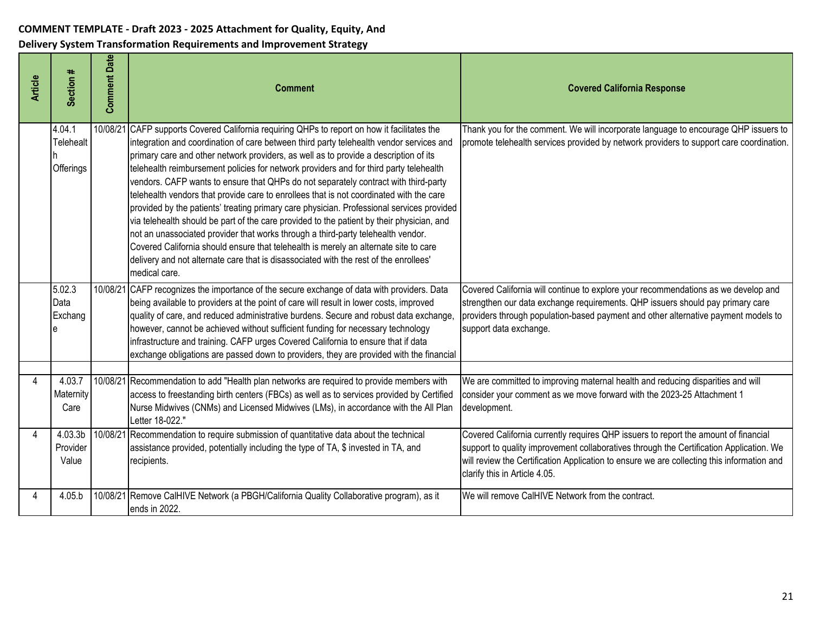| <b>Article</b> | Section #                               | <b>Comment Date</b> | <b>Comment</b>                                                                                                                                                                                                                                                                                                                                                                                                                                                                                                                                                                                                                                                                                                                                                                                                                                                                                                                                                                                                                     | <b>Covered California Response</b>                                                                                                                                                                                                                                                                            |
|----------------|-----------------------------------------|---------------------|------------------------------------------------------------------------------------------------------------------------------------------------------------------------------------------------------------------------------------------------------------------------------------------------------------------------------------------------------------------------------------------------------------------------------------------------------------------------------------------------------------------------------------------------------------------------------------------------------------------------------------------------------------------------------------------------------------------------------------------------------------------------------------------------------------------------------------------------------------------------------------------------------------------------------------------------------------------------------------------------------------------------------------|---------------------------------------------------------------------------------------------------------------------------------------------------------------------------------------------------------------------------------------------------------------------------------------------------------------|
|                | 4.04.1<br><b>Telehealt</b><br>Offerings | 10/08/2             | CAFP supports Covered California requiring QHPs to report on how it facilitates the<br>integration and coordination of care between third party telehealth vendor services and<br>primary care and other network providers, as well as to provide a description of its<br>telehealth reimbursement policies for network providers and for third party telehealth<br>vendors. CAFP wants to ensure that QHPs do not separately contract with third-party<br>telehealth vendors that provide care to enrollees that is not coordinated with the care<br>provided by the patients' treating primary care physician. Professional services provided<br>via telehealth should be part of the care provided to the patient by their physician, and<br>not an unassociated provider that works through a third-party telehealth vendor.<br>Covered California should ensure that telehealth is merely an alternate site to care<br>delivery and not alternate care that is disassociated with the rest of the enrollees'<br>medical care. | Thank you for the comment. We will incorporate language to encourage QHP issuers to<br>promote telehealth services provided by network providers to support care coordination.                                                                                                                                |
|                | 5.02.3<br>Data<br>Exchang               | 10/08/21            | CAFP recognizes the importance of the secure exchange of data with providers. Data<br>being available to providers at the point of care will result in lower costs, improved<br>quality of care, and reduced administrative burdens. Secure and robust data exchange,<br>however, cannot be achieved without sufficient funding for necessary technology<br>infrastructure and training. CAFP urges Covered California to ensure that if data<br>exchange obligations are passed down to providers, they are provided with the financial                                                                                                                                                                                                                                                                                                                                                                                                                                                                                           | Covered California will continue to explore your recommendations as we develop and<br>strengthen our data exchange requirements. QHP issuers should pay primary care<br>providers through population-based payment and other alternative payment models to<br>support data exchange.                          |
| 4              | 4.03.7<br>Maternity<br>Care             |                     | 10/08/21 Recommendation to add "Health plan networks are required to provide members with<br>access to freestanding birth centers (FBCs) as well as to services provided by Certified<br>Nurse Midwives (CNMs) and Licensed Midwives (LMs), in accordance with the All Plan<br>Letter 18-022."                                                                                                                                                                                                                                                                                                                                                                                                                                                                                                                                                                                                                                                                                                                                     | We are committed to improving maternal health and reducing disparities and will<br>consider your comment as we move forward with the 2023-25 Attachment 1<br>development.                                                                                                                                     |
| 4              | 4.03.3b<br>Provider<br>Value            | 10/08/21            | Recommendation to require submission of quantitative data about the technical<br>assistance provided, potentially including the type of TA, \$ invested in TA, and<br>recipients.                                                                                                                                                                                                                                                                                                                                                                                                                                                                                                                                                                                                                                                                                                                                                                                                                                                  | Covered California currently requires QHP issuers to report the amount of financial<br>support to quality improvement collaboratives through the Certification Application. We<br>will review the Certification Application to ensure we are collecting this information and<br>clarify this in Article 4.05. |
| 4              | 4.05.b                                  |                     | 10/08/21 Remove CalHIVE Network (a PBGH/California Quality Collaborative program), as it<br>ends in 2022.                                                                                                                                                                                                                                                                                                                                                                                                                                                                                                                                                                                                                                                                                                                                                                                                                                                                                                                          | We will remove CalHIVE Network from the contract.                                                                                                                                                                                                                                                             |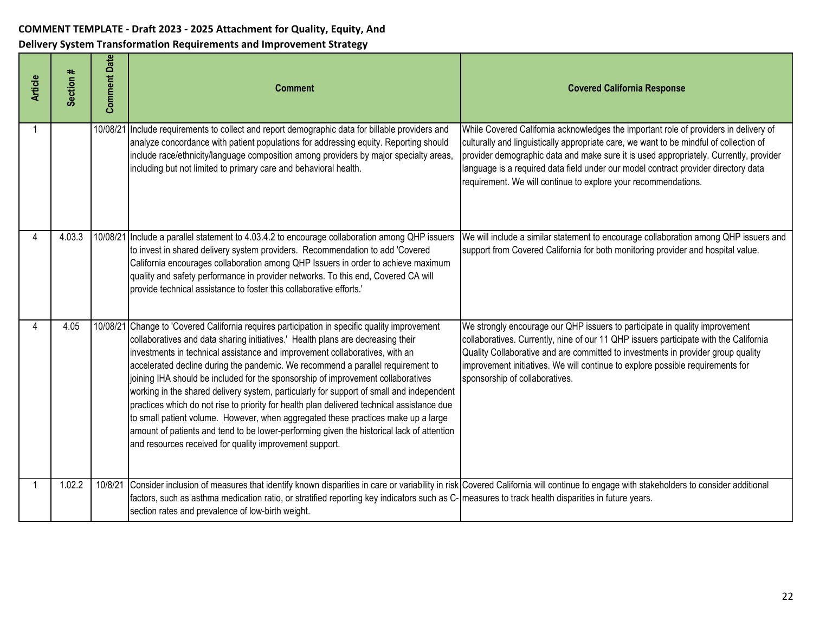| <b>Article</b> | Section # | Date<br>Comment | <b>Comment</b>                                                                                                                                                                                                                                                                                                                                                                                                                                                                                                                                                                                                                                                                                                                                                                                                                                                       | <b>Covered California Response</b>                                                                                                                                                                                                                                                                                                                                                                                              |
|----------------|-----------|-----------------|----------------------------------------------------------------------------------------------------------------------------------------------------------------------------------------------------------------------------------------------------------------------------------------------------------------------------------------------------------------------------------------------------------------------------------------------------------------------------------------------------------------------------------------------------------------------------------------------------------------------------------------------------------------------------------------------------------------------------------------------------------------------------------------------------------------------------------------------------------------------|---------------------------------------------------------------------------------------------------------------------------------------------------------------------------------------------------------------------------------------------------------------------------------------------------------------------------------------------------------------------------------------------------------------------------------|
| -1             |           |                 | 10/08/21 Include requirements to collect and report demographic data for billable providers and<br>analyze concordance with patient populations for addressing equity. Reporting should<br>include race/ethnicity/language composition among providers by major specialty areas<br>including but not limited to primary care and behavioral health.                                                                                                                                                                                                                                                                                                                                                                                                                                                                                                                  | While Covered California acknowledges the important role of providers in delivery of<br>culturally and linguistically appropriate care, we want to be mindful of collection of<br>provider demographic data and make sure it is used appropriately. Currently, provider<br>language is a required data field under our model contract provider directory data<br>requirement. We will continue to explore your recommendations. |
|                | 4.03.3    | 10/08/21        | Include a parallel statement to 4.03.4.2 to encourage collaboration among QHP issuers<br>to invest in shared delivery system providers. Recommendation to add 'Covered<br>California encourages collaboration among QHP Issuers in order to achieve maximum<br>quality and safety performance in provider networks. To this end, Covered CA will<br>provide technical assistance to foster this collaborative efforts.'                                                                                                                                                                                                                                                                                                                                                                                                                                              | We will include a similar statement to encourage collaboration among QHP issuers and<br>support from Covered California for both monitoring provider and hospital value.                                                                                                                                                                                                                                                        |
|                | 4.05      | 10/08/21        | Change to 'Covered California requires participation in specific quality improvement<br>collaboratives and data sharing initiatives.' Health plans are decreasing their<br>investments in technical assistance and improvement collaboratives, with an<br>accelerated decline during the pandemic. We recommend a parallel requirement to<br>joining IHA should be included for the sponsorship of improvement collaboratives<br>working in the shared delivery system, particularly for support of small and independent<br>practices which do not rise to priority for health plan delivered technical assistance due<br>to small patient volume. However, when aggregated these practices make up a large<br>amount of patients and tend to be lower-performing given the historical lack of attention<br>and resources received for quality improvement support. | We strongly encourage our QHP issuers to participate in quality improvement<br>collaboratives. Currently, nine of our 11 QHP issuers participate with the California<br>Quality Collaborative and are committed to investments in provider group quality<br>improvement initiatives. We will continue to explore possible requirements for<br>sponsorship of collaboratives.                                                    |
|                | 1.02.2    | 10/8/21         | Consider inclusion of measures that identify known disparities in care or variability in risk Covered California will continue to engage with stakeholders to consider additional<br>factors, such as asthma medication ratio, or stratified reporting key indicators such as C- measures to track health disparities in future years.<br>section rates and prevalence of low-birth weight.                                                                                                                                                                                                                                                                                                                                                                                                                                                                          |                                                                                                                                                                                                                                                                                                                                                                                                                                 |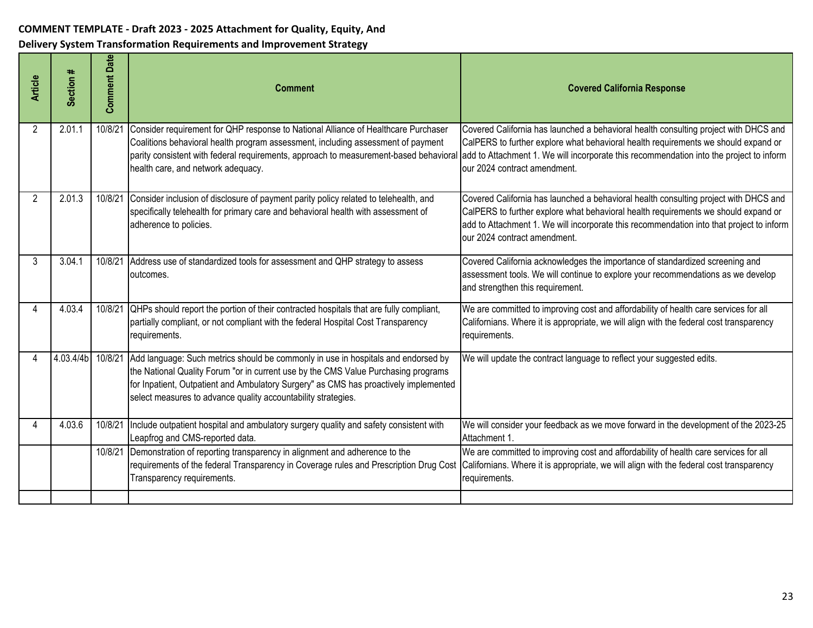| <b>Article</b> | Section #         | Date<br>Comment | <b>Comment</b>                                                                                                                                                                                                                                                                                                                                                                                | <b>Covered California Response</b>                                                                                                                                                                                                                                                                     |
|----------------|-------------------|-----------------|-----------------------------------------------------------------------------------------------------------------------------------------------------------------------------------------------------------------------------------------------------------------------------------------------------------------------------------------------------------------------------------------------|--------------------------------------------------------------------------------------------------------------------------------------------------------------------------------------------------------------------------------------------------------------------------------------------------------|
| 2              | 2.01.1            | 10/8/21         | Consider requirement for QHP response to National Alliance of Healthcare Purchaser<br>Coalitions behavioral health program assessment, including assessment of payment<br>parity consistent with federal requirements, approach to measurement-based behavioral add to Attachment 1. We will incorporate this recommendation into the project to inform<br>health care, and network adequacy. | Covered California has launched a behavioral health consulting project with DHCS and<br>CalPERS to further explore what behavioral health requirements we should expand or<br>our 2024 contract amendment.                                                                                             |
| 2              | 2.01.3            |                 | 10/8/21 Consider inclusion of disclosure of payment parity policy related to telehealth, and<br>specifically telehealth for primary care and behavioral health with assessment of<br>adherence to policies.                                                                                                                                                                                   | Covered California has launched a behavioral health consulting project with DHCS and<br>CalPERS to further explore what behavioral health requirements we should expand or<br>add to Attachment 1. We will incorporate this recommendation into that project to inform<br>our 2024 contract amendment. |
| 3              | 3.04.1            | 10/8/21         | Address use of standardized tools for assessment and QHP strategy to assess<br>outcomes.                                                                                                                                                                                                                                                                                                      | Covered California acknowledges the importance of standardized screening and<br>assessment tools. We will continue to explore your recommendations as we develop<br>and strengthen this requirement.                                                                                                   |
|                | 4.03.4            | 10/8/21         | QHPs should report the portion of their contracted hospitals that are fully compliant,<br>partially compliant, or not compliant with the federal Hospital Cost Transparency<br>requirements.                                                                                                                                                                                                  | We are committed to improving cost and affordability of health care services for all<br>Californians. Where it is appropriate, we will align with the federal cost transparency<br>requirements.                                                                                                       |
|                | 4.03.4/4b 10/8/21 |                 | Add language: Such metrics should be commonly in use in hospitals and endorsed by<br>the National Quality Forum "or in current use by the CMS Value Purchasing programs<br>for Inpatient, Outpatient and Ambulatory Surgery" as CMS has proactively implemented<br>select measures to advance quality accountability strategies.                                                              | We will update the contract language to reflect your suggested edits.                                                                                                                                                                                                                                  |
|                | 4.03.6            | 10/8/21         | Include outpatient hospital and ambulatory surgery quality and safety consistent with<br>Leapfrog and CMS-reported data.                                                                                                                                                                                                                                                                      | We will consider your feedback as we move forward in the development of the 2023-25<br>Attachment 1.                                                                                                                                                                                                   |
|                |                   | 10/8/21         | Demonstration of reporting transparency in alignment and adherence to the<br>requirements of the federal Transparency in Coverage rules and Prescription Drug Cost<br>Transparency requirements.                                                                                                                                                                                              | We are committed to improving cost and affordability of health care services for all<br>Californians. Where it is appropriate, we will align with the federal cost transparency<br>requirements.                                                                                                       |
|                |                   |                 |                                                                                                                                                                                                                                                                                                                                                                                               |                                                                                                                                                                                                                                                                                                        |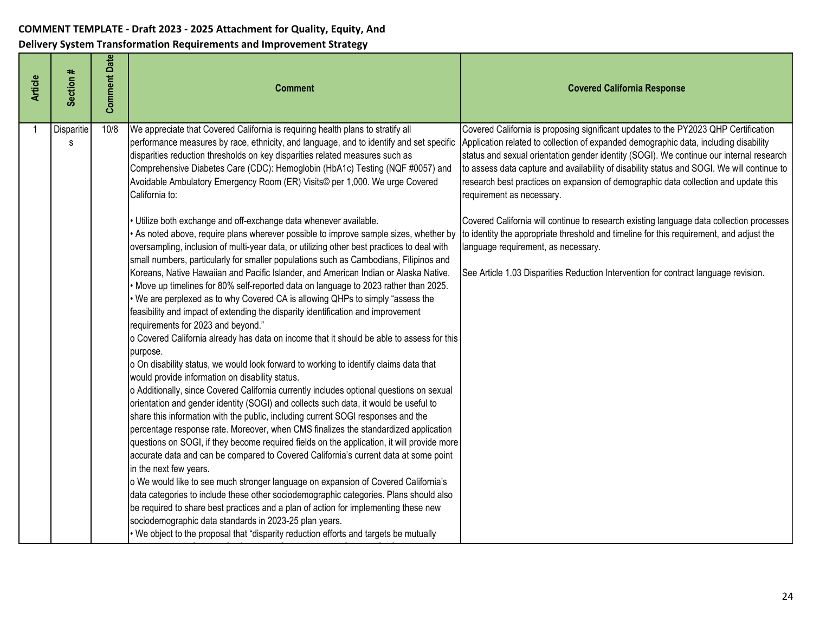| <b>Article</b> | Section #       | <b>Comment Date</b> | <b>Comment</b>                                                                                                                                                                                                                                                                                                                                                                                                                                                                                                                                                                                                                                                                                                                                                                                                                                                                                                                                                                                                                                                                                                                                                                                                                                                                                                                                                                                                                                                                                                                                                                                                                                                                                                                                                                                                                                                                                                                                                                                                                                                                                                                                                                                                                                                                                        | <b>Covered California Response</b>                                                                                                                                                                                                                                                                                                                                                                                                                                                                                                                                                                                                                                                                                                                                                                            |
|----------------|-----------------|---------------------|-------------------------------------------------------------------------------------------------------------------------------------------------------------------------------------------------------------------------------------------------------------------------------------------------------------------------------------------------------------------------------------------------------------------------------------------------------------------------------------------------------------------------------------------------------------------------------------------------------------------------------------------------------------------------------------------------------------------------------------------------------------------------------------------------------------------------------------------------------------------------------------------------------------------------------------------------------------------------------------------------------------------------------------------------------------------------------------------------------------------------------------------------------------------------------------------------------------------------------------------------------------------------------------------------------------------------------------------------------------------------------------------------------------------------------------------------------------------------------------------------------------------------------------------------------------------------------------------------------------------------------------------------------------------------------------------------------------------------------------------------------------------------------------------------------------------------------------------------------------------------------------------------------------------------------------------------------------------------------------------------------------------------------------------------------------------------------------------------------------------------------------------------------------------------------------------------------------------------------------------------------------------------------------------------------|---------------------------------------------------------------------------------------------------------------------------------------------------------------------------------------------------------------------------------------------------------------------------------------------------------------------------------------------------------------------------------------------------------------------------------------------------------------------------------------------------------------------------------------------------------------------------------------------------------------------------------------------------------------------------------------------------------------------------------------------------------------------------------------------------------------|
|                | Disparitie<br>s | 10/8                | We appreciate that Covered California is requiring health plans to stratify all<br>performance measures by race, ethnicity, and language, and to identify and set specific<br>disparities reduction thresholds on key disparities related measures such as<br>Comprehensive Diabetes Care (CDC): Hemoglobin (HbA1c) Testing (NQF #0057) and<br>Avoidable Ambulatory Emergency Room (ER) Visits© per 1,000. We urge Covered<br>California to:<br>· Utilize both exchange and off-exchange data whenever available.<br>As noted above, require plans wherever possible to improve sample sizes, whether by<br>oversampling, inclusion of multi-year data, or utilizing other best practices to deal with<br>small numbers, particularly for smaller populations such as Cambodians, Filipinos and<br>Koreans, Native Hawaiian and Pacific Islander, and American Indian or Alaska Native.<br>• Move up timelines for 80% self-reported data on language to 2023 rather than 2025.<br>• We are perplexed as to why Covered CA is allowing QHPs to simply "assess the<br>feasibility and impact of extending the disparity identification and improvement<br>requirements for 2023 and beyond."<br>o Covered California already has data on income that it should be able to assess for this<br>purpose.<br>o On disability status, we would look forward to working to identify claims data that<br>would provide information on disability status.<br>o Additionally, since Covered California currently includes optional questions on sexual<br>orientation and gender identity (SOGI) and collects such data, it would be useful to<br>share this information with the public, including current SOGI responses and the<br>percentage response rate. Moreover, when CMS finalizes the standardized application<br>questions on SOGI, if they become required fields on the application, it will provide more<br>accurate data and can be compared to Covered California's current data at some point<br>in the next few years.<br>o We would like to see much stronger language on expansion of Covered California's<br>data categories to include these other sociodemographic categories. Plans should also<br>be required to share best practices and a plan of action for implementing these new | Covered California is proposing significant updates to the PY2023 QHP Certification<br>Application related to collection of expanded demographic data, including disability<br>status and sexual orientation gender identity (SOGI). We continue our internal research<br>to assess data capture and availability of disability status and SOGI. We will continue to<br>research best practices on expansion of demographic data collection and update this<br>requirement as necessary.<br>Covered California will continue to research existing language data collection processes<br>to identity the appropriate threshold and timeline for this requirement, and adjust the<br>language requirement, as necessary.<br>See Article 1.03 Disparities Reduction Intervention for contract language revision. |
|                |                 |                     | sociodemographic data standards in 2023-25 plan years.<br>. We object to the proposal that "disparity reduction efforts and targets be mutually                                                                                                                                                                                                                                                                                                                                                                                                                                                                                                                                                                                                                                                                                                                                                                                                                                                                                                                                                                                                                                                                                                                                                                                                                                                                                                                                                                                                                                                                                                                                                                                                                                                                                                                                                                                                                                                                                                                                                                                                                                                                                                                                                       |                                                                                                                                                                                                                                                                                                                                                                                                                                                                                                                                                                                                                                                                                                                                                                                                               |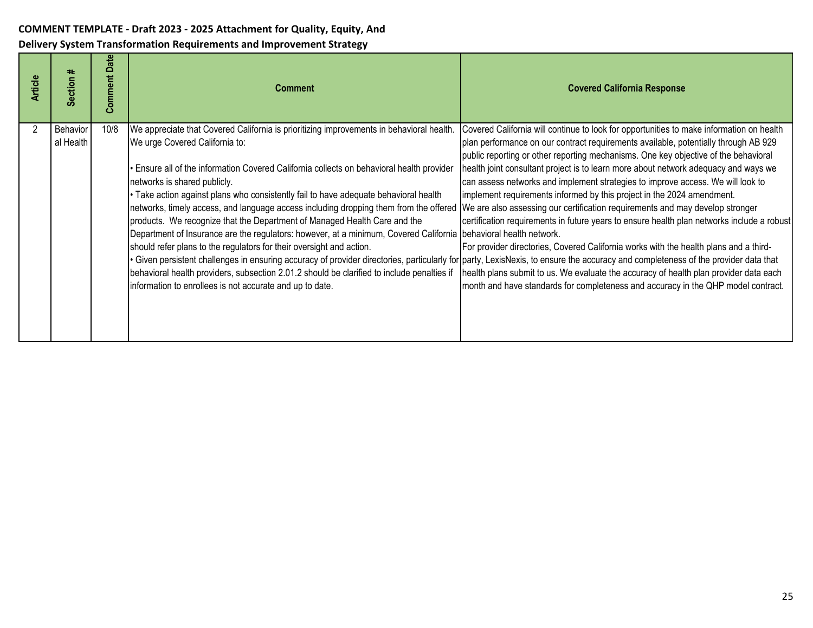| <b>Article</b> | ∗<br>Section          | $\frac{e}{a}$<br>≏<br>Comment | <b>Comment</b>                                                                                                                                                                                                                                                                                                                                                                                                                                                                                                                                                                                                                                                                                                                                                                                                                                                                                                                                                                                                                                                                                                                              | <b>Covered California Response</b>                                                                                                                                                                                                                                                                                                                                                                                                                                                                                                                                                                                                                                                                                                                                                                                                                                                              |
|----------------|-----------------------|-------------------------------|---------------------------------------------------------------------------------------------------------------------------------------------------------------------------------------------------------------------------------------------------------------------------------------------------------------------------------------------------------------------------------------------------------------------------------------------------------------------------------------------------------------------------------------------------------------------------------------------------------------------------------------------------------------------------------------------------------------------------------------------------------------------------------------------------------------------------------------------------------------------------------------------------------------------------------------------------------------------------------------------------------------------------------------------------------------------------------------------------------------------------------------------|-------------------------------------------------------------------------------------------------------------------------------------------------------------------------------------------------------------------------------------------------------------------------------------------------------------------------------------------------------------------------------------------------------------------------------------------------------------------------------------------------------------------------------------------------------------------------------------------------------------------------------------------------------------------------------------------------------------------------------------------------------------------------------------------------------------------------------------------------------------------------------------------------|
|                | Behavior<br>al Health | 10/8                          | We appreciate that Covered California is prioritizing improvements in behavioral health.<br>We urge Covered California to:<br>Ensure all of the information Covered California collects on behavioral health provider<br>networks is shared publicly.<br>. Take action against plans who consistently fail to have adequate behavioral health<br>networks, timely access, and language access including dropping them from the offered  We are also assessing our certification requirements and may develop stronger<br>products. We recognize that the Department of Managed Health Care and the<br>Department of Insurance are the regulators: however, at a minimum, Covered California behavioral health network.<br>should refer plans to the regulators for their oversight and action.<br>Given persistent challenges in ensuring accuracy of provider directories, particularly for party, LexisNexis, to ensure the accuracy and completeness of the provider data that<br>behavioral health providers, subsection 2.01.2 should be clarified to include penalties if<br>information to enrollees is not accurate and up to date. | Covered California will continue to look for opportunities to make information on health<br>plan performance on our contract requirements available, potentially through AB 929<br>public reporting or other reporting mechanisms. One key objective of the behavioral<br>health joint consultant project is to learn more about network adequacy and ways we<br>can assess networks and implement strategies to improve access. We will look to<br>implement requirements informed by this project in the 2024 amendment.<br>certification requirements in future years to ensure health plan networks include a robust<br>For provider directories, Covered California works with the health plans and a third-<br>health plans submit to us. We evaluate the accuracy of health plan provider data each<br>month and have standards for completeness and accuracy in the QHP model contract. |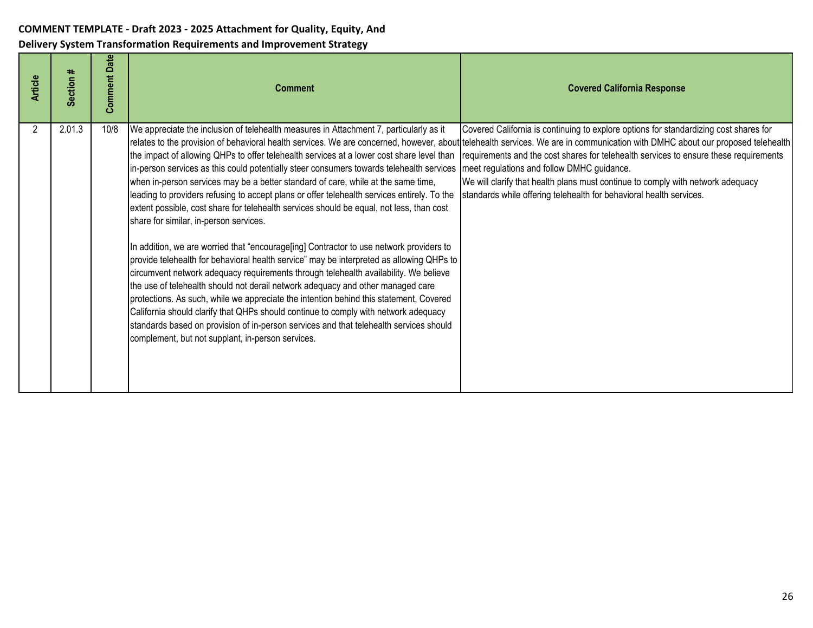| <b>Article</b> | Section # | <b>Comment Date</b> | <b>Comment</b>                                                                                                                                                                                                                                                                                                                                                                                                                                                                                                                                                                                                                                                                                                                                                                                                                                                                                                                                                                                                                                                                                                                                                                                                                                                                                              | <b>Covered California Response</b>                                                                                                                                                                                                                                                                                                                                                                                                                                                                                                                                      |
|----------------|-----------|---------------------|-------------------------------------------------------------------------------------------------------------------------------------------------------------------------------------------------------------------------------------------------------------------------------------------------------------------------------------------------------------------------------------------------------------------------------------------------------------------------------------------------------------------------------------------------------------------------------------------------------------------------------------------------------------------------------------------------------------------------------------------------------------------------------------------------------------------------------------------------------------------------------------------------------------------------------------------------------------------------------------------------------------------------------------------------------------------------------------------------------------------------------------------------------------------------------------------------------------------------------------------------------------------------------------------------------------|-------------------------------------------------------------------------------------------------------------------------------------------------------------------------------------------------------------------------------------------------------------------------------------------------------------------------------------------------------------------------------------------------------------------------------------------------------------------------------------------------------------------------------------------------------------------------|
| 2              | 2.01.3    | 10/8                | We appreciate the inclusion of telehealth measures in Attachment 7, particularly as it<br>the impact of allowing QHPs to offer telehealth services at a lower cost share level than<br>in-person services as this could potentially steer consumers towards telehealth services<br>when in-person services may be a better standard of care, while at the same time,<br>leading to providers refusing to accept plans or offer telehealth services entirely. To the<br>extent possible, cost share for telehealth services should be equal, not less, than cost<br>share for similar, in-person services.<br>In addition, we are worried that "encourage[ing] Contractor to use network providers to<br>provide telehealth for behavioral health service" may be interpreted as allowing QHPs to<br>circumvent network adequacy requirements through telehealth availability. We believe<br>the use of telehealth should not derail network adequacy and other managed care<br>protections. As such, while we appreciate the intention behind this statement, Covered<br>California should clarify that QHPs should continue to comply with network adequacy<br>standards based on provision of in-person services and that telehealth services should<br>complement, but not supplant, in-person services. | Covered California is continuing to explore options for standardizing cost shares for<br>relates to the provision of behavioral health services. We are concerned, however, about telehealth services. We are in communication with DMHC about our proposed telehealth<br>requirements and the cost shares for telehealth services to ensure these requirements<br>meet regulations and follow DMHC guidance.<br>We will clarify that health plans must continue to comply with network adequacy<br>standards while offering telehealth for behavioral health services. |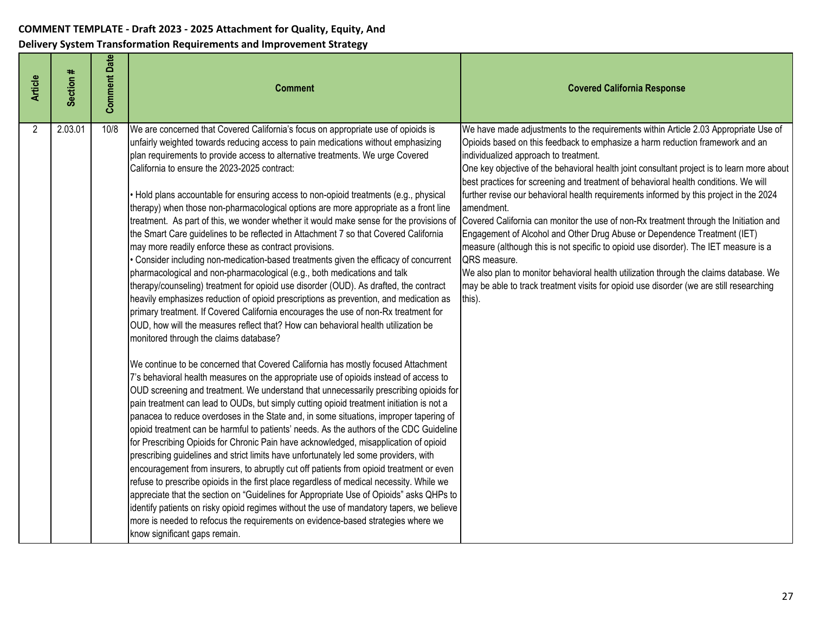| <b>Article</b> | Section # | <b>Comment Date</b> | <b>Comment</b>                                                                                                                                                                                                                                                                                                                                                                                                                                                                                                                                                                                                                                                                                                                                                                                                                                                                                                                                                                                                                                                                                                                                                                                                                                                                                                                                                                                                                                                                                                                                                                                                                                                                                                                                                                                                                                                                                                                                                                                                                                                                                                                                                                                                                                                                                                                                                                                                                                                                                                                                                | <b>Covered California Response</b>                                                                                                                                                                                                                                                                                                                                                                                                                                                                                                                                                                                                                                                                                                                                                                                                                                                                                                                                                    |
|----------------|-----------|---------------------|---------------------------------------------------------------------------------------------------------------------------------------------------------------------------------------------------------------------------------------------------------------------------------------------------------------------------------------------------------------------------------------------------------------------------------------------------------------------------------------------------------------------------------------------------------------------------------------------------------------------------------------------------------------------------------------------------------------------------------------------------------------------------------------------------------------------------------------------------------------------------------------------------------------------------------------------------------------------------------------------------------------------------------------------------------------------------------------------------------------------------------------------------------------------------------------------------------------------------------------------------------------------------------------------------------------------------------------------------------------------------------------------------------------------------------------------------------------------------------------------------------------------------------------------------------------------------------------------------------------------------------------------------------------------------------------------------------------------------------------------------------------------------------------------------------------------------------------------------------------------------------------------------------------------------------------------------------------------------------------------------------------------------------------------------------------------------------------------------------------------------------------------------------------------------------------------------------------------------------------------------------------------------------------------------------------------------------------------------------------------------------------------------------------------------------------------------------------------------------------------------------------------------------------------------------------|---------------------------------------------------------------------------------------------------------------------------------------------------------------------------------------------------------------------------------------------------------------------------------------------------------------------------------------------------------------------------------------------------------------------------------------------------------------------------------------------------------------------------------------------------------------------------------------------------------------------------------------------------------------------------------------------------------------------------------------------------------------------------------------------------------------------------------------------------------------------------------------------------------------------------------------------------------------------------------------|
| $\overline{2}$ | 2.03.01   | 10/8                | We are concerned that Covered California's focus on appropriate use of opioids is<br>unfairly weighted towards reducing access to pain medications without emphasizing<br>plan requirements to provide access to alternative treatments. We urge Covered<br>California to ensure the 2023-2025 contract:<br>• Hold plans accountable for ensuring access to non-opioid treatments (e.g., physical<br>therapy) when those non-pharmacological options are more appropriate as a front line<br>treatment. As part of this, we wonder whether it would make sense for the provisions of<br>the Smart Care guidelines to be reflected in Attachment 7 so that Covered California<br>may more readily enforce these as contract provisions.<br>Consider including non-medication-based treatments given the efficacy of concurrent<br>pharmacological and non-pharmacological (e.g., both medications and talk<br>therapy/counseling) treatment for opioid use disorder (OUD). As drafted, the contract<br>heavily emphasizes reduction of opioid prescriptions as prevention, and medication as<br>primary treatment. If Covered California encourages the use of non-Rx treatment for<br>OUD, how will the measures reflect that? How can behavioral health utilization be<br>monitored through the claims database?<br>We continue to be concerned that Covered California has mostly focused Attachment<br>7's behavioral health measures on the appropriate use of opioids instead of access to<br>OUD screening and treatment. We understand that unnecessarily prescribing opioids for<br>pain treatment can lead to OUDs, but simply cutting opioid treatment initiation is not a<br>panacea to reduce overdoses in the State and, in some situations, improper tapering of<br>opioid treatment can be harmful to patients' needs. As the authors of the CDC Guideline<br>for Prescribing Opioids for Chronic Pain have acknowledged, misapplication of opioid<br>prescribing guidelines and strict limits have unfortunately led some providers, with<br>encouragement from insurers, to abruptly cut off patients from opioid treatment or even<br>refuse to prescribe opioids in the first place regardless of medical necessity. While we<br>appreciate that the section on "Guidelines for Appropriate Use of Opioids" asks QHPs to<br>identify patients on risky opioid regimes without the use of mandatory tapers, we believe<br>more is needed to refocus the requirements on evidence-based strategies where we<br>know significant gaps remain. | We have made adjustments to the requirements within Article 2.03 Appropriate Use of<br>Opioids based on this feedback to emphasize a harm reduction framework and an<br>individualized approach to treatment.<br>One key objective of the behavioral health joint consultant project is to learn more about<br>best practices for screening and treatment of behavioral health conditions. We will<br>further revise our behavioral health requirements informed by this project in the 2024<br>amendment.<br>Covered California can monitor the use of non-Rx treatment through the Initiation and<br>Engagement of Alcohol and Other Drug Abuse or Dependence Treatment (IET)<br>measure (although this is not specific to opioid use disorder). The IET measure is a<br>QRS measure.<br>We also plan to monitor behavioral health utilization through the claims database. We<br>may be able to track treatment visits for opioid use disorder (we are still researching<br>this). |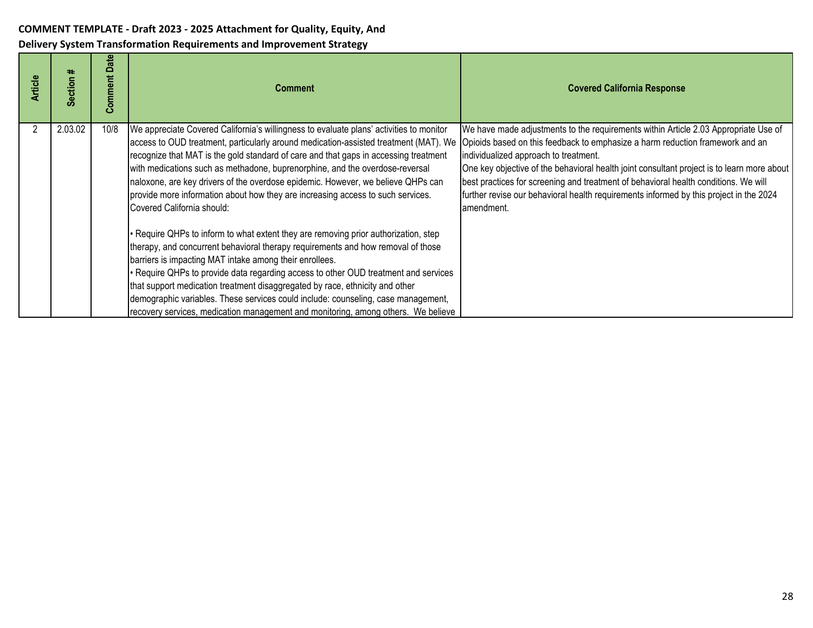| <b>Article</b> | ∗<br><b>Section</b> | Date<br>Comment | <b>Comment</b>                                                                                                                                                                                                                                                                                                                                                                                                                                                                                                                                                                      | <b>Covered California Response</b>                                                                                                                                                                                                                                                                                                                                                                                                                                                                         |
|----------------|---------------------|-----------------|-------------------------------------------------------------------------------------------------------------------------------------------------------------------------------------------------------------------------------------------------------------------------------------------------------------------------------------------------------------------------------------------------------------------------------------------------------------------------------------------------------------------------------------------------------------------------------------|------------------------------------------------------------------------------------------------------------------------------------------------------------------------------------------------------------------------------------------------------------------------------------------------------------------------------------------------------------------------------------------------------------------------------------------------------------------------------------------------------------|
|                | 2.03.02             | 10/8            | We appreciate Covered California's willingness to evaluate plans' activities to monitor<br>access to OUD treatment, particularly around medication-assisted treatment (MAT). We<br>recognize that MAT is the gold standard of care and that gaps in accessing treatment<br>with medications such as methadone, buprenorphine, and the overdose-reversal<br>naloxone, are key drivers of the overdose epidemic. However, we believe QHPs can<br>provide more information about how they are increasing access to such services.<br>Covered California should:                        | We have made adjustments to the requirements within Article 2.03 Appropriate Use of<br>Opioids based on this feedback to emphasize a harm reduction framework and an<br>individualized approach to treatment.<br>One key objective of the behavioral health joint consultant project is to learn more about<br>best practices for screening and treatment of behavioral health conditions. We will<br>further revise our behavioral health requirements informed by this project in the 2024<br>amendment. |
|                |                     |                 | • Require QHPs to inform to what extent they are removing prior authorization, step<br>therapy, and concurrent behavioral therapy requirements and how removal of those<br>barriers is impacting MAT intake among their enrollees.<br>• Require QHPs to provide data regarding access to other OUD treatment and services<br>that support medication treatment disaggregated by race, ethnicity and other<br>demographic variables. These services could include: counseling, case management,<br>recovery services, medication management and monitoring, among others. We believe |                                                                                                                                                                                                                                                                                                                                                                                                                                                                                                            |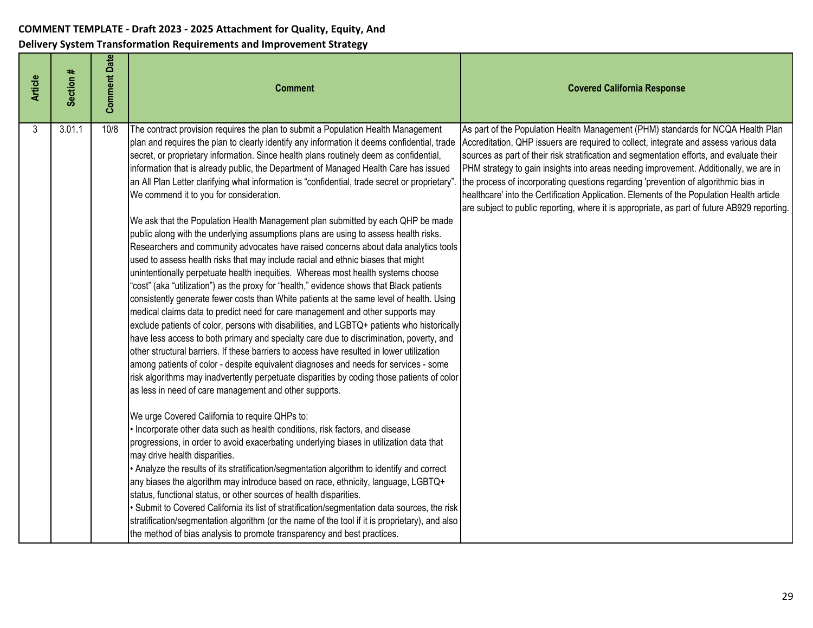| <b>Article</b> | Section # | <b>Comment Date</b> | <b>Comment</b>                                                                                                                                                                                                                                                                                                                                                                                                                                                                                                                                                                                                                                                                                                                                                                                                                                                                                                                                                                                                                                                                                                                                                                                                                                                                                                                                                                                                                                                                                                                                                                                                                                                                                                                                                                                                                                                                                                                                                                                                                                                                                                                                                                                                                                                                                                                                                                                                                                                                                                                                                             | <b>Covered California Response</b>                                                                                                                                                                                                                                                                                                                                                                                                                                                                                                                                                                                                                  |
|----------------|-----------|---------------------|----------------------------------------------------------------------------------------------------------------------------------------------------------------------------------------------------------------------------------------------------------------------------------------------------------------------------------------------------------------------------------------------------------------------------------------------------------------------------------------------------------------------------------------------------------------------------------------------------------------------------------------------------------------------------------------------------------------------------------------------------------------------------------------------------------------------------------------------------------------------------------------------------------------------------------------------------------------------------------------------------------------------------------------------------------------------------------------------------------------------------------------------------------------------------------------------------------------------------------------------------------------------------------------------------------------------------------------------------------------------------------------------------------------------------------------------------------------------------------------------------------------------------------------------------------------------------------------------------------------------------------------------------------------------------------------------------------------------------------------------------------------------------------------------------------------------------------------------------------------------------------------------------------------------------------------------------------------------------------------------------------------------------------------------------------------------------------------------------------------------------------------------------------------------------------------------------------------------------------------------------------------------------------------------------------------------------------------------------------------------------------------------------------------------------------------------------------------------------------------------------------------------------------------------------------------------------|-----------------------------------------------------------------------------------------------------------------------------------------------------------------------------------------------------------------------------------------------------------------------------------------------------------------------------------------------------------------------------------------------------------------------------------------------------------------------------------------------------------------------------------------------------------------------------------------------------------------------------------------------------|
| 3              | 3.01.1    | 10/8                | The contract provision requires the plan to submit a Population Health Management<br>plan and requires the plan to clearly identify any information it deems confidential, trade<br>secret, or proprietary information. Since health plans routinely deem as confidential,<br>information that is already public, the Department of Managed Health Care has issued<br>an All Plan Letter clarifying what information is "confidential, trade secret or proprietary'<br>We commend it to you for consideration.<br>We ask that the Population Health Management plan submitted by each QHP be made<br>public along with the underlying assumptions plans are using to assess health risks.<br>Researchers and community advocates have raised concerns about data analytics tools<br>used to assess health risks that may include racial and ethnic biases that might<br>unintentionally perpetuate health inequities. Whereas most health systems choose<br>"cost" (aka "utilization") as the proxy for "health," evidence shows that Black patients<br>consistently generate fewer costs than White patients at the same level of health. Using<br>medical claims data to predict need for care management and other supports may<br>exclude patients of color, persons with disabilities, and LGBTQ+ patients who historically<br>have less access to both primary and specialty care due to discrimination, poverty, and<br>other structural barriers. If these barriers to access have resulted in lower utilization<br>among patients of color - despite equivalent diagnoses and needs for services - some<br>risk algorithms may inadvertently perpetuate disparities by coding those patients of color<br>as less in need of care management and other supports.<br>We urge Covered California to require QHPs to:<br>Incorporate other data such as health conditions, risk factors, and disease<br>progressions, in order to avoid exacerbating underlying biases in utilization data that<br>may drive health disparities.<br>• Analyze the results of its stratification/segmentation algorithm to identify and correct<br>any biases the algorithm may introduce based on race, ethnicity, language, LGBTQ+<br>status, functional status, or other sources of health disparities.<br>Submit to Covered California its list of stratification/segmentation data sources, the risk<br>stratification/segmentation algorithm (or the name of the tool if it is proprietary), and also<br>the method of bias analysis to promote transparency and best practices. | As part of the Population Health Management (PHM) standards for NCQA Health Plan<br>Accreditation, QHP issuers are required to collect, integrate and assess various data<br>sources as part of their risk stratification and segmentation efforts, and evaluate their<br>PHM strategy to gain insights into areas needing improvement. Additionally, we are in<br>the process of incorporating questions regarding 'prevention of algorithmic bias in<br>healthcare' into the Certification Application. Elements of the Population Health article<br>are subject to public reporting, where it is appropriate, as part of future AB929 reporting. |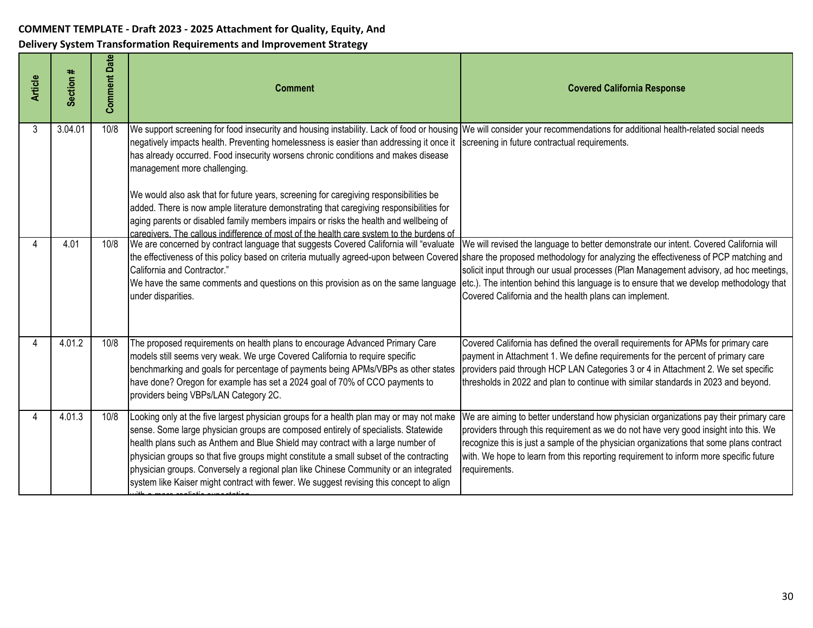| <b>Article</b> | Section # | <b>Comment Date</b> | <b>Comment</b>                                                                                                                                                                                                                                                                                                                                                                                                                                                                                                                                                                                                                                                                                                                                                       | <b>Covered California Response</b>                                                                                                                                                                                                                                                                                                                                                 |
|----------------|-----------|---------------------|----------------------------------------------------------------------------------------------------------------------------------------------------------------------------------------------------------------------------------------------------------------------------------------------------------------------------------------------------------------------------------------------------------------------------------------------------------------------------------------------------------------------------------------------------------------------------------------------------------------------------------------------------------------------------------------------------------------------------------------------------------------------|------------------------------------------------------------------------------------------------------------------------------------------------------------------------------------------------------------------------------------------------------------------------------------------------------------------------------------------------------------------------------------|
| 3              | 3.04.01   | 10/8                | We support screening for food insecurity and housing instability. Lack of food or housing We will consider your recommendations for additional health-related social needs<br>negatively impacts health. Preventing homelessness is easier than addressing it once it<br>has already occurred. Food insecurity worsens chronic conditions and makes disease<br>management more challenging.<br>We would also ask that for future years, screening for caregiving responsibilities be<br>added. There is now ample literature demonstrating that caregiving responsibilities for<br>aging parents or disabled family members impairs or risks the health and wellbeing of<br>caregivers. The callous indifference of most of the health care system to the burdens of | screening in future contractual requirements.                                                                                                                                                                                                                                                                                                                                      |
|                | 4.01      | 10/8                | We are concerned by contract language that suggests Covered California will "evaluate"<br>the effectiveness of this policy based on criteria mutually agreed-upon between Covered share the proposed methodology for analyzing the effectiveness of PCP matching and<br>California and Contractor."<br>We have the same comments and questions on this provision as on the same language<br>under disparities.                                                                                                                                                                                                                                                                                                                                                       | We will revised the language to better demonstrate our intent. Covered California will<br>solicit input through our usual processes (Plan Management advisory, ad hoc meetings,<br>etc.). The intention behind this language is to ensure that we develop methodology that<br>Covered California and the health plans can implement.                                               |
| Δ              | 4.01.2    | 10/8                | The proposed requirements on health plans to encourage Advanced Primary Care<br>models still seems very weak. We urge Covered California to require specific<br>benchmarking and goals for percentage of payments being APMs/VBPs as other states<br>have done? Oregon for example has set a 2024 goal of 70% of CCO payments to<br>providers being VBPs/LAN Category 2C.                                                                                                                                                                                                                                                                                                                                                                                            | Covered California has defined the overall requirements for APMs for primary care<br>payment in Attachment 1. We define requirements for the percent of primary care<br>providers paid through HCP LAN Categories 3 or 4 in Attachment 2. We set specific<br>thresholds in 2022 and plan to continue with similar standards in 2023 and beyond.                                    |
| Δ              | 4.01.3    | 10/8                | Looking only at the five largest physician groups for a health plan may or may not make<br>sense. Some large physician groups are composed entirely of specialists. Statewide<br>health plans such as Anthem and Blue Shield may contract with a large number of<br>physician groups so that five groups might constitute a small subset of the contracting<br>physician groups. Conversely a regional plan like Chinese Community or an integrated<br>system like Kaiser might contract with fewer. We suggest revising this concept to align                                                                                                                                                                                                                       | We are aiming to better understand how physician organizations pay their primary care<br>providers through this requirement as we do not have very good insight into this. We<br>recognize this is just a sample of the physician organizations that some plans contract<br>with. We hope to learn from this reporting requirement to inform more specific future<br>requirements. |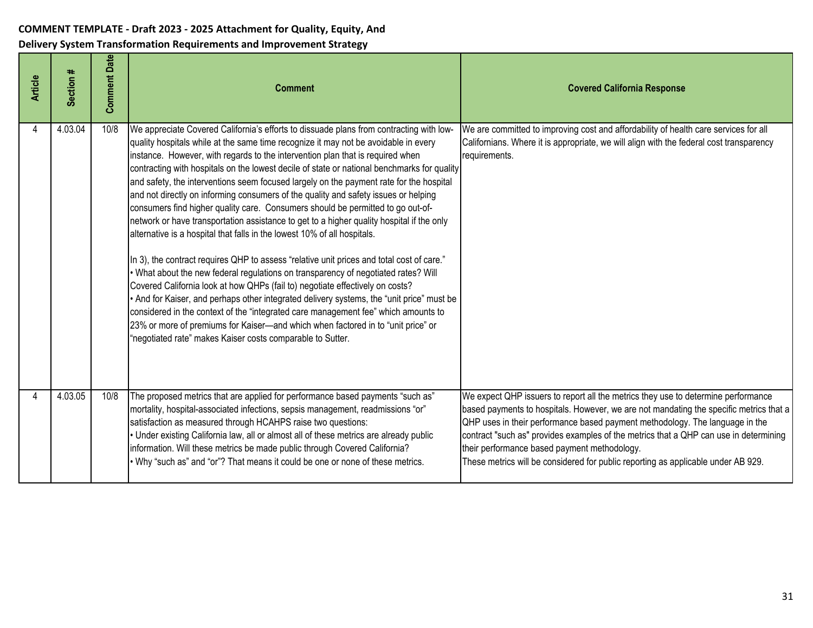| <b>Article</b> | Section # | <b>Comment Date</b> | <b>Comment</b>                                                                                                                                                                                                                                                                                                                                                                                                                                                                                                                                                                                                                                                                                                                                                                                                                                                                                                                                                                                                                                                                                                                                                                                                                                                                                                                                                                                                         | <b>Covered California Response</b>                                                                                                                                                                                                                                                                                                                                                                                                                                                        |
|----------------|-----------|---------------------|------------------------------------------------------------------------------------------------------------------------------------------------------------------------------------------------------------------------------------------------------------------------------------------------------------------------------------------------------------------------------------------------------------------------------------------------------------------------------------------------------------------------------------------------------------------------------------------------------------------------------------------------------------------------------------------------------------------------------------------------------------------------------------------------------------------------------------------------------------------------------------------------------------------------------------------------------------------------------------------------------------------------------------------------------------------------------------------------------------------------------------------------------------------------------------------------------------------------------------------------------------------------------------------------------------------------------------------------------------------------------------------------------------------------|-------------------------------------------------------------------------------------------------------------------------------------------------------------------------------------------------------------------------------------------------------------------------------------------------------------------------------------------------------------------------------------------------------------------------------------------------------------------------------------------|
| 4              | 4.03.04   | 10/8                | We appreciate Covered California's efforts to dissuade plans from contracting with low-<br>quality hospitals while at the same time recognize it may not be avoidable in every<br>instance. However, with regards to the intervention plan that is required when<br>contracting with hospitals on the lowest decile of state or national benchmarks for quality<br>and safety, the interventions seem focused largely on the payment rate for the hospital<br>and not directly on informing consumers of the quality and safety issues or helping<br>consumers find higher quality care. Consumers should be permitted to go out-of-<br>network or have transportation assistance to get to a higher quality hospital if the only<br>alternative is a hospital that falls in the lowest 10% of all hospitals.<br>In 3), the contract requires QHP to assess "relative unit prices and total cost of care."<br>. What about the new federal regulations on transparency of negotiated rates? Will<br>Covered California look at how QHPs (fail to) negotiate effectively on costs?<br>. And for Kaiser, and perhaps other integrated delivery systems, the "unit price" must be<br>considered in the context of the "integrated care management fee" which amounts to<br>23% or more of premiums for Kaiser-and which when factored in to "unit price" or<br>"negotiated rate" makes Kaiser costs comparable to Sutter. | We are committed to improving cost and affordability of health care services for all<br>Californians. Where it is appropriate, we will align with the federal cost transparency<br>requirements.                                                                                                                                                                                                                                                                                          |
|                | 4.03.05   | 10/8                | The proposed metrics that are applied for performance based payments "such as"<br>mortality, hospital-associated infections, sepsis management, readmissions "or"<br>satisfaction as measured through HCAHPS raise two questions:<br>Under existing California law, all or almost all of these metrics are already public<br>information. Will these metrics be made public through Covered California?<br>Why "such as" and "or"? That means it could be one or none of these metrics.                                                                                                                                                                                                                                                                                                                                                                                                                                                                                                                                                                                                                                                                                                                                                                                                                                                                                                                                | We expect QHP issuers to report all the metrics they use to determine performance<br>based payments to hospitals. However, we are not mandating the specific metrics that a<br>QHP uses in their performance based payment methodology. The language in the<br>contract "such as" provides examples of the metrics that a QHP can use in determining<br>their performance based payment methodology.<br>These metrics will be considered for public reporting as applicable under AB 929. |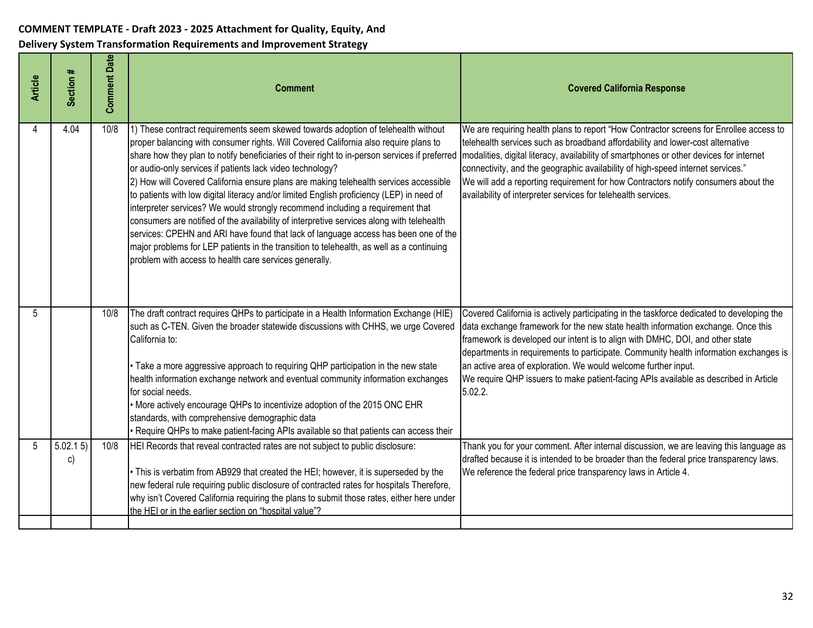| <b>Article</b> | Section #     | <b>Comment Date</b> | <b>Comment</b>                                                                                                                                                                                                                                                                                                                                                                                                                                                                                                                                                                                                                                                                                                                                                                                                                                                                                                                                            | <b>Covered California Response</b>                                                                                                                                                                                                                                                                                                                                                                                                                                                                                           |
|----------------|---------------|---------------------|-----------------------------------------------------------------------------------------------------------------------------------------------------------------------------------------------------------------------------------------------------------------------------------------------------------------------------------------------------------------------------------------------------------------------------------------------------------------------------------------------------------------------------------------------------------------------------------------------------------------------------------------------------------------------------------------------------------------------------------------------------------------------------------------------------------------------------------------------------------------------------------------------------------------------------------------------------------|------------------------------------------------------------------------------------------------------------------------------------------------------------------------------------------------------------------------------------------------------------------------------------------------------------------------------------------------------------------------------------------------------------------------------------------------------------------------------------------------------------------------------|
|                | 4.04          | 10/8                | 1) These contract requirements seem skewed towards adoption of telehealth without<br>proper balancing with consumer rights. Will Covered California also require plans to<br>share how they plan to notify beneficiaries of their right to in-person services if preferred<br>or audio-only services if patients lack video technology?<br>2) How will Covered California ensure plans are making telehealth services accessible<br>to patients with low digital literacy and/or limited English proficiency (LEP) in need of<br>interpreter services? We would strongly recommend including a requirement that<br>consumers are notified of the availability of interpretive services along with telehealth<br>services: CPEHN and ARI have found that lack of language access has been one of the<br>major problems for LEP patients in the transition to telehealth, as well as a continuing<br>problem with access to health care services generally. | We are requiring health plans to report "How Contractor screens for Enrollee access to<br>telehealth services such as broadband affordability and lower-cost alternative<br>modalities, digital literacy, availability of smartphones or other devices for internet<br>connectivity, and the geographic availability of high-speed internet services."<br>We will add a reporting requirement for how Contractors notify consumers about the<br>availability of interpreter services for telehealth services.                |
| 5              |               | 10/8                | The draft contract requires QHPs to participate in a Health Information Exchange (HIE)<br>such as C-TEN. Given the broader statewide discussions with CHHS, we urge Covered<br>California to:<br>Take a more aggressive approach to requiring QHP participation in the new state<br>health information exchange network and eventual community information exchanges<br>for social needs.<br>More actively encourage QHPs to incentivize adoption of the 2015 ONC EHR<br>standards, with comprehensive demographic data<br>Require QHPs to make patient-facing APIs available so that patients can access their                                                                                                                                                                                                                                                                                                                                           | Covered California is actively participating in the taskforce dedicated to developing the<br>data exchange framework for the new state health information exchange. Once this<br>framework is developed our intent is to align with DMHC, DOI, and other state<br>departments in requirements to participate. Community health information exchanges is<br>an active area of exploration. We would welcome further input.<br>We require QHP issuers to make patient-facing APIs available as described in Article<br>5.02.2. |
| 5              | 5.02.15<br>c) | 10/8                | HEI Records that reveal contracted rates are not subject to public disclosure:<br>This is verbatim from AB929 that created the HEI; however, it is superseded by the<br>new federal rule requiring public disclosure of contracted rates for hospitals Therefore,<br>why isn't Covered California requiring the plans to submit those rates, either here under<br>the HEI or in the earlier section on "hospital value"?                                                                                                                                                                                                                                                                                                                                                                                                                                                                                                                                  | Thank you for your comment. After internal discussion, we are leaving this language as<br>drafted because it is intended to be broader than the federal price transparency laws.<br>We reference the federal price transparency laws in Article 4.                                                                                                                                                                                                                                                                           |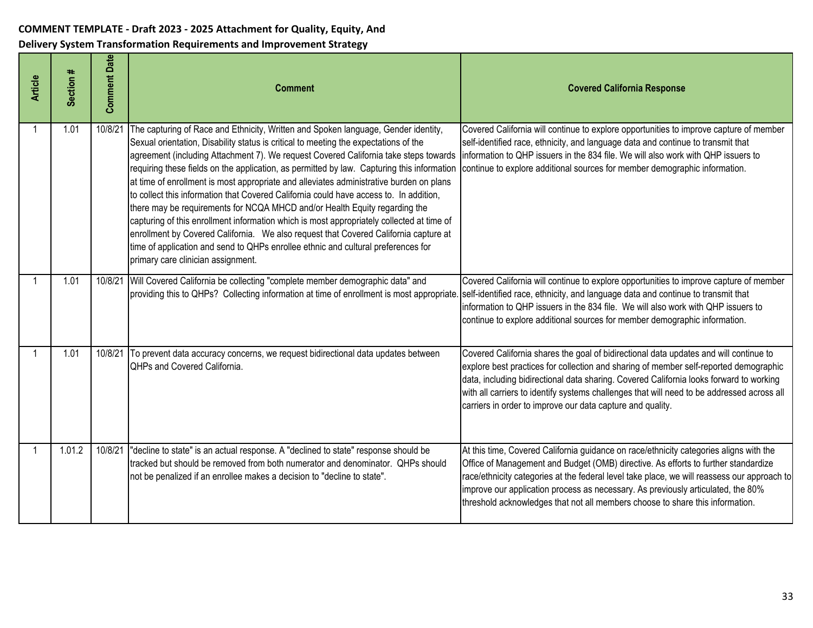| <b>Article</b> | Section # | <b>Comment Date</b> | <b>Comment</b>                                                                                                                                                                                                                                                                                                                                                                                                                                                                                                                                                                                                                                                                                                                                                                                                                                                                                                                                      | <b>Covered California Response</b>                                                                                                                                                                                                                                                                                                                                                                                                               |
|----------------|-----------|---------------------|-----------------------------------------------------------------------------------------------------------------------------------------------------------------------------------------------------------------------------------------------------------------------------------------------------------------------------------------------------------------------------------------------------------------------------------------------------------------------------------------------------------------------------------------------------------------------------------------------------------------------------------------------------------------------------------------------------------------------------------------------------------------------------------------------------------------------------------------------------------------------------------------------------------------------------------------------------|--------------------------------------------------------------------------------------------------------------------------------------------------------------------------------------------------------------------------------------------------------------------------------------------------------------------------------------------------------------------------------------------------------------------------------------------------|
|                | 1.01      | 10/8/21             | The capturing of Race and Ethnicity, Written and Spoken language, Gender identity,<br>Sexual orientation, Disability status is critical to meeting the expectations of the<br>agreement (including Attachment 7). We request Covered California take steps towards<br>requiring these fields on the application, as permitted by law. Capturing this information<br>at time of enrollment is most appropriate and alleviates administrative burden on plans<br>to collect this information that Covered California could have access to. In addition,<br>there may be requirements for NCQA MHCD and/or Health Equity regarding the<br>capturing of this enrollment information which is most appropriately collected at time of<br>enrollment by Covered California. We also request that Covered California capture at<br>time of application and send to QHPs enrollee ethnic and cultural preferences for<br>primary care clinician assignment. | Covered California will continue to explore opportunities to improve capture of member<br>self-identified race, ethnicity, and language data and continue to transmit that<br>information to QHP issuers in the 834 file. We will also work with QHP issuers to<br>continue to explore additional sources for member demographic information.                                                                                                    |
|                | 1.01      |                     | 10/8/21 Will Covered California be collecting "complete member demographic data" and<br>providing this to QHPs? Collecting information at time of enrollment is most appropriate                                                                                                                                                                                                                                                                                                                                                                                                                                                                                                                                                                                                                                                                                                                                                                    | Covered California will continue to explore opportunities to improve capture of member<br>self-identified race, ethnicity, and language data and continue to transmit that<br>information to QHP issuers in the 834 file. We will also work with QHP issuers to<br>continue to explore additional sources for member demographic information.                                                                                                    |
|                | 1.01      | 10/8/21             | To prevent data accuracy concerns, we request bidirectional data updates between<br>QHPs and Covered California.                                                                                                                                                                                                                                                                                                                                                                                                                                                                                                                                                                                                                                                                                                                                                                                                                                    | Covered California shares the goal of bidirectional data updates and will continue to<br>explore best practices for collection and sharing of member self-reported demographic<br>data, including bidirectional data sharing. Covered California looks forward to working<br>with all carriers to identify systems challenges that will need to be addressed across all<br>carriers in order to improve our data capture and quality.            |
|                | 1.01.2    | 10/8/21             | "decline to state" is an actual response. A "declined to state" response should be<br>tracked but should be removed from both numerator and denominator. QHPs should<br>not be penalized if an enrollee makes a decision to "decline to state".                                                                                                                                                                                                                                                                                                                                                                                                                                                                                                                                                                                                                                                                                                     | At this time, Covered California guidance on race/ethnicity categories aligns with the<br>Office of Management and Budget (OMB) directive. As efforts to further standardize<br>race/ethnicity categories at the federal level take place, we will reassess our approach to<br>improve our application process as necessary. As previously articulated, the 80%<br>threshold acknowledges that not all members choose to share this information. |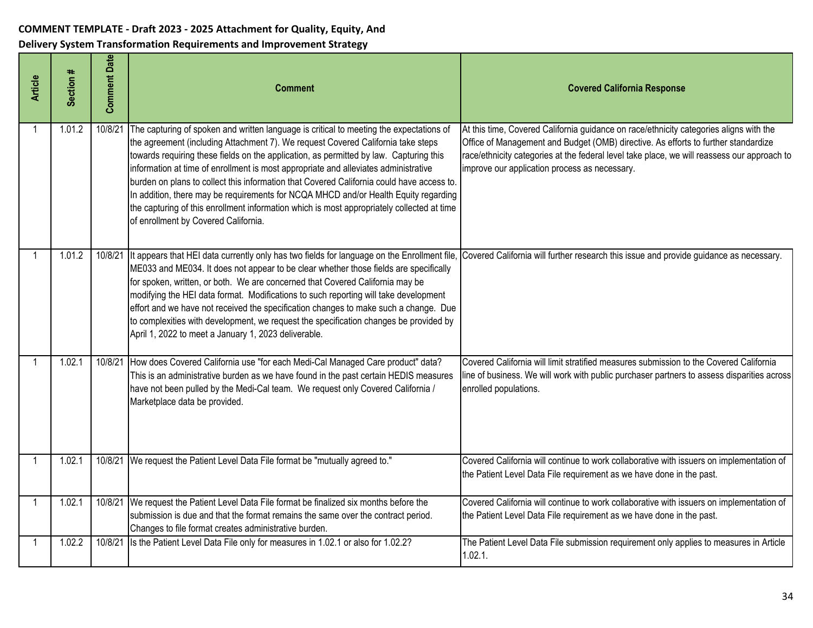| <b>Article</b> | Section # | <b>Comment Date</b> | <b>Comment</b>                                                                                                                                                                                                                                                                                                                                                                                                                                                                                                                                                                                                                                                                         | <b>Covered California Response</b>                                                                                                                                                                                                                                                                                           |
|----------------|-----------|---------------------|----------------------------------------------------------------------------------------------------------------------------------------------------------------------------------------------------------------------------------------------------------------------------------------------------------------------------------------------------------------------------------------------------------------------------------------------------------------------------------------------------------------------------------------------------------------------------------------------------------------------------------------------------------------------------------------|------------------------------------------------------------------------------------------------------------------------------------------------------------------------------------------------------------------------------------------------------------------------------------------------------------------------------|
|                | 1.01.2    | 10/8/21             | The capturing of spoken and written language is critical to meeting the expectations of<br>the agreement (including Attachment 7). We request Covered California take steps<br>towards requiring these fields on the application, as permitted by law. Capturing this<br>information at time of enrollment is most appropriate and alleviates administrative<br>burden on plans to collect this information that Covered California could have access to.<br>In addition, there may be requirements for NCQA MHCD and/or Health Equity regarding<br>the capturing of this enrollment information which is most appropriately collected at time<br>of enrollment by Covered California. | At this time, Covered California guidance on race/ethnicity categories aligns with the<br>Office of Management and Budget (OMB) directive. As efforts to further standardize<br>race/ethnicity categories at the federal level take place, we will reassess our approach to<br>improve our application process as necessary. |
|                | 1.01.2    | 10/8/21             | It appears that HEI data currently only has two fields for language on the Enrollment file,<br>ME033 and ME034. It does not appear to be clear whether those fields are specifically<br>for spoken, written, or both. We are concerned that Covered California may be<br>modifying the HEI data format. Modifications to such reporting will take development<br>effort and we have not received the specification changes to make such a change. Due<br>to complexities with development, we request the specification changes be provided by<br>April 1, 2022 to meet a January 1, 2023 deliverable.                                                                                 | Covered California will further research this issue and provide guidance as necessary.                                                                                                                                                                                                                                       |
|                | 1.02.1    | 10/8/21             | How does Covered California use "for each Medi-Cal Managed Care product" data?<br>This is an administrative burden as we have found in the past certain HEDIS measures<br>have not been pulled by the Medi-Cal team. We request only Covered California /<br>Marketplace data be provided.                                                                                                                                                                                                                                                                                                                                                                                             | Covered California will limit stratified measures submission to the Covered California<br>line of business. We will work with public purchaser partners to assess disparities across<br>enrolled populations.                                                                                                                |
|                | 1.02.1    |                     | 10/8/21 We request the Patient Level Data File format be "mutually agreed to."                                                                                                                                                                                                                                                                                                                                                                                                                                                                                                                                                                                                         | Covered California will continue to work collaborative with issuers on implementation of<br>the Patient Level Data File requirement as we have done in the past.                                                                                                                                                             |
|                | 1.02.1    | 10/8/21             | We request the Patient Level Data File format be finalized six months before the<br>submission is due and that the format remains the same over the contract period.<br>Changes to file format creates administrative burden.                                                                                                                                                                                                                                                                                                                                                                                                                                                          | Covered California will continue to work collaborative with issuers on implementation of<br>the Patient Level Data File requirement as we have done in the past.                                                                                                                                                             |
|                | 1.02.2    | 10/8/21             | Is the Patient Level Data File only for measures in 1.02.1 or also for 1.02.2?                                                                                                                                                                                                                                                                                                                                                                                                                                                                                                                                                                                                         | The Patient Level Data File submission requirement only applies to measures in Article<br>1.02.1.                                                                                                                                                                                                                            |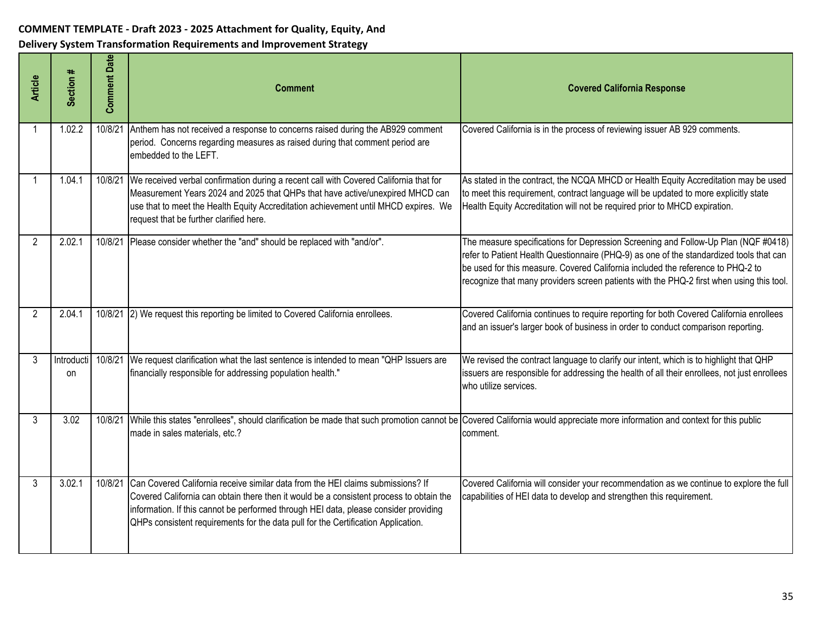| <b>Article</b> | Section #               | <b>Comment Date</b> | <b>Comment</b>                                                                                                                                                                                                                                                                                                                                          | <b>Covered California Response</b>                                                                                                                                                                                                                                                                                                                           |
|----------------|-------------------------|---------------------|---------------------------------------------------------------------------------------------------------------------------------------------------------------------------------------------------------------------------------------------------------------------------------------------------------------------------------------------------------|--------------------------------------------------------------------------------------------------------------------------------------------------------------------------------------------------------------------------------------------------------------------------------------------------------------------------------------------------------------|
|                | 1.02.2                  | 10/8/21             | Anthem has not received a response to concerns raised during the AB929 comment<br>period. Concerns regarding measures as raised during that comment period are<br>embedded to the LEFT.                                                                                                                                                                 | Covered California is in the process of reviewing issuer AB 929 comments.                                                                                                                                                                                                                                                                                    |
|                | 1.04.1                  | 10/8/21             | We received verbal confirmation during a recent call with Covered California that for<br>Measurement Years 2024 and 2025 that QHPs that have active/unexpired MHCD can<br>use that to meet the Health Equity Accreditation achievement until MHCD expires. We<br>request that be further clarified here.                                                | As stated in the contract, the NCQA MHCD or Health Equity Accreditation may be used<br>to meet this requirement, contract language will be updated to more explicitly state<br>Health Equity Accreditation will not be required prior to MHCD expiration.                                                                                                    |
| $\overline{2}$ | 2.02.1                  |                     | 10/8/21 Please consider whether the "and" should be replaced with "and/or".                                                                                                                                                                                                                                                                             | The measure specifications for Depression Screening and Follow-Up Plan (NQF #0418)<br>refer to Patient Health Questionnaire (PHQ-9) as one of the standardized tools that can<br>be used for this measure. Covered California included the reference to PHQ-2 to<br>recognize that many providers screen patients with the PHQ-2 first when using this tool. |
| 2              | 2.04.1                  |                     | 10/8/21 2) We request this reporting be limited to Covered California enrollees.                                                                                                                                                                                                                                                                        | Covered California continues to require reporting for both Covered California enrollees<br>and an issuer's larger book of business in order to conduct comparison reporting.                                                                                                                                                                                 |
| 3              | Introducti<br><b>on</b> | 10/8/21             | We request clarification what the last sentence is intended to mean "QHP Issuers are<br>financially responsible for addressing population health."                                                                                                                                                                                                      | We revised the contract language to clarify our intent, which is to highlight that QHP<br>issuers are responsible for addressing the health of all their enrollees, not just enrollees<br>who utilize services.                                                                                                                                              |
| 3              | 3.02                    | 10/8/21             | While this states "enrollees", should clarification be made that such promotion cannot be Covered California would appreciate more information and context for this public<br>made in sales materials, etc.?                                                                                                                                            | comment.                                                                                                                                                                                                                                                                                                                                                     |
| 3              | 3.02.1                  | 10/8/21             | Can Covered California receive similar data from the HEI claims submissions? If<br>Covered California can obtain there then it would be a consistent process to obtain the<br>information. If this cannot be performed through HEI data, please consider providing<br>QHPs consistent requirements for the data pull for the Certification Application. | Covered California will consider your recommendation as we continue to explore the full<br>capabilities of HEI data to develop and strengthen this requirement.                                                                                                                                                                                              |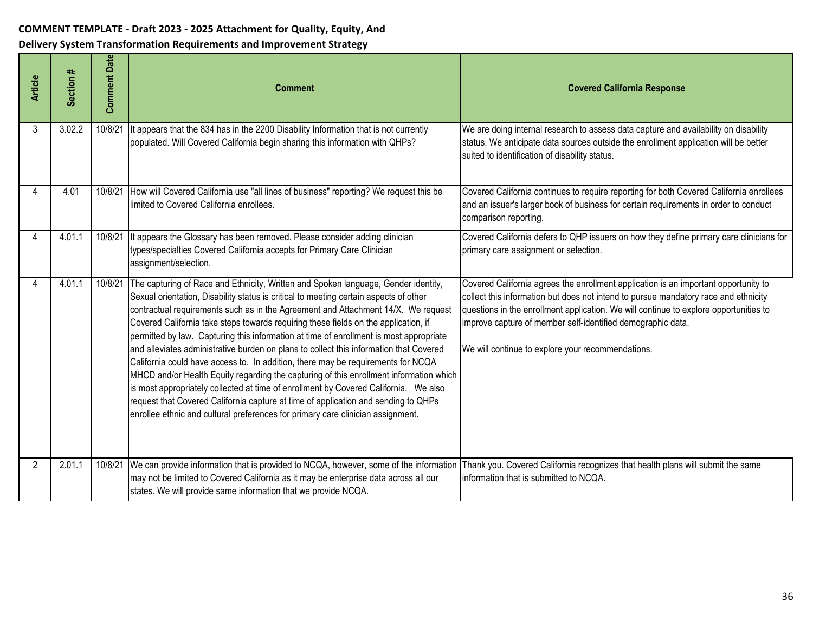| <b>Article</b> | Section # | <b>Comment Date</b> | <b>Comment</b>                                                                                                                                                                                                                                                                                                                                                                                                                                                                                                                                                                                                                                                                                                                                                                                                                                                                                                                                                                             | <b>Covered California Response</b>                                                                                                                                                                                                                                                                                                                                                      |
|----------------|-----------|---------------------|--------------------------------------------------------------------------------------------------------------------------------------------------------------------------------------------------------------------------------------------------------------------------------------------------------------------------------------------------------------------------------------------------------------------------------------------------------------------------------------------------------------------------------------------------------------------------------------------------------------------------------------------------------------------------------------------------------------------------------------------------------------------------------------------------------------------------------------------------------------------------------------------------------------------------------------------------------------------------------------------|-----------------------------------------------------------------------------------------------------------------------------------------------------------------------------------------------------------------------------------------------------------------------------------------------------------------------------------------------------------------------------------------|
| 3              | 3.02.2    | 10/8/21             | It appears that the 834 has in the 2200 Disability Information that is not currently<br>populated. Will Covered California begin sharing this information with QHPs?                                                                                                                                                                                                                                                                                                                                                                                                                                                                                                                                                                                                                                                                                                                                                                                                                       | We are doing internal research to assess data capture and availability on disability<br>status. We anticipate data sources outside the enrollment application will be better<br>suited to identification of disability status.                                                                                                                                                          |
| 4              | 4.01      | 10/8/21             | How will Covered California use "all lines of business" reporting? We request this be<br>limited to Covered California enrollees.                                                                                                                                                                                                                                                                                                                                                                                                                                                                                                                                                                                                                                                                                                                                                                                                                                                          | Covered California continues to require reporting for both Covered California enrollees<br>and an issuer's larger book of business for certain requirements in order to conduct<br>comparison reporting.                                                                                                                                                                                |
| 4              | 4.01.1    | 10/8/21             | It appears the Glossary has been removed. Please consider adding clinician<br>types/specialties Covered California accepts for Primary Care Clinician<br>assignment/selection.                                                                                                                                                                                                                                                                                                                                                                                                                                                                                                                                                                                                                                                                                                                                                                                                             | Covered California defers to QHP issuers on how they define primary care clinicians for<br>primary care assignment or selection.                                                                                                                                                                                                                                                        |
| Δ              | 4.01.1    | 10/8/21             | The capturing of Race and Ethnicity, Written and Spoken language, Gender identity,<br>Sexual orientation, Disability status is critical to meeting certain aspects of other<br>contractual requirements such as in the Agreement and Attachment 14/X. We request<br>Covered California take steps towards requiring these fields on the application, if<br>permitted by law. Capturing this information at time of enrollment is most appropriate<br>and alleviates administrative burden on plans to collect this information that Covered<br>California could have access to. In addition, there may be requirements for NCQA<br>MHCD and/or Health Equity regarding the capturing of this enrollment information which<br>is most appropriately collected at time of enrollment by Covered California. We also<br>request that Covered California capture at time of application and sending to QHPs<br>enrollee ethnic and cultural preferences for primary care clinician assignment. | Covered California agrees the enrollment application is an important opportunity to<br>collect this information but does not intend to pursue mandatory race and ethnicity<br>questions in the enrollment application. We will continue to explore opportunities to<br>improve capture of member self-identified demographic data.<br>We will continue to explore your recommendations. |
| 2              | 2.01.1    | 10/8/21             | We can provide information that is provided to NCQA, however, some of the information<br>may not be limited to Covered California as it may be enterprise data across all our<br>states. We will provide same information that we provide NCQA.                                                                                                                                                                                                                                                                                                                                                                                                                                                                                                                                                                                                                                                                                                                                            | Thank you. Covered California recognizes that health plans will submit the same<br>information that is submitted to NCQA.                                                                                                                                                                                                                                                               |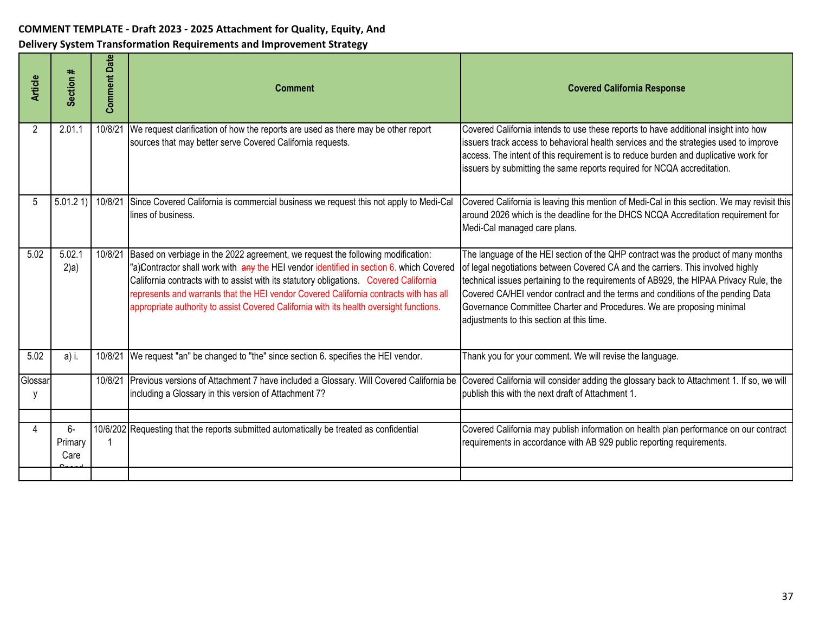| <b>Article</b> | Section #             | <b>Comment Date</b> | <b>Comment</b>                                                                                                                                                                                                                                                                                                                                                                                                                                           | <b>Covered California Response</b>                                                                                                                                                                                                                                                                                                                                                                                                                                      |
|----------------|-----------------------|---------------------|----------------------------------------------------------------------------------------------------------------------------------------------------------------------------------------------------------------------------------------------------------------------------------------------------------------------------------------------------------------------------------------------------------------------------------------------------------|-------------------------------------------------------------------------------------------------------------------------------------------------------------------------------------------------------------------------------------------------------------------------------------------------------------------------------------------------------------------------------------------------------------------------------------------------------------------------|
| 2              | 2.01.1                | 10/8/21             | We request clarification of how the reports are used as there may be other report<br>sources that may better serve Covered California requests.                                                                                                                                                                                                                                                                                                          | Covered California intends to use these reports to have additional insight into how<br>issuers track access to behavioral health services and the strategies used to improve<br>access. The intent of this requirement is to reduce burden and duplicative work for<br>issuers by submitting the same reports required for NCQA accreditation.                                                                                                                          |
| 5              | 5.01.21               | 10/8/21             | Since Covered California is commercial business we request this not apply to Medi-Cal<br>lines of business.                                                                                                                                                                                                                                                                                                                                              | Covered California is leaving this mention of Medi-Cal in this section. We may revisit this<br>around 2026 which is the deadline for the DHCS NCQA Accreditation requirement for<br>Medi-Cal managed care plans.                                                                                                                                                                                                                                                        |
| 5.02           | 5.02.1<br>$2$ )a)     | 10/8/21             | Based on verbiage in the 2022 agreement, we request the following modification:<br>"a)Contractor shall work with any the HEI vendor identified in section 6. which Covered<br>California contracts with to assist with its statutory obligations. Covered California<br>represents and warrants that the HEI vendor Covered California contracts with has all<br>appropriate authority to assist Covered California with its health oversight functions. | The language of the HEI section of the QHP contract was the product of many months<br>of legal negotiations between Covered CA and the carriers. This involved highly<br>technical issues pertaining to the requirements of AB929, the HIPAA Privacy Rule, the<br>Covered CA/HEI vendor contract and the terms and conditions of the pending Data<br>Governance Committee Charter and Procedures. We are proposing minimal<br>adjustments to this section at this time. |
| 5.02           | a) i.                 | 10/8/21             | We request "an" be changed to "the" since section 6. specifies the HEI vendor.                                                                                                                                                                                                                                                                                                                                                                           | Thank you for your comment. We will revise the language.                                                                                                                                                                                                                                                                                                                                                                                                                |
| Glossar        |                       | 10/8/21             | Previous versions of Attachment 7 have included a Glossary. Will Covered California be<br>including a Glossary in this version of Attachment 7?                                                                                                                                                                                                                                                                                                          | Covered California will consider adding the glossary back to Attachment 1. If so, we will<br>publish this with the next draft of Attachment 1.                                                                                                                                                                                                                                                                                                                          |
| 4              | 6-<br>Primary<br>Care |                     | 10/6/202 Requesting that the reports submitted automatically be treated as confidential                                                                                                                                                                                                                                                                                                                                                                  | Covered California may publish information on health plan performance on our contract<br>requirements in accordance with AB 929 public reporting requirements.                                                                                                                                                                                                                                                                                                          |
|                |                       |                     |                                                                                                                                                                                                                                                                                                                                                                                                                                                          |                                                                                                                                                                                                                                                                                                                                                                                                                                                                         |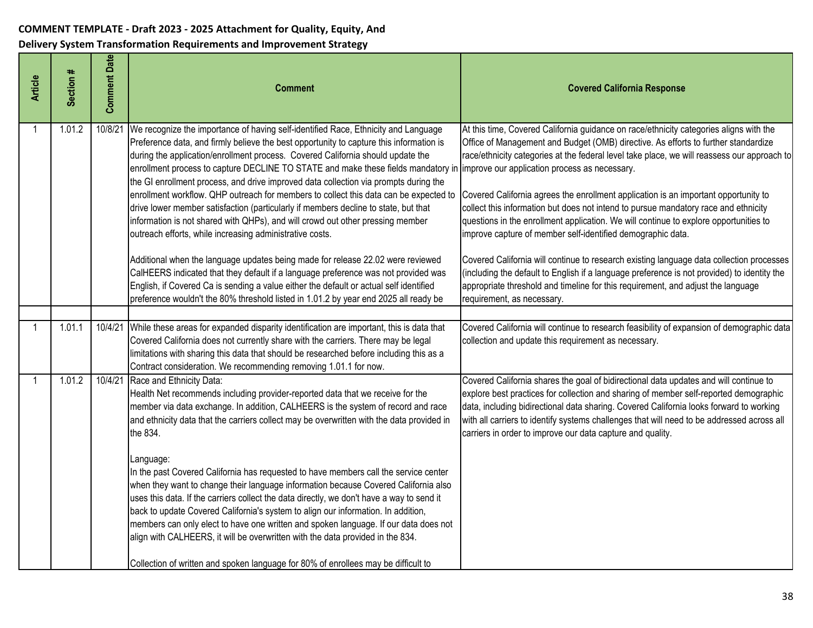| <b>Article</b> | Section # | <b>Comment Date</b> | <b>Comment</b>                                                                                                                                                                                                                                                                                                                                                                                                                                                                                                                                                                                                                                                                                                                                                                                                                                                                                                                                                                                     | <b>Covered California Response</b>                                                                                                                                                                                                                                                                                                                                                                                                                                                                                                                                                                                                                                                                            |
|----------------|-----------|---------------------|----------------------------------------------------------------------------------------------------------------------------------------------------------------------------------------------------------------------------------------------------------------------------------------------------------------------------------------------------------------------------------------------------------------------------------------------------------------------------------------------------------------------------------------------------------------------------------------------------------------------------------------------------------------------------------------------------------------------------------------------------------------------------------------------------------------------------------------------------------------------------------------------------------------------------------------------------------------------------------------------------|---------------------------------------------------------------------------------------------------------------------------------------------------------------------------------------------------------------------------------------------------------------------------------------------------------------------------------------------------------------------------------------------------------------------------------------------------------------------------------------------------------------------------------------------------------------------------------------------------------------------------------------------------------------------------------------------------------------|
| -1             | 1.01.2    | 10/8/21             | We recognize the importance of having self-identified Race, Ethnicity and Language<br>Preference data, and firmly believe the best opportunity to capture this information is<br>during the application/enrollment process. Covered California should update the<br>enrollment process to capture DECLINE TO STATE and make these fields mandatory in improve our application process as necessary.<br>the GI enrollment process, and drive improved data collection via prompts during the<br>enrollment workflow. QHP outreach for members to collect this data can be expected to<br>drive lower member satisfaction (particularly if members decline to state, but that<br>information is not shared with QHPs), and will crowd out other pressing member<br>outreach efforts, while increasing administrative costs.<br>Additional when the language updates being made for release 22.02 were reviewed<br>CalHEERS indicated that they default if a language preference was not provided was | At this time, Covered California guidance on race/ethnicity categories aligns with the<br>Office of Management and Budget (OMB) directive. As efforts to further standardize<br>race/ethnicity categories at the federal level take place, we will reassess our approach to<br>Covered California agrees the enrollment application is an important opportunity to<br>collect this information but does not intend to pursue mandatory race and ethnicity<br>questions in the enrollment application. We will continue to explore opportunities to<br>improve capture of member self-identified demographic data.<br>Covered California will continue to research existing language data collection processes |
|                |           |                     | English, if Covered Ca is sending a value either the default or actual self identified<br>preference wouldn't the 80% threshold listed in 1.01.2 by year end 2025 all ready be                                                                                                                                                                                                                                                                                                                                                                                                                                                                                                                                                                                                                                                                                                                                                                                                                     | (including the default to English if a language preference is not provided) to identity the<br>appropriate threshold and timeline for this requirement, and adjust the language<br>requirement, as necessary.                                                                                                                                                                                                                                                                                                                                                                                                                                                                                                 |
| $\overline{1}$ | 1.01.1    | 10/4/21             | While these areas for expanded disparity identification are important, this is data that<br>Covered California does not currently share with the carriers. There may be legal<br>limitations with sharing this data that should be researched before including this as a<br>Contract consideration. We recommending removing 1.01.1 for now.                                                                                                                                                                                                                                                                                                                                                                                                                                                                                                                                                                                                                                                       | Covered California will continue to research feasibility of expansion of demographic data<br>collection and update this requirement as necessary.                                                                                                                                                                                                                                                                                                                                                                                                                                                                                                                                                             |
|                | 1.01.2    | 10/4/21             | Race and Ethnicity Data:<br>Health Net recommends including provider-reported data that we receive for the<br>member via data exchange. In addition, CALHEERS is the system of record and race<br>and ethnicity data that the carriers collect may be overwritten with the data provided in<br>the 834.<br>Language:<br>In the past Covered California has requested to have members call the service center<br>when they want to change their language information because Covered California also<br>uses this data. If the carriers collect the data directly, we don't have a way to send it<br>back to update Covered California's system to align our information. In addition,<br>members can only elect to have one written and spoken language. If our data does not<br>align with CALHEERS, it will be overwritten with the data provided in the 834.<br>Collection of written and spoken language for 80% of enrollees may be difficult to                                              | Covered California shares the goal of bidirectional data updates and will continue to<br>explore best practices for collection and sharing of member self-reported demographic<br>data, including bidirectional data sharing. Covered California looks forward to working<br>with all carriers to identify systems challenges that will need to be addressed across all<br>carriers in order to improve our data capture and quality.                                                                                                                                                                                                                                                                         |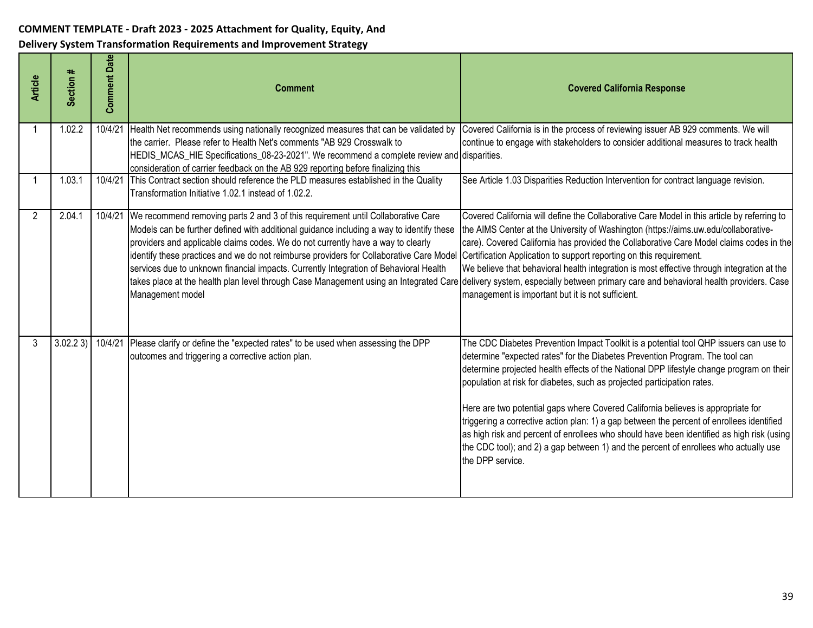| <b>Article</b> | Section # | <b>Comment Date</b> | <b>Comment</b>                                                                                                                                                                                                                                                                                                                                                                                                                                                                                                                               | <b>Covered California Response</b>                                                                                                                                                                                                                                                                                                                                                                                                                                                                                                                                                                                                                                                                                                     |
|----------------|-----------|---------------------|----------------------------------------------------------------------------------------------------------------------------------------------------------------------------------------------------------------------------------------------------------------------------------------------------------------------------------------------------------------------------------------------------------------------------------------------------------------------------------------------------------------------------------------------|----------------------------------------------------------------------------------------------------------------------------------------------------------------------------------------------------------------------------------------------------------------------------------------------------------------------------------------------------------------------------------------------------------------------------------------------------------------------------------------------------------------------------------------------------------------------------------------------------------------------------------------------------------------------------------------------------------------------------------------|
|                | 1.02.2    | 10/4/21             | Health Net recommends using nationally recognized measures that can be validated by<br>the carrier. Please refer to Health Net's comments "AB 929 Crosswalk to<br>HEDIS_MCAS_HIE Specifications_08-23-2021". We recommend a complete review and disparities.<br>consideration of carrier feedback on the AB 929 reporting before finalizing this                                                                                                                                                                                             | Covered California is in the process of reviewing issuer AB 929 comments. We will<br>continue to engage with stakeholders to consider additional measures to track health                                                                                                                                                                                                                                                                                                                                                                                                                                                                                                                                                              |
|                | 1.03.1    | 10/4/21             | This Contract section should reference the PLD measures established in the Quality<br>Transformation Initiative 1.02.1 instead of 1.02.2.                                                                                                                                                                                                                                                                                                                                                                                                    | See Article 1.03 Disparities Reduction Intervention for contract language revision.                                                                                                                                                                                                                                                                                                                                                                                                                                                                                                                                                                                                                                                    |
| 2              | 2.04.1    | 10/4/21             | We recommend removing parts 2 and 3 of this requirement until Collaborative Care<br>Models can be further defined with additional guidance including a way to identify these<br>providers and applicable claims codes. We do not currently have a way to clearly<br>identify these practices and we do not reimburse providers for Collaborative Care Model Certification Application to support reporting on this requirement.<br>services due to unknown financial impacts. Currently Integration of Behavioral Health<br>Management model | Covered California will define the Collaborative Care Model in this article by referring to<br>the AIMS Center at the University of Washington (https://aims.uw.edu/collaborative-<br>care). Covered California has provided the Collaborative Care Model claims codes in the<br>We believe that behavioral health integration is most effective through integration at the<br>takes place at the health plan level through Case Management using an Integrated Care delivery system, especially between primary care and behavioral health providers. Case<br>management is important but it is not sufficient.                                                                                                                       |
| 3              | 3.02.23   | 10/4/21             | Please clarify or define the "expected rates" to be used when assessing the DPP<br>outcomes and triggering a corrective action plan.                                                                                                                                                                                                                                                                                                                                                                                                         | The CDC Diabetes Prevention Impact Toolkit is a potential tool QHP issuers can use to<br>determine "expected rates" for the Diabetes Prevention Program. The tool can<br>determine projected health effects of the National DPP lifestyle change program on their<br>population at risk for diabetes, such as projected participation rates.<br>Here are two potential gaps where Covered California believes is appropriate for<br>triggering a corrective action plan: 1) a gap between the percent of enrollees identified<br>as high risk and percent of enrollees who should have been identified as high risk (using<br>the CDC tool); and 2) a gap between 1) and the percent of enrollees who actually use<br>the DPP service. |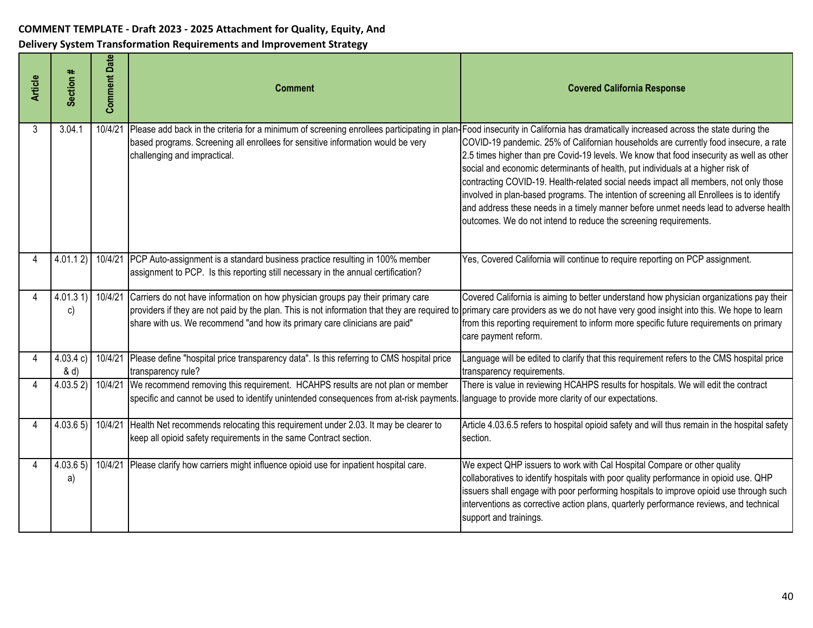| <b>Article</b> | Section #           | <b>Comment Date</b> | <b>Comment</b>                                                                                                                                                                                                                                                                                                                                        | <b>Covered California Response</b>                                                                                                                                                                                                                                                                                                                                                                                                                                                                                                                                                                                                                                                                          |
|----------------|---------------------|---------------------|-------------------------------------------------------------------------------------------------------------------------------------------------------------------------------------------------------------------------------------------------------------------------------------------------------------------------------------------------------|-------------------------------------------------------------------------------------------------------------------------------------------------------------------------------------------------------------------------------------------------------------------------------------------------------------------------------------------------------------------------------------------------------------------------------------------------------------------------------------------------------------------------------------------------------------------------------------------------------------------------------------------------------------------------------------------------------------|
| 3              | 3.04.1              | 10/4/21             | Please add back in the criteria for a minimum of screening enrollees participating in plan<br>based programs. Screening all enrollees for sensitive information would be very<br>challenging and impractical.                                                                                                                                         | Food insecurity in California has dramatically increased across the state during the<br>COVID-19 pandemic. 25% of Californian households are currently food insecure, a rate<br>2.5 times higher than pre Covid-19 levels. We know that food insecurity as well as other<br>social and economic determinants of health, put individuals at a higher risk of<br>contracting COVID-19. Health-related social needs impact all members, not only those<br>involved in plan-based programs. The intention of screening all Enrollees is to identify<br>and address these needs in a timely manner before unmet needs lead to adverse health<br>outcomes. We do not intend to reduce the screening requirements. |
|                | 4.01.12             |                     | 10/4/21 PCP Auto-assignment is a standard business practice resulting in 100% member<br>assignment to PCP. Is this reporting still necessary in the annual certification?                                                                                                                                                                             | Yes, Covered California will continue to require reporting on PCP assignment.                                                                                                                                                                                                                                                                                                                                                                                                                                                                                                                                                                                                                               |
|                | 4.01.31<br>C)       | 10/4/21             | Carriers do not have information on how physician groups pay their primary care<br>providers if they are not paid by the plan. This is not information that they are required to primary care providers as we do not have very good insight into this. We hope to learn<br>share with us. We recommend "and how its primary care clinicians are paid" | Covered California is aiming to better understand how physician organizations pay their<br>from this reporting requirement to inform more specific future requirements on primary<br>care payment reform.                                                                                                                                                                                                                                                                                                                                                                                                                                                                                                   |
|                | 4.03.4 c<br>$\& d)$ | 10/4/21             | Please define "hospital price transparency data". Is this referring to CMS hospital price<br>transparency rule?                                                                                                                                                                                                                                       | Language will be edited to clarify that this requirement refers to the CMS hospital price<br>transparency requirements.                                                                                                                                                                                                                                                                                                                                                                                                                                                                                                                                                                                     |
| 4              | 4.03.52             |                     | 10/4/21 We recommend removing this requirement. HCAHPS results are not plan or member<br>specific and cannot be used to identify unintended consequences from at-risk payments                                                                                                                                                                        | There is value in reviewing HCAHPS results for hospitals. We will edit the contract<br>language to provide more clarity of our expectations.                                                                                                                                                                                                                                                                                                                                                                                                                                                                                                                                                                |
|                | 4.03.65) 10/4/21    |                     | Health Net recommends relocating this requirement under 2.03. It may be clearer to<br>keep all opioid safety requirements in the same Contract section.                                                                                                                                                                                               | Article 4.03.6.5 refers to hospital opioid safety and will thus remain in the hospital safety<br>section.                                                                                                                                                                                                                                                                                                                                                                                                                                                                                                                                                                                                   |
|                | 4.03.65<br>a)       |                     | 10/4/21 Please clarify how carriers might influence opioid use for inpatient hospital care.                                                                                                                                                                                                                                                           | We expect QHP issuers to work with Cal Hospital Compare or other quality<br>collaboratives to identify hospitals with poor quality performance in opioid use. QHP<br>issuers shall engage with poor performing hospitals to improve opioid use through such<br>interventions as corrective action plans, quarterly performance reviews, and technical<br>support and trainings.                                                                                                                                                                                                                                                                                                                             |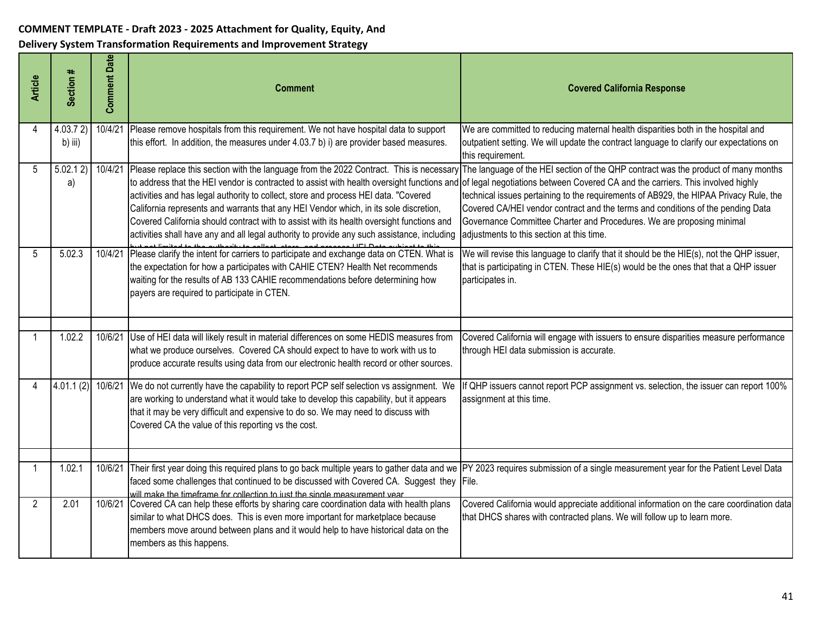| <b>Article</b> | Section #          | <b>Comment Date</b> | Comment                                                                                                                                                                                                                                                                                                                                                                                                                                                                                                                                                                                                                                                   | <b>Covered California Response</b>                                                                                                                                                                                                                                                                                                                                                   |
|----------------|--------------------|---------------------|-----------------------------------------------------------------------------------------------------------------------------------------------------------------------------------------------------------------------------------------------------------------------------------------------------------------------------------------------------------------------------------------------------------------------------------------------------------------------------------------------------------------------------------------------------------------------------------------------------------------------------------------------------------|--------------------------------------------------------------------------------------------------------------------------------------------------------------------------------------------------------------------------------------------------------------------------------------------------------------------------------------------------------------------------------------|
| 4              | 4.03.72<br>b) iii) | 10/4/21             | Please remove hospitals from this requirement. We not have hospital data to support<br>this effort. In addition, the measures under 4.03.7 b) i) are provider based measures.                                                                                                                                                                                                                                                                                                                                                                                                                                                                             | We are committed to reducing maternal health disparities both in the hospital and<br>outpatient setting. We will update the contract language to clarify our expectations on<br>this requirement.                                                                                                                                                                                    |
| 5              | 5.02.12<br>a)      |                     | 10/4/21 Please replace this section with the language from the 2022 Contract. This is necessary<br>to address that the HEI vendor is contracted to assist with health oversight functions and of legal negotiations between Covered CA and the carriers. This involved highly<br>activities and has legal authority to collect, store and process HEI data. "Covered<br>California represents and warrants that any HEI Vendor which, in its sole discretion,<br>Covered California should contract with to assist with its health oversight functions and<br>activities shall have any and all legal authority to provide any such assistance, including | The language of the HEI section of the QHP contract was the product of many months<br>technical issues pertaining to the requirements of AB929, the HIPAA Privacy Rule, the<br>Covered CA/HEI vendor contract and the terms and conditions of the pending Data<br>Governance Committee Charter and Procedures. We are proposing minimal<br>adjustments to this section at this time. |
| 5              | 5.02.3             | 10/4/21             | Please clarify the intent for carriers to participate and exchange data on CTEN. What is<br>the expectation for how a participates with CAHIE CTEN? Health Net recommends<br>waiting for the results of AB 133 CAHIE recommendations before determining how<br>payers are required to participate in CTEN.                                                                                                                                                                                                                                                                                                                                                | We will revise this language to clarify that it should be the HIE(s), not the QHP issuer,<br>that is participating in CTEN. These HIE(s) would be the ones that that a QHP issuer<br>participates in.                                                                                                                                                                                |
|                | 1.02.2             | 10/6/21             | Use of HEI data will likely result in material differences on some HEDIS measures from<br>what we produce ourselves. Covered CA should expect to have to work with us to<br>produce accurate results using data from our electronic health record or other sources.                                                                                                                                                                                                                                                                                                                                                                                       | Covered California will engage with issuers to ensure disparities measure performance<br>through HEI data submission is accurate.                                                                                                                                                                                                                                                    |
| 4              | 4.01.1(2)          | 10/6/21             | We do not currently have the capability to report PCP self selection vs assignment. We<br>are working to understand what it would take to develop this capability, but it appears<br>that it may be very difficult and expensive to do so. We may need to discuss with<br>Covered CA the value of this reporting vs the cost.                                                                                                                                                                                                                                                                                                                             | If QHP issuers cannot report PCP assignment vs. selection, the issuer can report 100%<br>assignment at this time.                                                                                                                                                                                                                                                                    |
| -1             | 1.02.1             | 10/6/21             | Their first year doing this required plans to go back multiple years to gather data and we PY 2023 requires submission of a single measurement year for the Patient Level Data<br>faced some challenges that continued to be discussed with Covered CA. Suggest they File.<br>will make the timeframe for collection to just the single measurement year.                                                                                                                                                                                                                                                                                                 |                                                                                                                                                                                                                                                                                                                                                                                      |
| $\overline{2}$ | 2.01               |                     | 10/6/21 Covered CA can help these efforts by sharing care coordination data with health plans<br>similar to what DHCS does. This is even more important for marketplace because<br>members move around between plans and it would help to have historical data on the<br>members as this happens.                                                                                                                                                                                                                                                                                                                                                         | Covered California would appreciate additional information on the care coordination data<br>that DHCS shares with contracted plans. We will follow up to learn more.                                                                                                                                                                                                                 |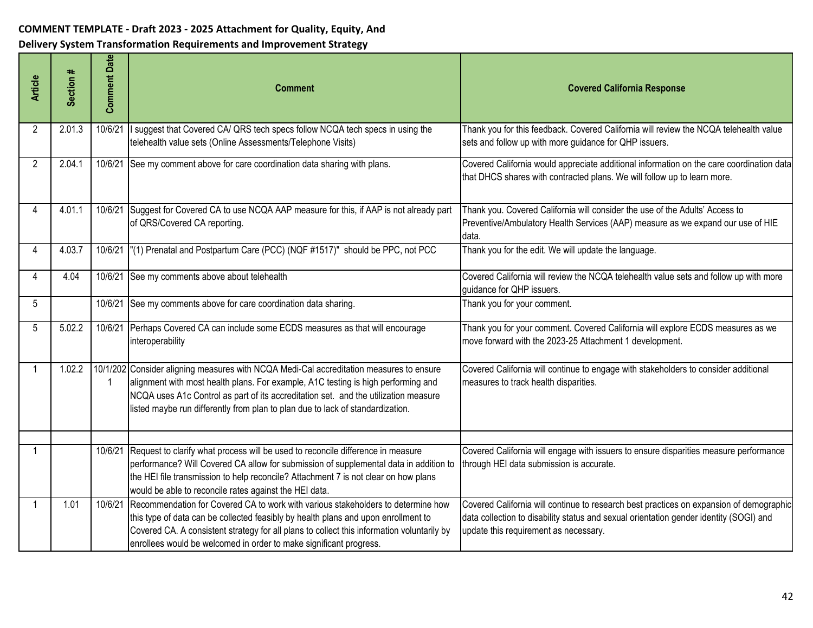| <b>Article</b> | Section # | <b>Comment Date</b> | Comment                                                                                                                                                                                                                                                                                                                                               | <b>Covered California Response</b>                                                                                                                                                                                         |
|----------------|-----------|---------------------|-------------------------------------------------------------------------------------------------------------------------------------------------------------------------------------------------------------------------------------------------------------------------------------------------------------------------------------------------------|----------------------------------------------------------------------------------------------------------------------------------------------------------------------------------------------------------------------------|
| 2              | 2.01.3    | 10/6/21             | suggest that Covered CA/ QRS tech specs follow NCQA tech specs in using the<br>telehealth value sets (Online Assessments/Telephone Visits)                                                                                                                                                                                                            | Thank you for this feedback. Covered California will review the NCQA telehealth value<br>sets and follow up with more guidance for QHP issuers.                                                                            |
| $\overline{2}$ | 2.04.1    |                     | 10/6/21 See my comment above for care coordination data sharing with plans.                                                                                                                                                                                                                                                                           | Covered California would appreciate additional information on the care coordination data<br>that DHCS shares with contracted plans. We will follow up to learn more.                                                       |
| 4              | 4.01.1    | 10/6/21             | Suggest for Covered CA to use NCQA AAP measure for this, if AAP is not already part<br>of QRS/Covered CA reporting.                                                                                                                                                                                                                                   | Thank you. Covered California will consider the use of the Adults' Access to<br>Preventive/Ambulatory Health Services (AAP) measure as we expand our use of HIE<br>data.                                                   |
| 4              | 4.03.7    |                     | 10/6/21  "(1) Prenatal and Postpartum Care (PCC) (NQF #1517)" should be PPC, not PCC                                                                                                                                                                                                                                                                  | Thank you for the edit. We will update the language.                                                                                                                                                                       |
| 4              | 4.04      |                     | 10/6/21 See my comments above about telehealth                                                                                                                                                                                                                                                                                                        | Covered California will review the NCQA telehealth value sets and follow up with more<br>guidance for QHP issuers.                                                                                                         |
| 5              |           |                     | 10/6/21 See my comments above for care coordination data sharing.                                                                                                                                                                                                                                                                                     | Thank you for your comment.                                                                                                                                                                                                |
| 5              | 5.02.2    | 10/6/21             | Perhaps Covered CA can include some ECDS measures as that will encourage<br>interoperability                                                                                                                                                                                                                                                          | Thank you for your comment. Covered California will explore ECDS measures as we<br>move forward with the 2023-25 Attachment 1 development.                                                                                 |
|                | 1.02.2    |                     | 10/1/202 Consider aligning measures with NCQA Medi-Cal accreditation measures to ensure<br>alignment with most health plans. For example, A1C testing is high performing and<br>NCQA uses A1c Control as part of its accreditation set. and the utilization measure<br>listed maybe run differently from plan to plan due to lack of standardization. | Covered California will continue to engage with stakeholders to consider additional<br>measures to track health disparities.                                                                                               |
| -1             |           | 10/6/21             | Request to clarify what process will be used to reconcile difference in measure<br>performance? Will Covered CA allow for submission of supplemental data in addition to<br>the HEI file transmission to help reconcile? Attachment 7 is not clear on how plans<br>would be able to reconcile rates against the HEI data.                             | Covered California will engage with issuers to ensure disparities measure performance<br>through HEI data submission is accurate.                                                                                          |
| -1             | 1.01      | 10/6/21             | Recommendation for Covered CA to work with various stakeholders to determine how<br>this type of data can be collected feasibly by health plans and upon enrollment to<br>Covered CA. A consistent strategy for all plans to collect this information voluntarily by<br>enrollees would be welcomed in order to make significant progress.            | Covered California will continue to research best practices on expansion of demographic<br>data collection to disability status and sexual orientation gender identity (SOGI) and<br>update this requirement as necessary. |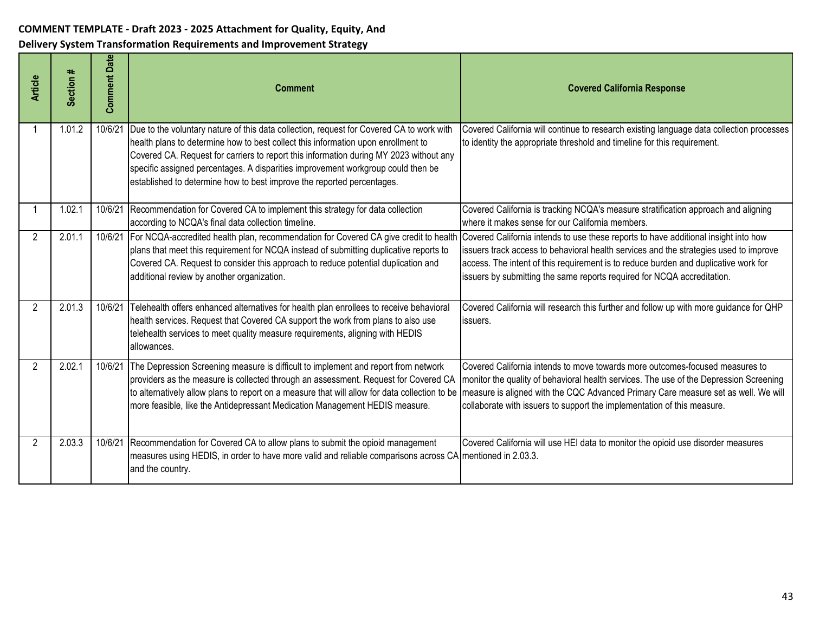| <b>Article</b> | Section # | Date<br>Comment | <b>Comment</b>                                                                                                                                                                                                                                                                                                                                                                                                                        | <b>Covered California Response</b>                                                                                                                                                                                                                                                                                                             |
|----------------|-----------|-----------------|---------------------------------------------------------------------------------------------------------------------------------------------------------------------------------------------------------------------------------------------------------------------------------------------------------------------------------------------------------------------------------------------------------------------------------------|------------------------------------------------------------------------------------------------------------------------------------------------------------------------------------------------------------------------------------------------------------------------------------------------------------------------------------------------|
|                | 1.01.2    | 10/6/21         | Due to the voluntary nature of this data collection, request for Covered CA to work with<br>health plans to determine how to best collect this information upon enrollment to<br>Covered CA. Request for carriers to report this information during MY 2023 without any<br>specific assigned percentages. A disparities improvement workgroup could then be<br>established to determine how to best improve the reported percentages. | Covered California will continue to research existing language data collection processes<br>to identity the appropriate threshold and timeline for this requirement.                                                                                                                                                                           |
|                | 1.02.1    | 10/6/21         | Recommendation for Covered CA to implement this strategy for data collection<br>according to NCQA's final data collection timeline.                                                                                                                                                                                                                                                                                                   | Covered California is tracking NCQA's measure stratification approach and aligning<br>where it makes sense for our California members.                                                                                                                                                                                                         |
| 2              | 2.01.1    | 10/6/21         | For NCQA-accredited health plan, recommendation for Covered CA give credit to health<br>plans that meet this requirement for NCQA instead of submitting duplicative reports to<br>Covered CA. Request to consider this approach to reduce potential duplication and<br>additional review by another organization.                                                                                                                     | Covered California intends to use these reports to have additional insight into how<br>issuers track access to behavioral health services and the strategies used to improve<br>access. The intent of this requirement is to reduce burden and duplicative work for<br>issuers by submitting the same reports required for NCQA accreditation. |
| 2              | 2.01.3    | 10/6/21         | Telehealth offers enhanced alternatives for health plan enrollees to receive behavioral<br>health services. Request that Covered CA support the work from plans to also use<br>telehealth services to meet quality measure requirements, aligning with HEDIS<br>lallowances.                                                                                                                                                          | Covered California will research this further and follow up with more guidance for QHP<br>issuers.                                                                                                                                                                                                                                             |
| $\overline{2}$ | 2.02.1    | 10/6/21         | The Depression Screening measure is difficult to implement and report from network<br>providers as the measure is collected through an assessment. Request for Covered CA<br>to alternatively allow plans to report on a measure that will allow for data collection to be<br>more feasible, like the Antidepressant Medication Management HEDIS measure.                                                                             | Covered California intends to move towards more outcomes-focused measures to<br>monitor the quality of behavioral health services. The use of the Depression Screening<br>measure is aligned with the CQC Advanced Primary Care measure set as well. We will<br>collaborate with issuers to support the implementation of this measure.        |
| $\overline{2}$ | 2.03.3    | 10/6/21         | Recommendation for Covered CA to allow plans to submit the opioid management<br>measures using HEDIS, in order to have more valid and reliable comparisons across CA mentioned in 2.03.3.<br>and the country.                                                                                                                                                                                                                         | Covered California will use HEI data to monitor the opioid use disorder measures                                                                                                                                                                                                                                                               |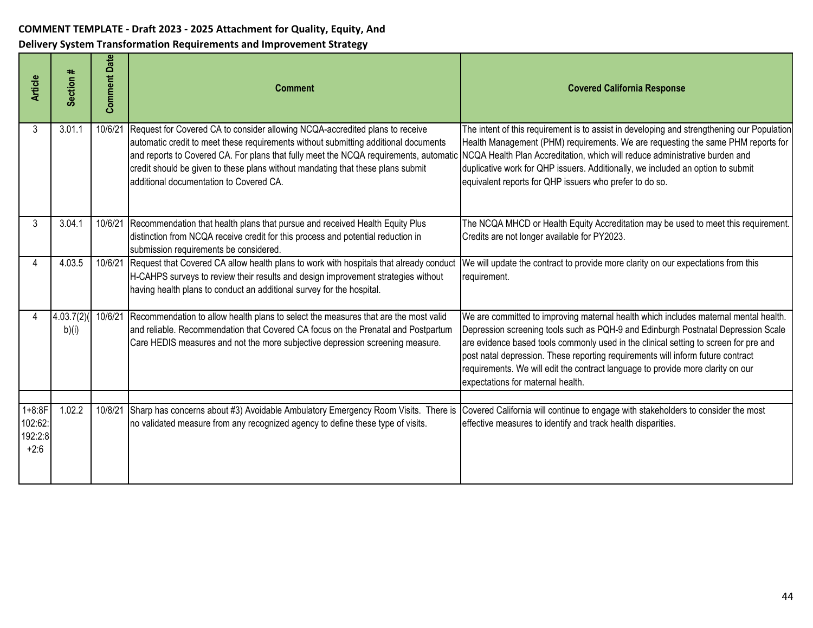| <b>Article</b>                             | Section #          | <b>Comment Date</b> | <b>Comment</b>                                                                                                                                                                                                                                                                                                                                                                                                                                                         | <b>Covered California Response</b>                                                                                                                                                                                                                                                                                                                                                                                                                                           |
|--------------------------------------------|--------------------|---------------------|------------------------------------------------------------------------------------------------------------------------------------------------------------------------------------------------------------------------------------------------------------------------------------------------------------------------------------------------------------------------------------------------------------------------------------------------------------------------|------------------------------------------------------------------------------------------------------------------------------------------------------------------------------------------------------------------------------------------------------------------------------------------------------------------------------------------------------------------------------------------------------------------------------------------------------------------------------|
| 3                                          | 3.01.1             | 10/6/21             | Request for Covered CA to consider allowing NCQA-accredited plans to receive<br>automatic credit to meet these requirements without submitting additional documents<br>and reports to Covered CA. For plans that fully meet the NCQA requirements, automatic NCQA Health Plan Accreditation, which will reduce administrative burden and<br>credit should be given to these plans without mandating that these plans submit<br>additional documentation to Covered CA. | The intent of this requirement is to assist in developing and strengthening our Population<br>Health Management (PHM) requirements. We are requesting the same PHM reports for<br>duplicative work for QHP issuers. Additionally, we included an option to submit<br>equivalent reports for QHP issuers who prefer to do so.                                                                                                                                                 |
| 3                                          | 3.04.1             | 10/6/21             | Recommendation that health plans that pursue and received Health Equity Plus<br>distinction from NCQA receive credit for this process and potential reduction in<br>submission requirements be considered.                                                                                                                                                                                                                                                             | The NCQA MHCD or Health Equity Accreditation may be used to meet this requirement.<br>Credits are not longer available for PY2023.                                                                                                                                                                                                                                                                                                                                           |
|                                            | 4.03.5             | 10/6/21             | Request that Covered CA allow health plans to work with hospitals that already conduct<br>H-CAHPS surveys to review their results and design improvement strategies without<br>having health plans to conduct an additional survey for the hospital.                                                                                                                                                                                                                   | We will update the contract to provide more clarity on our expectations from this<br>requirement.                                                                                                                                                                                                                                                                                                                                                                            |
|                                            | 4.03.7(2)<br>b)(i) | 10/6/21             | Recommendation to allow health plans to select the measures that are the most valid<br>and reliable. Recommendation that Covered CA focus on the Prenatal and Postpartum<br>Care HEDIS measures and not the more subjective depression screening measure.                                                                                                                                                                                                              | We are committed to improving maternal health which includes maternal mental health.<br>Depression screening tools such as PQH-9 and Edinburgh Postnatal Depression Scale<br>are evidence based tools commonly used in the clinical setting to screen for pre and<br>post natal depression. These reporting requirements will inform future contract<br>requirements. We will edit the contract language to provide more clarity on our<br>expectations for maternal health. |
|                                            |                    |                     |                                                                                                                                                                                                                                                                                                                                                                                                                                                                        |                                                                                                                                                                                                                                                                                                                                                                                                                                                                              |
| $1 + 8:8F$<br>102:62:<br>192:2:8<br>$+2:6$ | 1.02.2             | 10/8/21             | Sharp has concerns about #3) Avoidable Ambulatory Emergency Room Visits. There is<br>no validated measure from any recognized agency to define these type of visits.                                                                                                                                                                                                                                                                                                   | Covered California will continue to engage with stakeholders to consider the most<br>effective measures to identify and track health disparities.                                                                                                                                                                                                                                                                                                                            |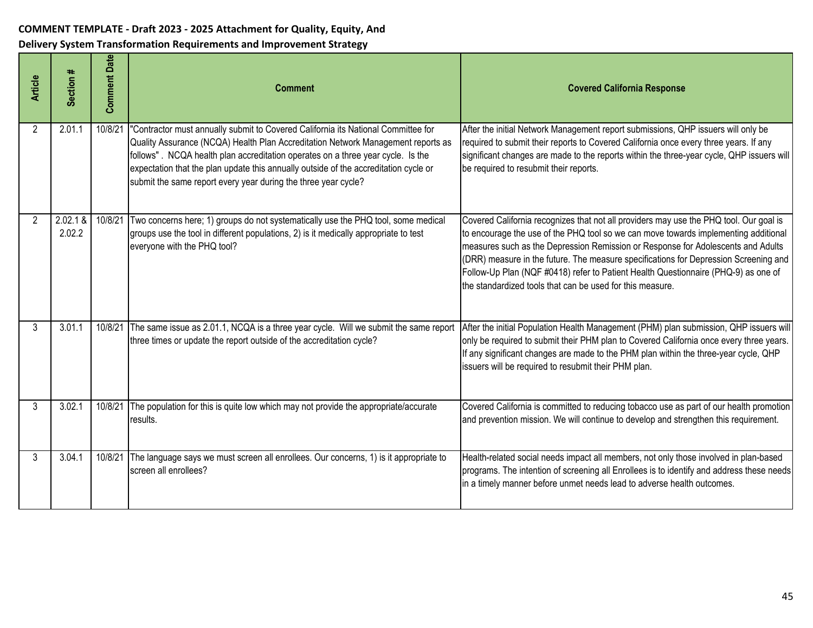| <b>Article</b> | Section #          | <b>Comment Date</b> | <b>Comment</b>                                                                                                                                                                                                                                                                                                                                                                                                     | <b>Covered California Response</b>                                                                                                                                                                                                                                                                                                                                                                                                                                                                           |
|----------------|--------------------|---------------------|--------------------------------------------------------------------------------------------------------------------------------------------------------------------------------------------------------------------------------------------------------------------------------------------------------------------------------------------------------------------------------------------------------------------|--------------------------------------------------------------------------------------------------------------------------------------------------------------------------------------------------------------------------------------------------------------------------------------------------------------------------------------------------------------------------------------------------------------------------------------------------------------------------------------------------------------|
| $\overline{2}$ | 2.01.1             | 10/8/21             | "Contractor must annually submit to Covered California its National Committee for<br>Quality Assurance (NCQA) Health Plan Accreditation Network Management reports as<br>follows". NCQA health plan accreditation operates on a three year cycle. Is the<br>expectation that the plan update this annually outside of the accreditation cycle or<br>submit the same report every year during the three year cycle? | After the initial Network Management report submissions, QHP issuers will only be<br>required to submit their reports to Covered California once every three years. If any<br>significant changes are made to the reports within the three-year cycle, QHP issuers will<br>be required to resubmit their reports.                                                                                                                                                                                            |
| $\overline{2}$ | 2.02.1 &<br>2.02.2 | 10/8/21             | Two concerns here; 1) groups do not systematically use the PHQ tool, some medical<br>groups use the tool in different populations, 2) is it medically appropriate to test<br>everyone with the PHQ tool?                                                                                                                                                                                                           | Covered California recognizes that not all providers may use the PHQ tool. Our goal is<br>to encourage the use of the PHQ tool so we can move towards implementing additional<br>measures such as the Depression Remission or Response for Adolescents and Adults<br>(DRR) measure in the future. The measure specifications for Depression Screening and<br>Follow-Up Plan (NQF #0418) refer to Patient Health Questionnaire (PHQ-9) as one of<br>the standardized tools that can be used for this measure. |
| 3              | 3.01.1             | 10/8/21             | The same issue as 2.01.1, NCQA is a three year cycle. Will we submit the same report<br>three times or update the report outside of the accreditation cycle?                                                                                                                                                                                                                                                       | After the initial Population Health Management (PHM) plan submission, QHP issuers will<br>only be required to submit their PHM plan to Covered California once every three years.<br>If any significant changes are made to the PHM plan within the three-year cycle, QHP<br>issuers will be required to resubmit their PHM plan.                                                                                                                                                                            |
| 3              | 3.02.1             | 10/8/21             | The population for this is quite low which may not provide the appropriate/accurate<br>results.                                                                                                                                                                                                                                                                                                                    | Covered California is committed to reducing tobacco use as part of our health promotion<br>and prevention mission. We will continue to develop and strengthen this requirement.                                                                                                                                                                                                                                                                                                                              |
| 3              | 3.04.1             | 10/8/21             | The language says we must screen all enrollees. Our concerns, 1) is it appropriate to<br>screen all enrollees?                                                                                                                                                                                                                                                                                                     | Health-related social needs impact all members, not only those involved in plan-based<br>programs. The intention of screening all Enrollees is to identify and address these needs<br>in a timely manner before unmet needs lead to adverse health outcomes.                                                                                                                                                                                                                                                 |